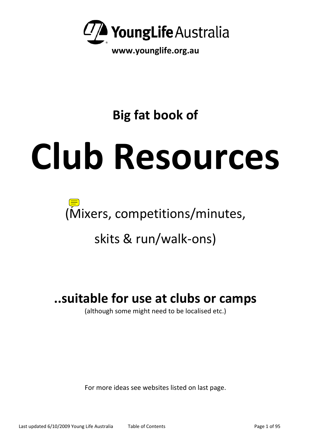

**www.younglife.org.au**

**Big fat book of**

# **Club Resources**

(Mixers, competitions/minutes,

## skits & run/walk‐ons)

**..suitable for use at clubs or camps**

(although some might need to be localised etc.)

For more ideas see websites listed on last page.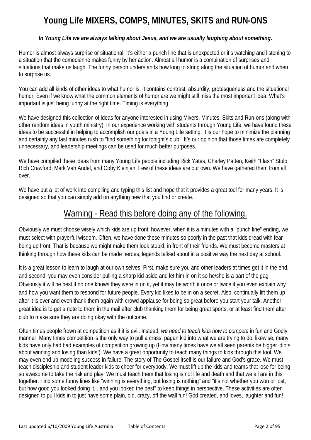## **Young Life MIXERS, COMPS, MINUTES, SKITS and RUN-ONS**

#### *In Young Life we are always talking about Jesus, and we are usually laughing about something.*

Humor is almost always surprise or situational. It's either a punch line that is unexpected or it's watching and listening to a situation that the comedienne makes funny by her action. Almost all humor is a combination of surprises and situations that make us laugh. The funny person understands how long to string along the situation of humor and when to surprise us.

You can add all kinds of other ideas to what humor is. It contains contrast, absurdity, grotesqueness and the situational humor. Even if we know what the common elements of humor are we might still miss the most important idea. What's important is just being funny at the right time. Timing is everything.

We have designed this collection of ideas for anyone interested in using Mixers, Minutes, Skits and Run-ons (along with other random ideas in youth ministry). In our experience working with students through Young Life, we have found these ideas to be successful in helping to accomplish our goals in a Young Life setting. It is our hope to minimize the planning and certainly any last minutes rush to "find something for tonight's club." It's our opinion that those times are completely unnecessary, and leadership meetings can be used for much better purposes.

We have compiled these ideas from many Young Life people including Rick Yates, Charley Patten, Keith "Flash" Stulp, Rich Crawford, Mark Van Andel, and Coby Kleinjan. Few of these ideas are our own. We have gathered them from all over.

We have put a lot of work into compiling and typing this list and hope that it provides a great tool for many years. It is designed so that you can simply add on anything new that you find or create.

### Warning - Read this before doing any of the following.

Obviously we must choose wisely which kids are up front; however, when it is a minutes with a "punch line" ending, we must select with prayerful wisdom. Often, we have done these minutes so poorly in the past that kids dread with fear being up front. That is because we might make them look stupid, in front of their friends. We must become masters at thinking through how these kids can be made heroes, legends talked about in a positive way the next day at school.

It is a great lesson to learn to laugh at our own selves. First, make sure you and other leaders at times get it in the end, and second, you may even consider pulling a sharp kid aside and let him in on it so he/she is a part of the gag. Obviously it will be best if no one knows they were in on it, yet it may be worth it once or twice if you even explain why and how you want them to respond for future people. Every kid likes to be in on a secret. Also, continually lift them up after it is over and even thank them again with crowd applause for being so great before you start your talk. Another great idea is to get a note to them in the mail after club thanking them for being great sports, or at least find them after club to make sure they are doing okay with the outcome.

Often times people frown at competition as if it is evil. Instead, *we need to teach kids how to compete* in fun and Godly manner. Many times competition is the only way to pull a crass, pagan kid into what we are trying to do; likewise, many kids have only had bad examples of competition growing up (How many times have we all seen parents be bigger idiots about winning and losing than kids!). We have a great opportunity to teach many things to kids through this tool. We may even end up modeling success in failure. The story of The Gospel itself is our failure and God's grace. We must teach discipleship and student leader kids to cheer for everybody. We must lift up the kids and teams that lose for being so awesome to take the risk and play. We must teach them that losing is not life and death and that we all are in this together. Find some funny lines like "winning is everything, but losing is nothing" and "it's not whether you won or lost, but how good you looked doing it... and you looked the best" to keep things in perspective. These activities are often designed to pull kids in to just have some plain, old, crazy, off the wall fun! God created, and loves, laughter and fun!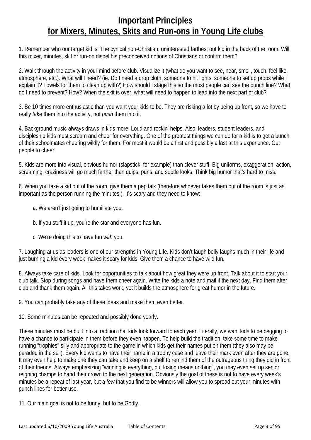## **Important Principles for Mixers, Minutes, Skits and Run-ons in Young Life clubs**

1. Remember who our target kid is. The cynical non-Christian, uninterested farthest out kid in the back of the room. Will this mixer, minutes, skit or run-on dispel his preconceived notions of Christians or confirm them?

2. Walk through the activity in your mind before club. Visualize it (what do you want to see, hear, smell, touch, feel like, atmosphere, etc.). What will I need? (ie. Do I need a drop cloth, someone to hit lights, someone to set up props while I explain it? Towels for them to clean up with?) How should I stage this so the most people can see the punch line? What do I need to prevent? How? When the skit is over, what will need to happen to lead into the next part of club?

3. Be 10 times more enthusiastic than you want your kids to be. They are risking a lot by being up front, so we have to really *take* them into the activity, not *push* them into it.

4. Background music always draws in kids more. Loud and rockin' helps. Also, leaders, student leaders, and discipleship kids must scream and cheer for everything. One of the greatest things we can do for a kid is to get a bunch of their schoolmates cheering wildly for them. For most it would be a first and possibly a last at this experience. Get people to cheer!

5. Kids are more into visual, obvious humor (slapstick, for example) than clever stuff. Big uniforms, exaggeration, action, screaming, craziness will go much farther than quips, puns, and subtle looks. Think big humor that's hard to miss.

6. When you take a kid out of the room, give them a pep talk (therefore whoever takes them out of the room is just as important as the person running the minutes!). It's scary and they need to know:

- a. We aren't just going to humiliate you.
- b. If you stuff it up, you're the star and everyone has fun.
- c. We're doing this to have fun *with* you.

7. Laughing at us as leaders is one of our strengths in Young Life. Kids don't laugh belly laughs much in their life and just burning a kid every week makes it scary for kids. Give them a chance to have wild fun.

8. Always take care of kids. Look for opportunities to talk about how great they were up front. Talk about it to start your club talk. Stop during songs and have them cheer again. Write the kids a note and mail it the next day. Find them after club and thank them again. All this takes work, yet it builds the atmosphere for great humor in the future.

9. You can probably take any of these ideas and make them even better.

10. Some minutes can be repeated and possibly done yearly.

These minutes must be built into a tradition that kids look forward to each year. Literally, we want kids to be begging to have a chance to participate in them before they even happen. To help build the tradition, take some time to make running "trophies" silly and appropriate to the game in which kids get their names put on them (they also may be paraded in the sell). Every kid wants to have their name in a trophy case and leave their mark even after they are gone. It may even help to make one they can take and keep on a shelf to remind them of the outrageous thing they did in front of their friends. Always emphasizing "winning is everything, but losing means nothing", you may even set up senior reigning champs to hand their crown to the next generation. Obviously the goal of these is not to have every week's minutes be a repeat of last year, but a *few* that you find to be winners will allow you to spread out your minutes with punch lines for better use.

11. Our main goal is not to be funny, but to be Godly.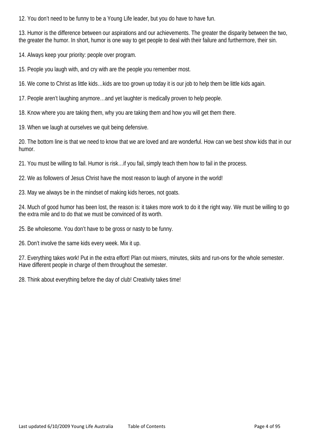12. You don't need to be funny to be a Young Life leader, but you do have to have fun.

13. Humor is the difference between our aspirations and our achievements. The greater the disparity between the two, the greater the humor. In short, humor is one way to get people to deal with their failure and furthermore, their sin.

14. Always keep your priority: people over program.

15. People you laugh with, and cry with are the people you remember most.

16. We come to Christ as little kids…kids are too grown up today it is our job to help them be little kids again.

17. People aren't laughing anymore…and yet laughter is medically proven to help people.

18. Know where you are taking them, why you are taking them and how you will get them there.

19. When we laugh at ourselves we quit being defensive.

20. The bottom line is that we need to know that we are loved and are wonderful. How can we best show kids that in our humor.

21. You must be willing to fail. Humor is risk…if you fail, simply teach them how to fail in the process.

22. We as followers of Jesus Christ have the most reason to laugh of anyone in the world!

23. May we always be in the mindset of making kids heroes, not goats.

24. Much of good humor has been lost, the reason is: it takes more work to do it the right way. We must be willing to go the extra mile and to do that we must be convinced of its worth.

25. Be wholesome. You don't have to be gross or nasty to be funny.

26. Don't involve the same kids every week. Mix it up.

27. Everything takes work! Put in the extra effort! Plan out mixers, minutes, skits and run-ons for the whole semester. Have different people in charge of them throughout the semester.

28. Think about everything before the day of club! Creativity takes time!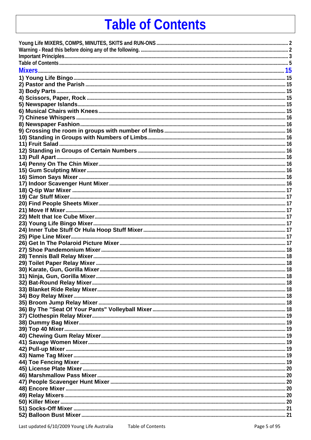# **Table of Contents**

<span id="page-4-0"></span>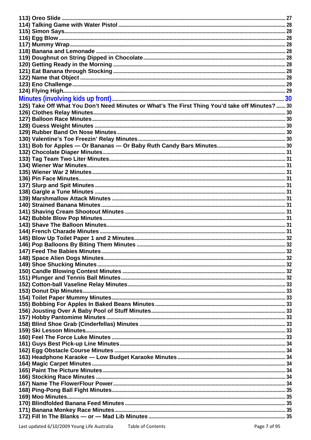| 125) Take Off What You Don't Need Minutes or What's The First Thing You'd take off Minutes?  30 |  |
|-------------------------------------------------------------------------------------------------|--|
|                                                                                                 |  |
|                                                                                                 |  |
|                                                                                                 |  |
|                                                                                                 |  |
|                                                                                                 |  |
|                                                                                                 |  |
|                                                                                                 |  |
|                                                                                                 |  |
|                                                                                                 |  |
|                                                                                                 |  |
|                                                                                                 |  |
|                                                                                                 |  |
|                                                                                                 |  |
|                                                                                                 |  |
|                                                                                                 |  |
|                                                                                                 |  |
|                                                                                                 |  |
|                                                                                                 |  |
|                                                                                                 |  |
|                                                                                                 |  |
|                                                                                                 |  |
|                                                                                                 |  |
|                                                                                                 |  |
|                                                                                                 |  |
|                                                                                                 |  |
|                                                                                                 |  |
|                                                                                                 |  |
|                                                                                                 |  |
|                                                                                                 |  |
|                                                                                                 |  |
|                                                                                                 |  |
|                                                                                                 |  |
|                                                                                                 |  |
|                                                                                                 |  |
|                                                                                                 |  |
|                                                                                                 |  |
|                                                                                                 |  |
|                                                                                                 |  |
|                                                                                                 |  |
|                                                                                                 |  |
|                                                                                                 |  |
|                                                                                                 |  |
|                                                                                                 |  |
|                                                                                                 |  |
|                                                                                                 |  |
|                                                                                                 |  |
|                                                                                                 |  |
|                                                                                                 |  |
|                                                                                                 |  |
|                                                                                                 |  |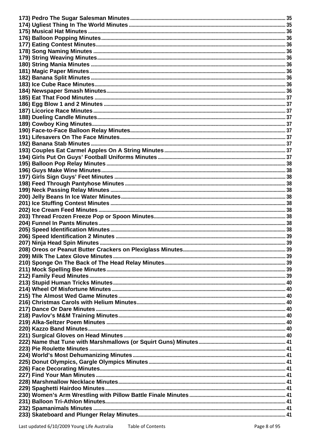| 208) Oreos or Peanut Butter Crackers on Plexiglass Minutes. | 30 |
|-------------------------------------------------------------|----|
|                                                             |    |
|                                                             |    |
|                                                             |    |
|                                                             |    |
|                                                             |    |
|                                                             |    |
|                                                             |    |
|                                                             |    |
|                                                             |    |
|                                                             |    |
|                                                             |    |
|                                                             |    |
|                                                             |    |
|                                                             |    |
|                                                             |    |
|                                                             |    |
|                                                             |    |
|                                                             |    |
|                                                             |    |
|                                                             |    |
|                                                             |    |
|                                                             |    |
|                                                             |    |
|                                                             |    |
|                                                             |    |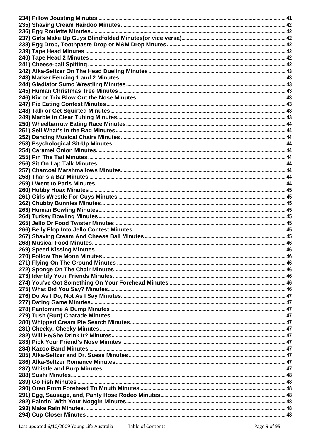| 269) Speed Kissing Minutes<br>. 46 |  |
|------------------------------------|--|
|                                    |  |
|                                    |  |
|                                    |  |
|                                    |  |
|                                    |  |
|                                    |  |
|                                    |  |
|                                    |  |
|                                    |  |
|                                    |  |
|                                    |  |
|                                    |  |
|                                    |  |
|                                    |  |
|                                    |  |
|                                    |  |
|                                    |  |
|                                    |  |
|                                    |  |
|                                    |  |
|                                    |  |
|                                    |  |
|                                    |  |
|                                    |  |
|                                    |  |
|                                    |  |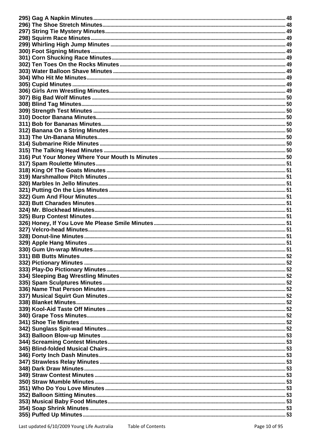| 330) Gum Un-wrap Minutes | 51 |
|--------------------------|----|
|                          |    |
|                          |    |
|                          |    |
|                          |    |
|                          |    |
|                          |    |
|                          |    |
|                          |    |
|                          |    |
|                          |    |
|                          |    |
|                          |    |
|                          |    |
|                          |    |
|                          |    |
|                          |    |
|                          |    |
|                          |    |
|                          |    |
|                          |    |
|                          |    |
|                          |    |
|                          |    |
|                          |    |
|                          |    |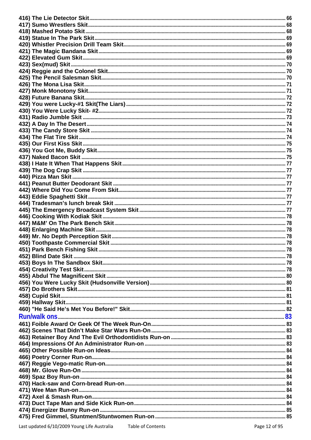| 78 |
|----|
|    |
|    |
|    |
|    |
|    |
|    |
|    |
|    |
|    |
|    |
|    |
|    |
|    |
|    |
|    |
|    |
|    |
|    |
|    |
|    |
|    |
|    |
|    |
|    |
|    |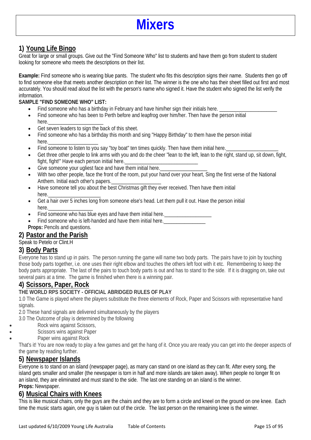# **[Mixers](#page-4-0)**

#### <span id="page-14-0"></span>**1) Young Life Bingo**

Great for large or small groups. Give out the "Find Someone Who" list to students and have them go from student to student looking for someone who meets the descriptions on their list.

**Example:** Find someone who is wearing blue pants. The student who fits this description signs their name. Students then go off to find someone else that meets another description on their list. The winner is the one who has their sheet filled out first and most accurately. You should read aloud the list with the person's name who signed it. Have the student who signed the list verify the information.

#### **SAMPLE "FIND SOMEONE WHO" LIST:**

- Find someone who has a birthday in February and have him/her sign their initials here.
- Find someone who has been to Perth before and leapfrog over him/her. Then have the person initial here.
- Get seven leaders to sign the back of this sheet.
- Find someone who has a birthday this month and sing "Happy Birthday" to them have the person initial here.
- Find someone to listen to you say "toy boat" ten times quickly. Then have them initial here.
- Get three other people to link arms with you and do the cheer "lean to the left, lean to the right, stand up, sit down, fight, fight, fight!" Have each person initial here.
- Give someone your ugliest face and have them initial here.
- With two other people, face the front of the room, put your hand over your heart, Sing the first verse of the National Anthem. Initial each other's papers.
- Have someone tell you about the best Christmas gift they ever received. Then have them initial here.
- Get a hair over 5 inches long from someone else's head. Let them pull it out. Have the person initial here.
- Find someone who has blue eyes and have them initial here.
- Find someone who is left-handed and have them initial here.  **Props:** Pencils and questions.

#### **2) Pastor and the Parish**

Speak to Petelo or Clint.H

#### **3) Body Parts**

Everyone has to stand up in pairs. The person running the game will name two body parts. The pairs have to join by touching those body parts together, i.e. one uses their right elbow and touches the others left foot with it etc. Remembering to keep the body parts appropriate. The last of the pairs to touch body parts is out and has to stand to the side. If it is dragging on, take out several pairs at a time. The game is finished when there is a winning pair.

#### **4) Scissors, Paper, Rock**

#### **THE WORLD RPS SOCIETY - OFFICIAL ABRIDGED RULES OF PLAY**

1.0 The Game is played where the players substitute the three elements of Rock, Paper and Scissors with representative hand signals.

2.0 These hand signals are delivered simultaneously by the players

- 3.0 The Outcome of play is determined by the following
- Rock wins against Scissors,
- Scissors wins against Paper
- Paper wins against Rock

That's it! You are now ready to play a few games and get the hang of it. Once you are ready you can get into the deeper aspects of the game by reading further.

#### **5) Newspaper Islands**

Everyone is to stand on an island (newspaper page), as many can stand on one island as they can fit. After every song, the island gets smaller and smaller (the newspaper is torn in half and more islands are taken away). When people no longer fit on an island, they are eliminated and must stand to the side. The last one standing on an island is the winner. **Props:** Newspaper.

#### **6) Musical Chairs with Knees**

This is like musical chairs, only the guys are the chairs and they are to form a circle and kneel on the ground on one knee. Each time the music starts again, one guy is taken out of the circle. The last person on the remaining knee is the winner.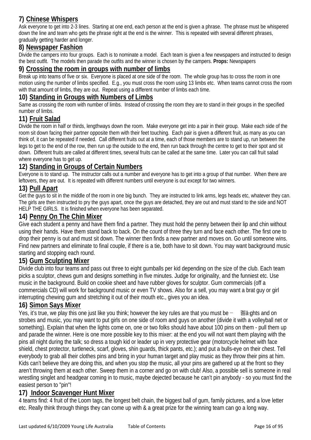#### <span id="page-15-0"></span>**7) Chinese Whispers**

Ask everyone to get into 2-3 lines. Starting at one end, each person at the end is given a phrase. The phrase must be whispered down the line and team who gets the phrase right at the end is the winner. This is repeated with several different phrases, gradually getting harder and longer.

#### **8) Newspaper Fashion**

Divide the campers into four groups. Each is to nominate a model. Each team is given a few newspapers and instructed to design the best outfit. The models then parade the outfits and the winner is chosen by the campers. **Props:** Newspapers

#### **9) Crossing the room in groups with number of limbs**

Break up into teams of five or six. Everyone is placed at one side of the room. The whole group has to cross the room in one motion using the number of limbs specified. E.g., you must cross the room using 13 limbs etc. When teams cannot cross the room with that amount of limbs, they are out. Repeat using a different number of limbs each time.

#### **10) Standing in Groups with Numbers of Limbs**

Same as crossing the room with number of limbs. Instead of crossing the room they are to stand in their groups in the specified number of limbs.

#### **11) Fruit Salad**

Divide the room in half or thirds, lengthways down the room. Make everyone get into a pair in their group. Make each side of the room sit down facing their partner opposite them with their feet touching. Each pair is given a different fruit, as many as you can think of, it can be repeated if needed. Call different fruits out at a time, each of those members are to stand up, run between the legs to get to the end of the row, then run up the outside to the end, then run back through the centre to get to their spot and sit down. Different fruits are called at different times, several fruits can be called at the same time. Later you can call fruit salad where everyone has to get up.

#### **12) Standing in Groups of Certain Numbers**

Everyone is to stand up. The instructor calls out a number and everyone has to get into a group of that number. When there are leftovers, they are out. It is repeated with different numbers until everyone is out except for two winners.

#### **13) Pull Apart**

Get the guys to sit in the middle of the room in one big bunch. They are instructed to link arms, legs heads etc, whatever they can. The girls are then instructed to pry the guys apart, once the guys are detached, they are out and must stand to the side and NOT HELP THE GIRLS. It is finished when everyone has been separated.

#### **14) Penny On The Chin Mixer**

Give each student a penny and have them find a partner. They must hold the penny between their lip and chin without using their hands. Have them stand back to back. On the count of three they turn and face each other. The first one to drop their penny is out and must sit down. The winner then finds a new partner and moves on. Go until someone wins. Find new partners and eliminate to final couple, if there is a tie, both have to sit down. You may want background music starting and stopping each round.

#### **15) Gum Sculpting Mixer**

Divide club into four teams and pass out three to eight gumballs per kid depending on the size of the club. Each team picks a sculptor, chews gum and designs something in five minutes. Judge for originality, and the funniest etc. Use music in the background. Build on cookie sheet and have rubber gloves for sculptor. Gum commercials (off a commercials CD) will work for background music or even TV shows. Also for a sell, you may want a brat guy or girl interrupting chewing gum and stretching it out of their mouth etc., gives you an idea.

#### **16) Simon Says Mixer**

Yes, it's true, we play this one just like you think; however the key rules are that you must be  $$ ä ghts and on strobes and music, you may want to put girls on one side of room and guys on another (divide it with a volleyball net or something). Explain that when the lights come on, one or two folks should have about 100 pins on them - pull them up and parade the winner. Here is one more possible key to this mixer: at the end you will not want them playing with the pins all night during the talk; so dress a tough kid or leader up in very protective gear (motorcycle helmet with face shield, chest protector, turtleneck, scarf, gloves, shin guards, thick pants, etc.); and put a bulls-eye on their chest. Tell everybody to grab all their clothes pins and bring in your human target and play music as they throw their pins at him. Kids can't believe they are doing this, and when you stop the music, all your pins are gathered up at the front so they aren't throwing them at each other. Sweep them in a corner and go on with club! Also, a possible sell is someone in real wrestling singlet and headgear coming in to music, maybe dejected because he can't pin anybody - so you must find the easiest person to "pin"!

#### **17) Indoor Scavenger Hunt Mixer**

4 teams find: 4 fruit of the Loom tags, the longest belt chain, the biggest ball of gum, family pictures, and a love letter etc. Really think through things they can come up with & a great prize for the winning team can go a long way.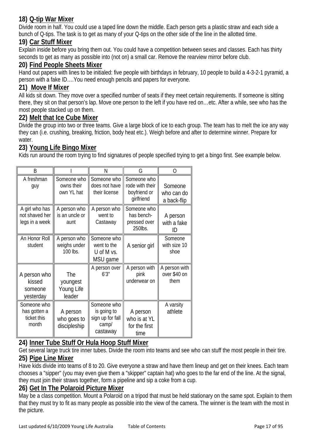#### <span id="page-16-0"></span>**18) Q-tip War Mixer**

Divide room in half. You could use a taped line down the middle. Each person gets a plastic straw and each side a bunch of Q-tips. The task is to get as many of your Q-tips on the other side of the line in the allotted time.

#### **19) Car Stuff Mixer**

Explain inside before you bring them out. You could have a competition between sexes and classes. Each has thirty seconds to get as many as possible into (not on) a small car. Remove the rearview mirror before club.

#### **20) Find People Sheets Mixer**

Hand out papers with lines to be initialed: five people with birthdays in february, 10 people to build a 4-3-2-1 pyramid, a person with a fake ID….You need enough pencils and papers for everyone.

#### **21) Move If Mixer**

All kids sit down. They move over a specified number of seats if they meet certain requirements. If someone is sitting there, they sit on that person's lap. Move one person to the left if you have red on…etc. After a while, see who has the most people stacked up on them.

#### **22) Melt that Ice Cube Mixer**

Divide the group into two or three teams. Give a large block of ice to each group. The team has to melt the ice any way they can (i.e. crushing, breaking, friction, body heat etc.). Weigh before and after to determine winner. Prepare for water.

#### **23) Young Life Bingo Mixer**

Kids run around the room trying to find signatures of people specified trying to get a bingo first. See example below.

| B                                                   |                                                | N                                                                   | G                                                            | $\left( \right)$                      |
|-----------------------------------------------------|------------------------------------------------|---------------------------------------------------------------------|--------------------------------------------------------------|---------------------------------------|
| A freshman<br>guy                                   | Someone who<br>owns their<br>own YL hat        | Someone who<br>does not have<br>their license                       | Someone who<br>rode with their<br>boyfriend or<br>girlfriend | Someone<br>who can do<br>a back-flip  |
| A girl who has<br>not shaved her<br>legs in a week  | A person who<br>is an uncle or<br>aunt         | A person who<br>went to<br>Castaway                                 | Someone who<br>has bench-<br>pressed over<br>250lbs.         | A person<br>with a fake<br>ID         |
| An Honor Roll<br>student                            | A person who<br>weighs under<br>100 lbs.       | Someone who<br>went to the<br>U of M vs.<br>MSU game                | A senior girl                                                | Someone<br>with size 10<br>shoe       |
| A person who<br>kissed<br>someone<br>yesterday      | <b>The</b><br>youngest<br>Young Life<br>leader | A person over<br>6'3''                                              | A person with<br>pink<br>underwear on                        | A person with<br>over \$40 on<br>them |
| Someone who<br>has gotten a<br>ticket this<br>month | A person<br>who goes to<br>discipleship        | Someone who<br>is going to<br>sign up for fall<br>camp/<br>castaway | A person<br>who is at YL<br>for the first<br>time            | A varsity<br>athlete                  |

#### **24) Inner Tube Stuff Or Hula Hoop Stuff Mixer**

Get several large truck tire inner tubes. Divide the room into teams and see who can stuff the most people in their tire. **25) Pipe Line Mixer** 

Have kids divide into teams of 8 to 20. Give everyone a straw and have them lineup and get on their knees. Each team chooses a "sipper" (you may even give them a "skipper" captain hat) who goes to the far end of the line. At the signal, they must join their straws together, form a pipeline and sip a coke from a cup.

#### **26) Get In The Polaroid Picture Mixer**

May be a class competition. Mount a Polaroid on a tripod that must be held stationary on the same spot. Explain to them that they must try to fit as many people as possible into the view of the camera. The winner is the team with the most in the picture.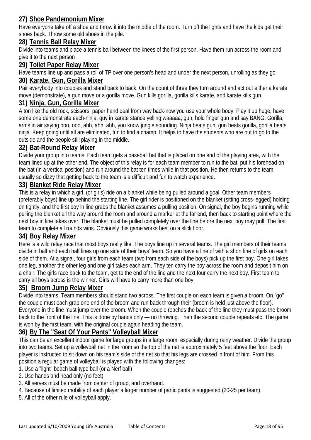#### <span id="page-17-0"></span>**27) Shoe Pandemonium Mixer**

Have everyone take off a shoe and throw it into the middle of the room. Turn off the lights and have the kids get their shoes back. Throw some old shoes in the pile.

#### **28) Tennis Ball Relay Mixer**

Divide into teams and place a tennis ball between the knees of the first person. Have them run across the room and give it to the next person

#### **29) Toilet Paper Relay Mixer**

Have teams line up and pass a roll of TP over one person's head and under the next person, unrolling as they go.

#### **30) Karate, Gun, Gorilla Mixer**

Pair everybody into couples and stand back to back. On the count of three they turn around and act out either a karate move (demonstrate), a gun move or a gorilla move. Gun kills gorilla, gorilla kills karate, and karate kills gun.

#### **31) Ninja, Gun, Gorilla Mixer**

A ton like the old rock, scissors, paper hand deal from way back-now you use your whole body. Play it up huge, have some one demonstrate each-ninja, guy in karate stance yelling waaaaa; gun, hold finger gun and say BANG; Gorilla, arms in air saying ooo, ooo, ahh, ahh, ahh, you know jungle sounding. Ninja beats gun, gun beats gorilla, gorilla beats ninja. Keep going until all are eliminated, fun to find a champ. It helps to have the students who are out to go to the outside and the people still playing in the middle.

#### **32) Bat-Round Relay Mixer**

Divide your group into teams. Each team gets a baseball bat that is placed on one end of the playing area, with the team lined up at the other end. The object of this relay is for each team member to run to the bat, put his forehead on the bat (in a vertical position) and run around the bat ten times while in that position. He then returns to the team, usually so dizzy that getting back to the team is a difficult and fun to watch experience.

#### **33) Blanket Ride Relay Mixer**

This is a relay in which a girl, (or girls) ride on a blanket while being pulled around a goal. Other team members (preferably boys) line up behind the starting line. The girl rider is positioned on the blanket (sitting cross-legged) holding on tightly, and the first boy in line grabs the blanket assumes a pulling position. On signal, the boy begins running while pulling the blanket all the way around the room and around a marker at the far end, then back to starting point where the next boy in line takes over. The blanket must be pulled completely over the line before the next boy may pull. The first team to complete all rounds wins. Obviously this game works best on a slick floor.

#### **34) Boy Relay Mixer**

Here is a wild relay race that most boys really like. The boys line up in several teams. The girl members of their teams divide in half and each half lines up one side of their boys' team. So you have a line of with a short line of girls on each side of them. At a signal, four girls from each team (two from each side of the boys) pick up the first boy. One girl takes one leg, another the other leg and one girl takes each arm. They ten carry the boy across the room and deposit him on a chair. The girls race back to the team, get to the end of the line and the next four carry the next boy. First team to carry all boys across is the winner. Girls will have to carry more than one boy.

#### **35) Broom Jump Relay Mixer**

Divide into teams. Team members should stand two across. The first couple on each team is given a broom. On "go" the couple must each grab one end of the broom and run back through their (broom is held just above the floor). Everyone in the line must jump over the broom. When the couple reaches the back of the line they must pass the broom back to the front of the line. This is done by hands only — no throwing. Then the second couple repeats etc. The game is won by the first team, with the original couple again heading the team.

#### **36) By The "Seat Of Your Pants" Volleyball Mixer**

This can be an excellent indoor game for large groups in a large room, especially during rainy weather. Divide the group into two teams. Set up a volleyball net in the room so the top of the net is approximately 5 feet above the floor. Each player is instructed to sit down on his team's side of the net so that his legs are crossed in front of him. From this position a regular game of volleyball is played with the following changes:

- 1. Use a "light" beach ball type ball (or a Nerf ball)
- 2. Use hands and head only (no feet)
- 3. All serves must be made from center of group, and overhand.
- 4. Because of limited mobility of each player a larger number of participants is suggested (20-25 per team).
- 5. All of the other rule of volleyball apply.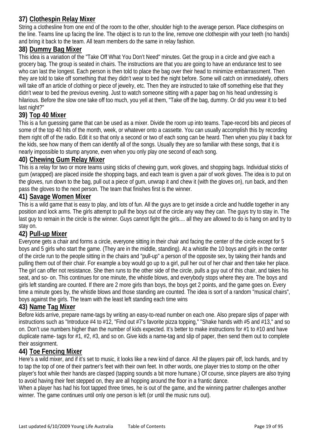#### <span id="page-18-0"></span>**37) Clothespin Relay Mixer**

String a clothesline from one end of the room to the other, shoulder high to the average person. Place clothespins on the line. Teams line up facing the line. The object is to run to the line, remove one clothespin with your teeth (no hands) and bring it back to the team. All team members do the same in relay fashion.

#### **38) Dummy Bag Mixer**

This idea is a variation of the "Take Off What You Don't Need" minutes. Get the group in a circle and give each a grocery bag. The group is seated in chairs. The instructions are that you are going to have an endurance test to see who can last the longest. Each person is then told to place the bag over their head to minimize embarrassment. Then they are told to take off something that they didn't wear to bed the night before. Some will catch on immediately, others will take off an article of clothing or piece of jewelry, etc. Then they are instructed to take off something else that they didn't wear to bed the previous evening. Just to watch someone sitting with a paper bag on his head undressing is hilarious. Before the slow one take off too much, you yell at them, "Take off the bag, dummy. Or did you wear it to bed last night?"

#### **39) Top 40 Mixer**

This is a fun guessing game that can be used as a mixer. Divide the room up into teams. Tape-record bits and pieces of some of the top 40 hits of the month, week, or whatever onto a cassette. You can usually accomplish this by recording them right off of the radio. Edit it so that only a second or two of each song can be heard. Then when you play it back for the kids, see how many of them can identify all of the songs. Usually they are so familiar with these songs, that it is nearly impossible to stump anyone, even when you only play one second of each song.

#### **40) Chewing Gum Relay Mixer**

This is a relay for two or more teams using sticks of chewing gum, work gloves, and shopping bags. Individual sticks of gum (wrapped) are placed inside the shopping bags, and each team is given a pair of work gloves. The idea is to put on the gloves, run down to the bag, pull out a piece of gum, unwrap it and chew it (with the gloves on), run back, and then pass the gloves to the next person. The team that finishes first is the winner.

#### **41) Savage Women Mixer**

This is a wild game that is easy to play, and lots of fun. All the guys are to get inside a circle and huddle together in any position and lock arms. The girls attempt to pull the boys out of the circle any way they can. The guys try to stay in. The last guy to remain in the circle is the winner. Guys cannot fight the girls.... all they are allowed to do is hang on and try to stay on.

#### **42) Pull-up Mixer**

Everyone gets a chair and forms a circle, everyone sitting in their chair and facing the center of the circle except for 5 boys and 5 girls who start the game. (They are in the middle, standing). At a whistle the 10 boys and girls in the center of the circle run to the people sitting in the chairs and "pull-up" a person of the opposite sex, by taking their hands and pulling them out of their chair. For example a boy would go up to a girl, pull her out of her chair and then take her place. The girl can offer not resistance. She then runs to the other side of the circle, pulls a guy out of this chair, and takes his seat, and so- on. This continues for one minute, the whistle blows, and everybody stops where they are. The boys and girls left standing are counted. If there are 2 more girls than boys, the boys get 2 points, and the game goes on. Every time a minute goes by, the whistle blows and those standing are counted. The idea is sort of a random "musical chairs", boys against the girls. The team with the least left standing each time wins

#### **43) Name Tag Mixer**

Before kids arrive, prepare name-tags by writing an easy-to-read number on each one. Also prepare slips of paper with instructions such as "Introduce #4 to #12, "Find out #7's favorite pizza topping," "Shake hands with #5 and #13," and so on. Don't use numbers higher than the number of kids expected. It's better to make instructions for #1 to #10 and have duplicate name- tags for #1, #2, #3, and so on. Give kids a name-tag and slip of paper, then send them out to complete their assignment.

#### **44) Toe Fencing Mixer**

Here's a wild mixer, and if it's set to music, it looks like a new kind of dance. All the players pair off, lock hands, and try to tap the top of one of their partner's feet with their own feet. In other words, one player tries to stomp on the other player's foot while their hands are clasped (tapping sounds a bit more humane.) Of course, since players are also trying to avoid having their feet stepped on, they are all hopping around the floor in a frantic dance.

When a player has had his foot tapped three times, he is out of the game, and the winning partner challenges another winner. The game continues until only one person is left (or until the music runs out).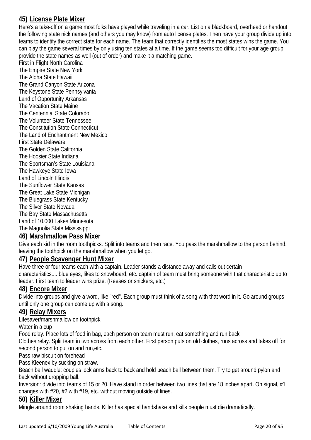#### <span id="page-19-0"></span>**45) License Plate Mixer**

Here's a take-off on a game most folks have played while traveling in a car. List on a blackboard, overhead or handout the following state nick names (and others you may know) from auto license plates. Then have your group divide up into teams to identify the correct state for each name. The team that correctly identifies the most states wins the game. You can play the game several times by only using ten states at a time. If the game seems too difficult for your age group, provide the state names as well (out of order) and make it a matching game.

First in Flight North Carolina The Empire State New York The Aloha State Hawaii The Grand Canyon State Arizona The Keystone State Pennsylvania Land of Opportunity Arkansas The Vacation State Maine The Centennial State Colorado The Volunteer State Tennessee The Constitution State Connecticut The Land of Enchantment New Mexico First State Delaware The Golden State California The Hoosier State Indiana The Sportsman's State Louisiana The Hawkeye State Iowa Land of Lincoln Illinois The Sunflower State Kansas The Great Lake State Michigan The Bluegrass State Kentucky The Silver State Nevada The Bay State Massachusetts Land of 10,000 Lakes Minnesota The Magnolia State Mississippi

#### **46) Marshmallow Pass Mixer**

Give each kid in the room toothpicks. Split into teams and then race. You pass the marshmallow to the person behind, leaving the toothpick on the marshmallow when you let go.

#### **47) People Scavenger Hunt Mixer**

Have three or four teams each with a captain. Leader stands a distance away and calls out certain characteristics.....blue eyes, likes to snowboard, etc. captain of team must bring someone with that characteristic up to leader. First team to leader wins prize. (Reeses or snickers, etc.)

#### **48) Encore Mixer**

Divide into groups and give a word, like "red". Each group must think of a song with that word in it. Go around groups until only one group can come up with a song.

#### **49) Relay Mixers**

Lifesaver/marshmallow on toothpick

Water in a cup

Food relay. Place lots of food in bag, each person on team must run, eat something and run back

Clothes relay. Split team in two across from each other. First person puts on old clothes, runs across and takes off for second person to put on and run,etc.

Pass raw biscuit on forehead

Pass Kleenex by sucking on straw.

Beach ball waddle: couples lock arms back to back and hold beach ball between them. Try to get around pylon and back without dropping ball.

Inversion: divide into teams of 15 or 20. Have stand in order between two lines that are 18 inches apart. On signal, #1 changes with #20, #2 with #19, etc. without moving outside of lines.

#### **50) Killer Mixer**

Mingle around room shaking hands. Killer has special handshake and kills people must die dramatically.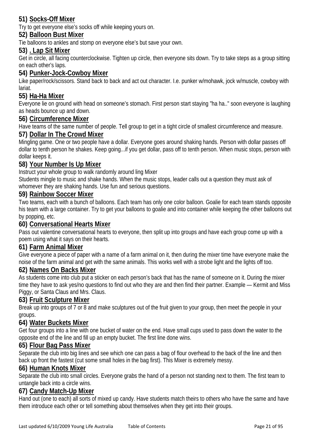#### <span id="page-20-0"></span>**51) Socks-Off Mixer**

Try to get everyone else's socks off while keeping yours on.

#### **52) Balloon Bust Mixer**

Tie balloons to ankles and stomp on everyone else's but save your own.

#### **53) . Lap Sit Mixer**

Get in circle, all facing counterclockwise. Tighten up circle, then everyone sits down. Try to take steps as a group sitting on each other's laps.

#### **54) Punker-Jock-Cowboy Mixer**

Like paper/rock/scissors. Stand back to back and act out character. I.e. punker w/mohawk, jock w/muscle, cowboy with lariat.

#### **55) Ha-Ha Mixer**

Everyone lie on ground with head on someone's stomach. First person start staying "ha ha.." soon everyone is laughing as heads bounce up and down.

#### **56) Circumference Mixer**

Have teams of the same number of people. Tell group to get in a tight circle of smallest circumference and measure.

#### **57) Dollar In The Crowd Mixer**

Mingling game. One or two people have a dollar. Everyone goes around shaking hands. Person with dollar passes off dollar to tenth person he shakes. Keep going...if you get dollar, pass off to tenth person. When music stops, person with dollar keeps it.

#### **58) Your Number Is Up Mixer**

Instruct your whole group to walk randomly around ling Mixer

Students mingle to music and shake hands. When the music stops, leader calls out a question they must ask of whomever they are shaking hands. Use fun and serious questions.

#### **59) Rainbow Soccer Mixer**

Two teams, each with a bunch of balloons. Each team has only one color balloon. Goalie for each team stands opposite his team with a large container. Try to get your balloons to goalie and into container while keeping the other balloons out by popping, etc.

#### **60) Conversational Hearts Mixer**

Pass out valentine conversational hearts to everyone, then split up into groups and have each group come up with a poem using what it says on their hearts.

#### **61) Farm Animal Mixer**

Give everyone a piece of paper with a name of a farm animal on it, then during the mixer time have everyone make the noise of the farm animal and get with the same animals. This works well with a strobe light and the lights off too.

#### **62) Names On Backs Mixer**

As students come into club put a sticker on each person's back that has the name of someone on it. During the mixer time they have to ask yes/no questions to find out who they are and then find their partner. Example — Kermit and Miss Piggy, or Santa Claus and Mrs. Claus.

#### **63) Fruit Sculpture Mixer**

Break up into groups of 7 or 8 and make sculptures out of the fruit given to your group, then meet the people in your groups.

#### **64) Water Buckets Mixer**

Get four groups into a line with one bucket of water on the end. Have small cups used to pass down the water to the opposite end of the line and fill up an empty bucket. The first line done wins.

#### **65) Flour Bag Pass Mixer**

Separate the club into big lines and see which one can pass a bag of flour overhead to the back of the line and then back up front the fastest (cut some small holes in the bag first). This Mixer is extremely messy.

#### **66) Human Knots Mixer**

Separate the club into small circles. Everyone grabs the hand of a person not standing next to them. The first team to untangle back into a circle wins.

#### **67) Candy Match-Up Mixer**

Hand out (one to each) all sorts of mixed up candy. Have students match theirs to others who have the same and have them introduce each other or tell something about themselves when they get into their groups.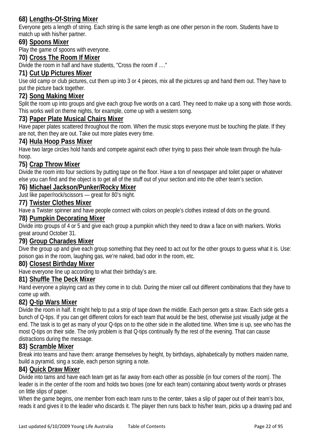#### <span id="page-21-0"></span>**68) Lengths-Of-String Mixer**

Everyone gets a length of string. Each string is the same length as one other person in the room. Students have to match up with his/her partner.

#### **69) Spoons Mixer**

Play the game of spoons with everyone.

#### **70) Cross The Room If Mixer**

Divide the room in half and have students, "Cross the room if …."

#### **71) Cut Up Pictures Mixer**

Use old camp or club pictures, cut them up into 3 or 4 pieces, mix all the pictures up and hand them out. They have to put the picture back together.

#### **72) Song Making Mixer**

Split the room up into groups and give each group five words on a card. They need to make up a song with those words. This works well on theme nights, for example, come up with a western song.

#### **73) Paper Plate Musical Chairs Mixer**

Have paper plates scattered throughout the room. When the music stops everyone must be touching the plate. If they are not, then they are out. Take out more plates every time.

#### **74) Hula Hoop Pass Mixer**

Have two large circles hold hands and compete against each other trying to pass their whole team through the hulahoop.

#### **75) Crap Throw Mixer**

Divide the room into four sections by putting tape on the floor. Have a ton of newspaper and toilet paper or whatever else you can find and the object is to get all of the stuff out of your section and into the other team's section.

#### **76) Michael Jackson/Punker/Rocky Mixer**

Just like paper/rock/scissors — great for 80's night.

#### **77) Twister Clothes Mixer**

Have a Twister spinner and have people connect with colors on people's clothes instead of dots on the ground.

#### **78) Pumpkin Decorating Mixer**

Divide into groups of 4 or 5 and give each group a pumpkin which they need to draw a face on with markers. Works great around October 31.

#### **79) Group Charades Mixer**

Dive the group up and give each group something that they need to act out for the other groups to guess what it is. Use: poison gas in the room, laughing gas, we're naked, bad odor in the room, etc.

#### **80) Closest Birthday Mixer**

Have everyone line up according to what their birthday's are.

#### **81) Shuffle The Deck Mixer**

Hand everyone a playing card as they come in to club. During the mixer call out different combinations that they have to come up with.

#### **82) Q-tip Wars Mixer**

Divide the room in half. It might help to put a strip of tape down the middle. Each person gets a straw. Each side gets a bunch of Q-tips. If you can get different colors for each team that would be the best, otherwise just visually judge at the end. The task is to get as many of your Q-tips on to the other side in the allotted time. When time is up, see who has the most Q-tips on their side. The only problem is that Q-tips continually fly the rest of the evening. That can cause distractions during the message.

#### **83) Scramble Mixer**

Break into teams and have them: arrange themselves by height, by birthdays, alphabetically by mothers maiden name, build a pyramid, sing a scale, each person signing a note.

#### **84) Quick Draw Mixer**

Divide into tams and have each team get as far away from each other as possible (in four corners of the room). The leader is in the center of the room and holds two boxes (one for each team) containing about twenty words or phrases on little slips of paper.

When the game begins, one member from each team runs to the center, takes a slip of paper out of their team's box, reads it and gives it to the leader who discards it. The player then runs back to his/her team, picks up a drawing pad and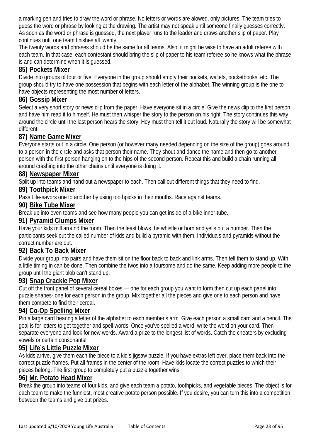<span id="page-22-0"></span>a marking pen and tries to draw the word or phrase. No letters or words are alowed, only pictures. The team tries to guess the word or phrase by looking at the drawing. The artist may not speak until someone finally guesses correctly. As soon as the word or phrase is guessed, the next player runs to the leader and draws another slip of paper. Play continues until one team finishes all twenty.

The twenty words and phrases should be the same for all teams. Also, it might be wise to have an adult referee with each team. In that case, each contestant should bring the slip of paper to his team referee so he knows what the phrase is and can determine when it is guessed.

#### **85) Pockets Mixer**

Divide into groups of four or five. Everyone in the group should empty their pockets, wallets, pocketbooks, etc. The group should try to have one possession that begins with each letter of the alphabet. The winning group is the one to have objects representing the most number of letters.

#### **86) Gossip Mixer**

Select a very short story or news clip from the paper. Have everyone sit in a circle. Give the news clip to the first person and have him read it to himself. He must then whisper the story to the person on his right. The story continues this way around the circle until the last person hears the story. Hey must then tell it out loud. Naturally the story will be somewhat different.

#### **87) Name Game Mixer**

Everyone starts out in a circle. One person (or however many needed depending on the size of the group) goes around to a person in the circle and asks that person their name. They shout and dance the name and then go to another person with the first person hanging on to the hips of the second person. Repeat this and build a chain running all around crashing into the other chains until everyone is doing it.

#### **88) Newspaper Mixer**

Split up into teams and hand out a newspaper to each. Then call out different things that they need to find.

#### **89) Toothpick Mixer**

Pass Life-savors one to another by using toothpicks in their mouths. Race against teams.

#### **90) Bike Tube Mixer**

Break up into even teams and see how many people you can get inside of a bike inner-tube.

#### **91) Pyramid Clumps Mixer**

Have your kids mill around the room. Then the least blows the whistle or horn and yells out a number. Then the participants seek out the called number of kids and build a pyramid with them. Individuals and pyramids without the correct number are out.

#### **92) Back To Back Mixer**

Divide your group into pairs and have them sit on the floor back to back and link arms. Then tell them to stand up. With a little timing in can be done. Then combine the twos into a foursome and do the same. Keep adding more people to the group until the giant blob can't stand up.

#### **93) Snap Crackle Pop Mixer**

Cut off the front panel of several cereal boxes — one for each group you want to form then cut up each panel into puzzle shapes- one for each person in the group. Mix together all the pieces and give one to each person and have them compete to find their cereal.

#### **94) Co-Op Spelling Mixer**

Pin a large card bearing a letter of the alphabet to each member's arm. Give each person a small card and a pencil. The goal is for letters to get together and spell words. Once you've spelled a word, write the word on your card. Then separate everyone and look for new words. Award a prize to the longest list of words. Catch the cheaters by excluding vowels or certain consonants!

#### **95) Life's Little Puzzle Mixer**

As kids arrive, give them each the piece to a kid's jigsaw puzzle. If you have extras left over, place them back into the correct puzzle frames. Put all frames in the center of the room. Have kids locate the correct puzzles to which their pieces belong. The first group to completely put a puzzle together wins.

#### **96) Mr. Potato Head Mixer**

Break the group into teams of four kids, and give each team a potato, toothpicks, and vegetable pieces. The object is for each team to make the funniest, most creative potato person possible. If you desire, you can turn this into a competition between the teams and give out prizes.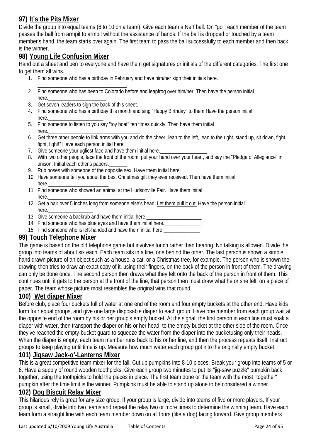#### <span id="page-23-0"></span>**97) It's the Pits Mixer**

Divide the group into equal teams (6 to 10 on a team). Give each team a Nerf ball. On "go", each member of the team passes the ball from armpit to armpit without the assistance of hands. If the ball is dropped or touched by a team member's hand, the team starts over again. The first team to pass the ball successfully to each member and then back is the winner.

#### **98) Young Life Confusion Mixer**

Hand out a sheet and pen to everyone and have them get signatures or initials of the different categories. The first one to get them all wins.

- 1. Find someone who has a birthday in February and have him/her sign their initials here.
- \_\_\_\_\_\_\_\_\_\_\_\_\_\_\_\_\_\_\_\_\_\_\_\_\_\_\_\_\_\_\_\_\_\_ 2. Find someone who has been to Colorado before and leapfrog over him/her. Then have the person initial here.
- 3. Get seven leaders to sign the back of this sheet.
- 4. Find someone who has a birthday this month and sing "Happy Birthday" to them Have the person initial here.
- 5. Find someone to listen to you say "toy boat" ten times quickly. Then have them initial here.\_\_\_\_\_\_\_\_\_\_\_\_\_\_\_\_\_\_\_\_\_\_\_\_\_\_\_\_\_\_\_\_\_\_\_
- 6. Get three other people to link arms with you and do the cheer "lean to the left, lean to the right, stand up, sit down, fight, fight, fight!" Have each person initial here.
- 7. Give someone your ugliest face and have them initial here.
- 8. With two other people, face the front of the room, put your hand over your heart, and say the "Pledge of Allegiance" in unison. Initial each other's papers.
- 9. Rub noses with someone of the opposite sex. Have them initial here.
- 10. Have someone tell you about the best Christmas gift they ever received. Then have them initial here.
- 11. Find someone who showed an animal at the Hudsonville Fair. Have them initial here.\_\_\_\_\_\_\_\_\_\_\_\_\_\_\_\_\_\_\_\_\_\_\_\_\_\_\_\_\_\_\_\_\_\_\_\_\_
- 12. Get a hair over 5 inches long from someone else's head. Let them pull it out. Have the person initial here.\_\_\_\_\_\_\_\_\_\_\_\_\_\_\_\_\_
- 13. Give someone a backrub and have them initial here.
- 14. Find someone who has blue eyes and have them initial here.
- 15. Find someone who is left-handed and have them initial here.\_\_\_\_\_\_\_\_\_\_\_\_\_\_

#### **99) Touch Telephone Mixer**

This game is based on the old telephone game but involves touch rather than hearing. No talking is allowed. Divide the group into teams of about six each. Each team sits in a line, one behind the other. The last person is shown a simple hand drawn picture of an object such as a house, a cat, or a Christmas tree, for example. The person who is shown the drawing then tries to draw an exact copy of it, using their fingers, on the back of the person in front of them. The drawing can only be done once. The second person then draws what they felt onto the back of the person in front of them. This continues until it gets to the person at the front of the line, that person then must draw what he or she felt, on a piece of paper. The team whose picture most resembles the original wins that round.

#### **100) Wet diaper Mixer**

Before club, place four buckets full of water at one end of the room and four empty buckets at the other end. Have kids form four equal groups, and give one large disposable diaper to each group. Have one member from each group wait at the opposite end of the room by his or her group's empty bucket. At the signal, the first person in each line must soak a diaper with water, then transport the diaper on his or her head, to the empty bucket at the other side of the room. Once they've reached the empty-bucket guard to squeeze the water from the diaper into the bucketusing only their heads. When the diaper is empty, each team member runs back to his or her line, and then the process repeats itself. Instruct groups to keep playing until time is up. Measure how much water each group got into the originally empty bucket.

#### **101) Jigsaw Jack-o'-Lanterns Mixer**

This is a great competitive team mixer for the fall. Cut up pumpkins into 8-10 pieces. Break your group into teams of 5 or 6. Have a supply of round wooden toothpicks. Give each group two minutes to put its "jig-saw puzzle" pumpkin back together, using the toothpicks to hold the pieces in place. The first team done or the team with the most "together" pumpkin after the time limit is the winner. Pumpkins must be able to stand up alone to be considered a winner.

#### **102) Dog Biscuit Relay Mixer**

This hilarious rely is great for any size group. If your group is large, divide into teams of five or more players. If your group is small, divide into two teams and repeat the relay two or more times to determine the winning team. Have each team form a straight line with each team member down on all fours (like a dog) facing forward. Give group members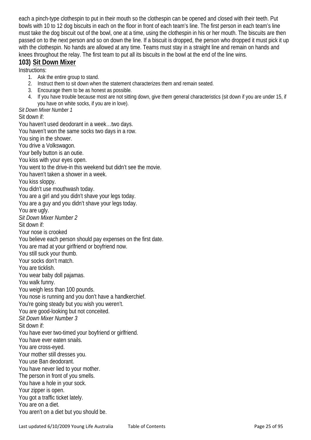<span id="page-24-0"></span>each a pinch-type clothespin to put in their mouth so the clothespin can be opened and closed with their teeth. Put bowls with 10 to 12 dog biscuits in each on the floor in front of each team's line. The first person in each team's line must take the dog biscuit out of the bowl, one at a time, using the clothespin in his or her mouth. The biscuits are then passed on to the next person and so on down the line. If a biscuit is dropped, the person who dropped it must pick it up with the clothespin. No hands are allowed at any time. Teams must stay in a straight line and remain on hands and knees throughout the relay. The first team to put all its biscuits in the bowl at the end of the line wins.

#### **103) Sit Down Mixer**

Instructions:

- 1. Ask the entire group to stand.
- 2. Instruct them to sit down when the statement characterizes them and remain seated.
- 3. Encourage them to be as honest as possible.
- 4. If you have trouble because most are not sitting down, give them general characteristics (sit down if you are under 15, if you have on white socks, if you are in love).

*Sit Down Mixer Number 1*

#### Sit down if:

You haven't used deodorant in a week…two days.

You haven't won the same socks two days in a row.

You sing in the shower.

You drive a Volkswagon.

Your belly button is an outie.

You kiss with your eyes open.

You went to the drive-in this weekend but didn't see the movie.

You haven't taken a shower in a week.

You kiss sloppy.

You didn't use mouthwash today.

You are a girl and you didn't shave your legs today.

You are a guy and you didn't shave your legs today.

You are ugly.

*Sit Down Mixer Number 2*

Sit down if:

Your nose is crooked

You believe each person should pay expenses on the first date.

You are mad at your girlfriend or boyfriend now.

You still suck your thumb.

Your socks don't match.

You are ticklish.

You wear baby doll pajamas.

You walk funny.

You weigh less than 100 pounds.

You nose is running and you don't have a handkerchief.

You're going steady but you wish you weren't.

You are good-looking but not conceited.

*Sit Down Mixer Number 3*

Sit down if:

You have ever two-timed your boyfriend or girlfriend.

You have ever eaten snails.

You are cross-eyed.

Your mother still dresses you.

You use Ban deodorant.

You have never lied to your mother.

The person in front of you smells.

You have a hole in your sock.

Your zipper is open.

You got a traffic ticket lately.

You are on a diet.

You aren't on a diet but you should be.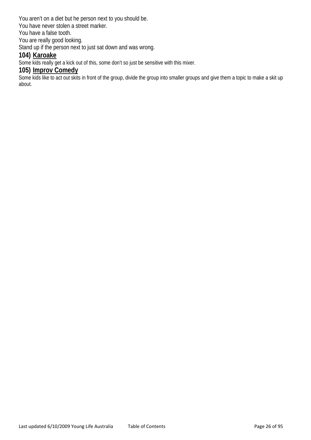<span id="page-25-0"></span>You aren't on a diet but he person next to you should be.

You have never stolen a street marker.

You have a false tooth.

You are really good looking.

Stand up if the person next to just sat down and was wrong.

#### **104) Karoake**

Some kids really get a kick out of this, some don't so just be sensitive with this mixer.

#### **105) Improv Comedy**

Some kids like to act out skits in front of the group, divide the group into smaller groups and give them a topic to make a skit up about.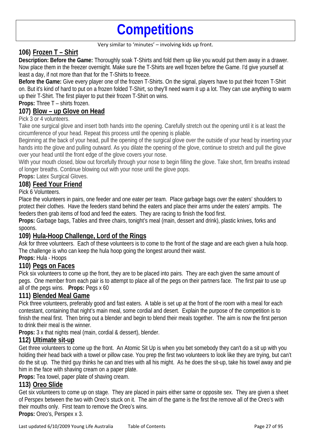# **[Competitions](#page-4-0)**

#### Very similar to 'minutes' – involving kids up front.

#### <span id="page-26-0"></span>**106) Frozen T – Shirt**

**Description: Before the Game:** Thoroughly soak T-Shirts and fold them up like you would put them away in a drawer. Now place them in the freezer overnight. Make sure the T-Shirts are well frozen before the Game. I'd give yourself at least a day, if not more than that for the T-Shirts to freeze.

**Before the Game:** Give every player one of the frozen T-Shirts. On the signal, players have to put their frozen T-Shirt on. But it's kind of hard to put on a frozen folded T-Shirt, so they'll need warm it up a lot. They can use anything to warm up their T-Shirt. The first player to put their frozen T-Shirt on wins.

**Props:** Three T – shirts frozen.

#### **107) Blow – up Glove on Head**

Pick 3 or 4 volunteers.

Take one surgical glove and insert both hands into the opening. Carefully stretch out the opening until it is at least the circumference of your head. Repeat this process until the opening is pliable.

Beginning at the back of your head, pull the opening of the surgical glove over the outside of your head by inserting your hands into the glove and pulling outward. As you dilate the opening of the glove, continue to stretch and pull the glove over your head until the front edge of the glove covers your nose.

With your mouth closed, blow out forcefully through your nose to begin filling the glove. Take short, firm breaths instead of longer breaths. Continue blowing out with your nose until the glove pops.

**Props:** Latex Surgical Gloves.

#### **108) Feed Your Friend**

Pick 6 Volunteers.

Place the volunteers in pairs, one feeder and one eater per team. Place garbage bags over the eaters' shoulders to protect their clothes. Have the feeders stand behind the eaters and place their arms under the eaters' armpits. The feeders then grab items of food and feed the eaters. They are racing to finish the food first.

**Props:** Garbage bags, Tables and three chairs, tonight's meal (main, dessert and drink), plastic knives, forks and spoons.

#### **109) Hula-Hoop Challenge, Lord of the Rings**

Ask for three volunteers. Each of these volunteers is to come to the front of the stage and are each given a hula hoop. The challenge is who can keep the hula hoop going the longest around their waist.

#### **Props:** Hula - Hoops

#### **110) Pegs on Faces**

Pick six volunteers to come up the front, they are to be placed into pairs. They are each given the same amount of pegs. One member from each pair is to attempt to place all of the pegs on their partners face. The first pair to use up all of the pegs wins. **Props:** Pegs x 60

#### **111) Blended Meal Game**

Pick three volunteers, preferably good and fast eaters. A table is set up at the front of the room with a meal for each contestant, containing that night's main meal, some cordial and desert. Explain the purpose of the competition is to finish the meal first. Then bring out a blender and begin to blend their meals together. The aim is now the first person to drink their meal is the winner.

**Props:** 3 x that nights meal (main, cordial & dessert), blender.

#### **112) Ultimate sit-up**

Get three volunteers to come up the front. An Atomic Sit Up is when you bet somebody they can't do a sit up with you holding their head back with a towel or pillow case. You prep the first two volunteers to look like they are trying, but can't do the sit up. The third guy thinks he can and tries with all his might. As he does the sit-up, take his towel away and pie him in the face with shaving cream on a paper plate.

**Props:** Tea towel, paper plate of shaving cream.

#### **113) Oreo Slide**

Get six volunteers to come up on stage. They are placed in pairs either same or opposite sex. They are given a sheet of Perspex between the two with Oreo's stuck on it. The aim of the game is the first the remove all of the Oreo's with their mouths only. First team to remove the Oreo's wins.

**Props:** Oreo's, Perspex x 3.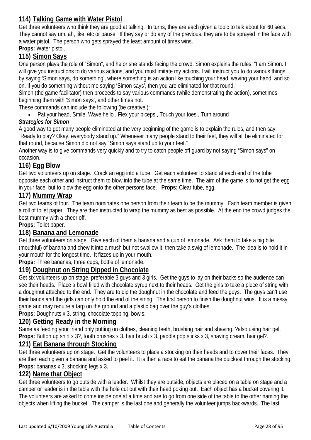#### <span id="page-27-0"></span>**114) Talking Game with Water Pistol**

Get three volunteers who think they are good at talking. In turns, they are each given a topic to talk about for 60 secs. They cannot say um, ah, like, etc or pause. If they say or do any of the previous, they are to be sprayed in the face with a water pistol. The person who gets sprayed the least amount of times wins. **Props:** Water pistol.

#### **115) Simon Says**

One person plays the role of "Simon", and he or she stands facing the crowd. Simon explains the rules: "I am Simon. I will give you instructions to do various actions, and you must imitate my actions. I will instruct you to do various things by saying 'Simon says, do something', where something is an action like touching your head, waving your hand, and so on. If you do something without me saying 'Simon says', then you are eliminated for that round."

Simon (the game facilitator) then proceeds to say various commands (while demonstrating the action), sometimes beginning them with 'Simon says', and other times not.

These commands can include the following (be creative!):

• Pat your head, Smile, Wave hello , Flex your biceps , Touch your toes , Turn around

#### *Strategies for Simon*

A good way to get many people eliminated at the very beginning of the game is to explain the rules, and then say: "Ready to play? Okay, everybody stand up." Whenever many people stand to their feet, they will all be eliminated for that round, because Simon did not say "Simon says stand up to your feet."

Another way is to give commands very quickly and to try to catch people off guard by not saying "Simon says" on occasion.

#### **116) Egg Blow**

Get two volunteers up on stage. Crack an egg into a tube. Get each volunteer to stand at each end of the tube opposite each other and instruct them to blow into the tube at the same time. The aim of the game is to not get the egg in your face, but to blow the egg onto the other persons face. **Props:** Clear tube, egg.

#### **117) Mummy Wrap**

Get two teams of four. The team nominates one person from their team to be the mummy. Each team member is given a roll of toilet paper. They are then instructed to wrap the mummy as best as possible. At the end the crowd judges the best mummy with a cheer off.

**Props:** Toilet paper.

#### **118) Banana and Lemonade**

Get three volunteers on stage. Give each of them a banana and a cup of lemonade. Ask them to take a big bite (mouthful) of banana and chew it into a mush but not swallow it, then take a swig of lemonade. The idea is to hold it in your mouth for the longest time. It fizzes up in your mouth.

**Props:** Three bananas, three cups, bottle of lemonade.

#### **119) Doughnut on String Dipped in Chocolate**

Get six volunteers up on stage, preferable 3 guys and 3 girls. Get the guys to lay on their backs so the audience can see their heads. Place a bowl filled with chocolate syrup next to their heads. Get the girls to take a piece of string with a doughnut attached to the end. They are to dip the doughnut in the chocolate and feed the guys. The guys can't use their hands and the girls can only hold the end of the string. The first person to finish the doughnut wins. It is a messy game and may require a tarp on the ground and a plastic bag over the guy's clothes.

**Props:** Doughnuts x 3, string, chocolate topping, bowls.

#### **120) Getting Ready in the Morning**

Same as feeding your friend only putting on clothes, cleaning teeth, brushing hair and shaving, ?also using hair gel. **Props:** Button up shirt x 3?, tooth brushes x 3, hair brush x 3, paddle pop sticks x 3, shaving cream, hair gel?.

#### **121) Eat Banana through Stocking**

Get three volunteers up on stage. Get the volunteers to place a stocking on their heads and to cover their faces. They are then each given a banana and asked to peel it. It is then a race to eat the banana the quickest through the stocking. **Props:** bananas x 3, shocking legs x 3.

#### **122) Name that Object**

Get three volunteers to go outside with a leader. Whilst they are outside, objects are placed on a table on stage and a camper or leader is in the table with the hole cut out with their head poking out. Each object has a bucket covering it. The volunteers are asked to come inside one at a time and are to go from one side of the table to the other naming the objects when lifting the bucket. The camper is the last one and generally the volunteer jumps backwards. The last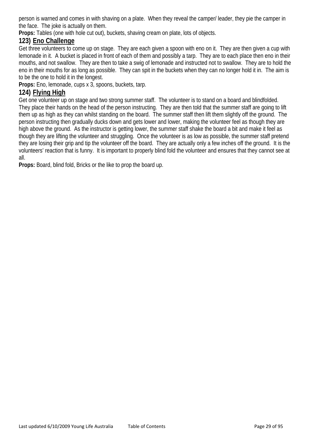<span id="page-28-0"></span>person is warned and comes in with shaving on a plate. When they reveal the camper/ leader, they pie the camper in the face. The joke is actually on them.

**Props:** Tables (one with hole cut out), buckets, shaving cream on plate, lots of objects.

#### **123) Eno Challenge**

Get three volunteers to come up on stage. They are each given a spoon with eno on it. They are then given a cup with lemonade in it. A bucket is placed in front of each of them and possibly a tarp. They are to each place then eno in their mouths, and not swallow. They are then to take a swig of lemonade and instructed not to swallow. They are to hold the eno in their mouths for as long as possible. They can spit in the buckets when they can no longer hold it in. The aim is to be the one to hold it in the longest.

**Props:** Eno, lemonade, cups x 3, spoons, buckets, tarp.

#### **124) Flying High**

Get one volunteer up on stage and two strong summer staff. The volunteer is to stand on a board and blindfolded. They place their hands on the head of the person instructing. They are then told that the summer staff are going to lift them up as high as they can whilst standing on the board. The summer staff then lift them slightly off the ground. The person instructing then gradually ducks down and gets lower and lower, making the volunteer feel as though they are high above the ground. As the instructor is getting lower, the summer staff shake the board a bit and make it feel as though they are lifting the volunteer and struggling. Once the volunteer is as low as possible, the summer staff pretend they are losing their grip and tip the volunteer off the board. They are actually only a few inches off the ground. It is the volunteers' reaction that is funny. It is important to properly blind fold the volunteer and ensures that they cannot see at all.

**Props:** Board, blind fold, Bricks or the like to prop the board up.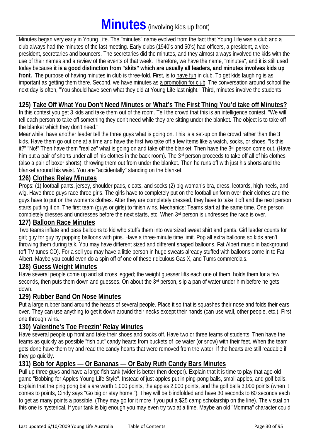## **[Minutes](#page-4-0)** (involving kids up front)

<span id="page-29-0"></span>Minutes began very early in Young Life. The "minutes" name evolved from the fact that Young Life was a club and a club always had the minutes of the last meeting. Early clubs (1940's and 50's) had officers, a president, a vicepresident, secretaries and bouncers. The secretaries did the minutes, and they almost always involved the kids with the use of their names and a review of the events of that week. Therefore, we have the name, "minutes", and it is still used today because **it is a good distinction from "skits" which are usually all leaders, and minutes involves kids up front.** The purpose of having minutes in club is three-fold. First, is to have fun in club. To get kids laughing is as important as getting them there. Second, we have minutes as a promotion for club. The conversation around school the next day is often, "You should have seen what they did at Young Life last night." Third, minutes involve the students.

#### **125) Take Off What You Don't Need Minutes or What's The First Thing You'd take off Minutes?**

In this contest you get 3 kids and take them out of the room. Tell the crowd that this is an intelligence contest. "We will tell each person to take off something they don't need while they are sitting under the blanket. The object is to take off the blanket which they don't need."

Meanwhile, have another leader tell the three guys what is going on. This is a set-up on the crowd rather than the 3 kids. Have them go out one at a time and have the first two take off a few items like a watch, socks, or shoes. "Is this it?" "No!" Then have them "realize" what is going on and take off the blanket. Then have the 3<sup>rd</sup> person come out. (Have him put a pair of shorts under all of his clothes in the back room). The 3<sup>rd</sup> person proceeds to take off all of his clothes (also a pair of boxer shorts), throwing them out from under the blanket. Then he runs off with just his shorts and the blanket around his waist. You are "accidentally" standing on the blanket.

#### **126) Clothes Relay Minutes**

Props: (1) football pants, jersey, shoulder pads, cleats, and socks (2) big woman's bra, dress, leotards, high heels, and wig. Have three guys race three girls. The girls have to completely put on the football uniform over their clothes and the guys have to put on the women's clothes. After they are completely dressed, they have to take it off and the next person starts putting it on. The first team (guys or girls) to finish wins. Mechanics: Teams start at the same time. One person completely dresses and undresses before the next starts, etc. When 3rd person is undresses the race is over.

#### **127) Balloon Race Minutes**

Two teams inflate and pass balloons to kid who stuffs them into oversized sweat shirt and pants. Girl leader counts for girl; guy for guy by popping balloons with pins. Have a three-minute time limit. Pop all extra balloons so kids aren't throwing them during talk. You may have different sized and different shaped balloons. Fat Albert music in background (off TV tunes CD). For a sell you may have a little person in huge sweats already stuffed with balloons come in to Fat Albert. Maybe you could even do a spin off of one of these ridiculous Gas X, and Tums commercials.

#### **128) Guess Weight Minutes**

Have several people come up and sit cross legged; the weight guesser lifts each one of them, holds them for a few seconds, then puts them down and quesses. On about the 3<sup>rd</sup> person, slip a pan of water under him before he gets down.

#### **129) Rubber Band On Nose Minutes**

Put a large rubber band around the heads of several people. Place it so that is squashes their nose and folds their ears over. They can use anything to get it down around their necks except their hands (can use wall, other people, etc.). First one through wins.

#### **130) Valentine's Toe Freezin' Relay Minutes**

Have several people up front and take their shoes and socks off. Have two or three teams of students. Then have the teams as quickly as possible "fish out" candy hearts from buckets of ice water (or snow) with their feet. When the team gets done have them try and read the candy hearts that were removed from the water. If the hearts are still readable if they go quickly.

#### **131) Bob for Apples — Or Bananas — Or Baby Ruth Candy Bars Minutes**

Pull up three guys and have a large fish tank (wider is better then deeper). Explain that it is time to play that age-old game "Bobbing for Apples Young Life Style". Instead of just apples put in ping-pong balls, small apples, and golf balls. Explain that the ping pong balls are worth 1,000 points, the apples 2,000 points, and the golf balls 3,000 points (when it comes to points, Cindy says "Go big or stay home."). They will be blindfolded and have 30 seconds to 60 seconds each to get as many points a possible. (They may go for it more if you put a \$25 camp scholarship on the line). The visual on this one is hysterical. If your tank is big enough you may even try two at a time. Maybe an old "Momma" character could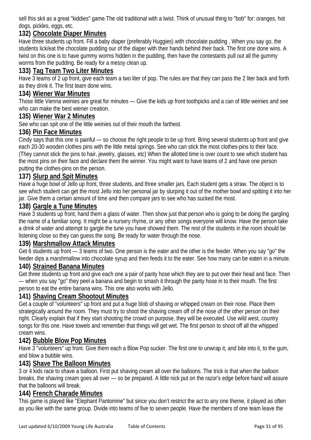<span id="page-30-0"></span>sell this skit as a great "kiddies" game.The old traditional with a twist. Think of unusual thing to "bob" for: oranges, hot dogs, pickles, eggs, etc.

#### **132) Chocolate Diaper Minutes**

Have three students up front. Fill a baby diaper (preferably Huggies) with chocolate pudding . When you say go, the students lick/eat the chocolate pudding our of the diaper with their hands behind their back. The first one done wins. A twist on this one is to have gummy worms hidden in the pudding, then have the contestants pull out all the gummy worms from the pudding. Be ready for a messy clean up.

#### **133) Tag Team Two Liter Minutes**

Have 3 teams of 2 up front, give each team a two liter of pop. The rules are that they can pass the 2 liter back and forth as they drink it. The first team done wins.

#### **134) Wiener War Minutes**

Those little Vienna weinies are great for minutes — Give the kids up front toothpicks and a can of little weinies and see who can make the best wiener creation.

#### **135) Wiener War 2 Minutes**

See who can spit one of the little weinies out of their mouth the farthest.

#### **136) Pin Face Minutes**

Cindy says that this one is painful — so choose the right people to be up front. Bring several students up front and give each 20-30 wooden clothes pins with the little metal springs. See who can stick the most clothes-pins to their face. (They cannot stick the pins to hair, jewelry, glasses, etc) When the allotted time is over count to see which student has the most pins on their face and declare them the winner. You might want to have teams of 2 and have one person putting the clothes-pins on the person.

#### **137) Slurp and Spit Minutes**

Have a huge bowl of Jello up front, three students, and three smaller jars. Each student gets a straw. The object is to see which student can get the most Jello into her personal jar by slurping it out of the mother bowl and spitting it into her jar. Give them a certain amount of time and then compare jars to see who has sucked the most.

#### **138) Gargle a Tune Minutes**

Have 3 students up front, hand them a glass of water. Then show just that person who is going to be doing the gargling the name of a familiar song. It might be a nursery rhyme, or any other songs everyone will know. Have the person take a drink of water and attempt to gargle the tune you have showed them. The rest of the students in the room should be listening close so they can guess the song. Be ready for water through the nose.

#### **139) Marshmallow Attack Minutes**

Get 6 students up front — 3 teams of two. One person is the eater and the other is the feeder. When you say "go" the feeder dips a marshmallow into chocolate syrup and then feeds it to the eater. See how many can be eaten in a minute.

#### **140) Strained Banana Minutes**

Get three students up front and give each one a pair of panty hose which they are to put over their head and face. Then — when you say "go" they peel a banana and begin to smash it through the panty hose in to their mouth. The first person to eat the entire banana wins. This one also works with Jello.

#### **141) Shaving Cream Shootout Minutes**

Get a couple of "volunteers" up front and put a huge blob of shaving or whipped cream on their nose. Place them strategically around the room. They must try to shoot the shaving cream off of the nose of the other person on their right. Clearly explain that if they start shooting the crowd on purpose, they will be executed. Use wild west, country songs for this one. Have towels and remember that things will get wet. The first person to shoot off all the whipped cream wins.

#### **142) Bubble Blow Pop Minutes**

Have 3 "volunteers" up front. Give them each a Blow Pop sucker. The first one to unwrap it, and bite into it, to the gum, and blow a bubble wins.

#### **143) Shave The Balloon Minutes**

3 or 4 kids race to shave a balloon. First put shaving cream all over the balloons. The trick is that when the balloon breaks, the shaving cream goes all over — so be prepared. A little nick put on the razor's edge before hand will assure that the balloons will break.

#### **144) French Charade Minutes**

This game is played like "Elephant Pantomine" but since you don't restrict the act to any one theme, it played as often as you like with the same group. Divide into teams of five to seven people. Have the members of one team leave the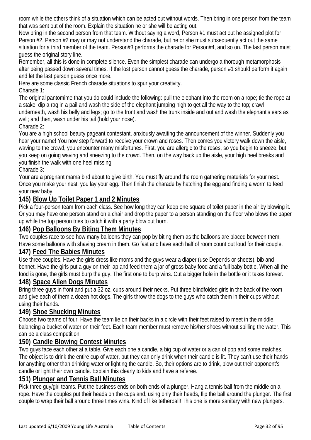<span id="page-31-0"></span>room while the others think of a situation which can be acted out without words. Then bring in one person from the team that was sent out of the room. Explain the situation he or she will be acting out.

Now bring in the second person from that team. Without saying a word, Person #1 must act out he assigned plot for Person #2. Person #2 may or may not understand the charade, but he or she must subsequently act out the same situation for a third member of the team. Person#3 performs the charade for Person#4, and so on. The last person must guess the original story line.

Remember, all this is done in complete silence. Even the simplest charade can undergo a thorough metamorphosis after being passed down several times. If the lost person cannot guess the charade, person #1 should perform it again and let the last person guess once more.

Here are some classic French charade situations to spur your creativity. Charade 1:

The original pantomime that you do could include the following: pull the elephant into the room on a rope; tie the rope at a stake; dip a rag in a pail and wash the side of the elephant jumping high to get all the way to the top; crawl underneath, wash his belly and legs; go to the front and wash the trunk inside and out and wash the elephant's ears as well; and then, wash under his tail (hold your nose).

Charade 2:

You are a high school beauty pageant contestant, anxiously awaiting the announcement of the winner. Suddenly you hear your name! You now step forward to receive your crown and roses. Then comes you victory walk down the aisle, waving to the crowd, you encounter many misfortunes. First, you are allergic to the roses, so you begin to sneeze, but you keep on going waving and sneezing to the crowd. Then, on the way back up the aisle, your high heel breaks and you finish the walk with one heel missing!

#### Charade 3:

Your are a pregnant mama bird about to give birth. You must fly around the room gathering materials for your nest. Once you make your nest, you lay your egg. Then finish the charade by hatching the egg and finding a worm to feed your new baby.

#### **145) Blow Up Toilet Paper 1 and 2 Minutes**

Pick a four-person team from each class. See how long they can keep one square of toilet paper in the air by blowing it. Or you may have one person stand on a chair and drop the paper to a person standing on the floor who blows the paper up while the top person tries to catch it with a party blow out horn.

#### **146) Pop Balloons By Biting Them Minutes**

Two couples race to see how many balloons they can pop by biting them as the balloons are placed between them. Have some balloons with shaving cream in them. Go fast and have each half of room count out loud for their couple.

#### **147) Feed The Babies Minutes**

Use three couples. Have the girls dress like moms and the guys wear a diaper (use Depends or sheets), bib and bonnet. Have the girls put a guy on their lap and feed them a jar of gross baby food and a full baby bottle. When all the food is gone, the girls must burp the guy. The first one to burp wins. Cut a bigger hole in the bottle or it takes forever.

#### **148) Space Alien Dogs Minutes**

Bring three guys in front and put a 32 oz. cups around their necks. Put three blindfolded girls in the back of the room and give each of them a dozen hot dogs. The girls throw the dogs to the guys who catch them in their cups without using their hands.

#### **149) Shoe Shucking Minutes**

Choose two teams of four. Have the team lie on their backs in a circle with their feet raised to meet in the middle, balancing a bucket of water on their feet. Each team member must remove his/her shoes without spilling the water. This can be a class competition.

#### **150) Candle Blowing Contest Minutes**

Two guys face each other at a table. Give each one a candle, a big cup of water or a can of pop and some matches. The object is to drink the entire cup of water, but they can only drink when their candle is lit. They can't use their hands for anything other than drinking water or lighting the candle. So, their options are to drink, blow out their opponent's candle or light their own candle. Explain this clearly to kids and have a referee.

#### **151) Plunger and Tennis Ball Minutes**

Pick three guy/girl teams. Put the business ends on both ends of a plunger. Hang a tennis ball from the middle on a rope. Have the couples put their heads on the cups and, using only their heads, flip the ball around the plunger. The first couple to wrap their ball around three times wins. Kind of like tetherball! This one is more sanitary with new plungers.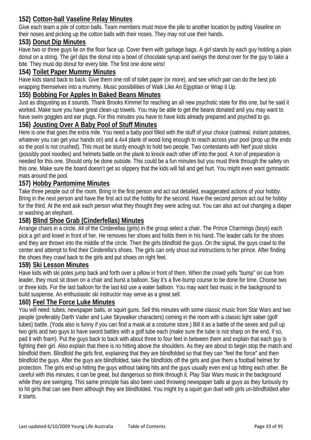#### <span id="page-32-0"></span>**152) Cotton-ball Vaseline Relay Minutes**

Give each team a pile of cotton balls. Team members must move the pile to another location by putting Vaseline on their noses and picking up the cotton balls with their noses. They may not use their hands.

#### **153) Donut Dip Minutes**

Have two or three guys lie on the floor face up. Cover them with garbage bags. A girl stands by each guy holding a plain donut on a string. The girl dips the donut into a bowl of chocolate syrup and swings the donut over for the guy to take a bite. They must dip donut for every bite. The first one done wins!

#### **154) Toilet Paper Mummy Minutes**

Have kids stand back to back. Give them one roll of toilet paper (or more), and see which pair can do the best job wrapping themselves into a mummy. Music possibilities of Walk Like An Egyptian or Wrap it Up.

#### **155) Bobbing For Apples In Baked Beans Minutes**

Just as disgusting as it sounds. Thank Brooks Kimmel for reaching an all new psychotic state for this one, but he said it worked. Make sure you have great clean-up towels. You may be able to get the beans donated and you may want to have swim goggles and ear plugs. For this minutes you have to have kids already prepared and psyched to go.

#### **156) Jousting Over A Baby Pool of Stuff Minutes**

Here is one that goes the extra mile. You need a baby pool filled with the stuff of your choice (oatmeal, instant potatoes, whatever you can get your hands on) and a 4x4 plank of wood long enough to reach across your pool (prop up the ends so the pool is not crushed). This must be sturdy enough to hold two people. Two contestants with Nerf joust sticks (possibly pool noodles) and helmets battle on the plank to knock each other off into the pool. A ton of preparation is needed for this one. Should only be done outside. This could be a fun minutes but you must think through the safety on this one. Make sure the board doesn't get so slippery that the kids will fall and get hurt. You might even want gymnastic mats around the pool.

#### **157) Hobby Pantomime Minutes**

Take three people out of the room. Bring in the first person and act out detailed, exaggerated actions of your hobby. Bring in the next person and have the first act out the hobby for the second. Have the second person act out he hobby for the third. At the end ask each person what they thought they were acting out. You can also act out changing a diaper or washing an elephant.

#### **158) Blind Shoe Grab (Cinderfellas) Minutes**

Arrange chairs in a circle. All of the Cinderellas (girls) in the group select a chair. The Prince Charmings (boys) each pick a girl and kneel in front of her. He removes her shoes and holds them in his hand. The leader calls for the shoes and they are thrown into the middle of the circle. Then the girls blindfold the guys. On the signal, the guys crawl to the center and attempt to find their Cinderella's shoes. The girls can only shout out instructions to her prince. After finding the shoes they crawl back to the girls and put shoes on right feet.

#### **159) Ski Lesson Minutes**

Have kids with ski poles jump back and forth over a pillow in front of them. When the crowd yells "bump" on cue from leader, they must sit down on a chair and burst a balloon. Say it's a five-bump course to be done for time. Choose two or three kids. For the last balloon for the last kid use a water balloon. You may want fast music in the background to build suspense. An enthusiastic ski instructor may serve as a great sell.

#### **160) Feel The Force Luke Minutes**

You will need: tubes, newspaper balls, or squirt guns. Sell this minutes with some classic music from Star Wars and two people (preferably Darth Vader and Luke Skywalker characters) coming in the room with a classic light saber (golf tubes) battle. (Yoda also is funny if you can find a mask at a costume store.) Bill it as a battle of the sexes and pull up two girls and two guys to have sword battles with a golf tube each (make sure the tube is not sharp on the end, if so, pad it with foam). Put the guys back to back with about three to four feet in between them and explain that each guy is fighting their girl. Also explain that there is no hitting above the shoulders. As they are about to begin stop the match and blindfold them. Blindfold the girls first, explaining that they are blindfolded so that they can "feel the force" and then blindfold the guys. After the guys are blindfolded, take the blindfolds off the girls and give them a football helmet for protection. The girls end up hitting the guys without taking hits and the guys usually even end up hitting each other. Be careful with this minutes, it can be great, but dangerous so think through it. Play Star Wars music in the background while they are swinging. This same principle has also been used throwing newspaper balls at guys as they furiously try to hit girls that can see them although they are blindfolded. You might try a squirt gun duel with girls un-blindfolded after it starts.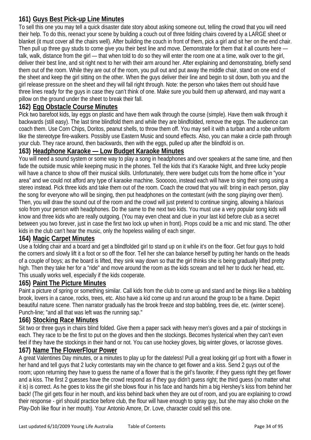#### <span id="page-33-0"></span>**161) Guys Best Pick-up Line Minutes**

To sell this one you may tell a quick disaster date story about asking someone out, telling the crowd that you will need their help. To do this, reenact your scene by building a couch out of three folding chairs covered by a LARGE sheet or blanket (it must cover all the chairs well). After building the couch in front of them, pick a girl and sit her on the end chair. Then pull up three guy studs to come give you their best line and move. Demonstrate for them that it all counts here talk, walk, distance from the girl — that when told to do so they will enter the room one at a time, walk over to the girl, deliver their best line, and sit right next to her with their arm around her. After explaining and demonstrating, briefly send them out of the room. While they are out of the room, you pull out and put away the middle chair, stand on one end of the sheet and keep the girl sitting on the other. When the guys deliver their line and begin to sit down, both you and the girl release pressure on the sheet and they will fall right through. Note: the person who takes them out should have three lines ready for the guys in case they can't think of one. Make sure you build them up afterward, and may want a pillow on the ground under the sheet to break their fall.

#### **162) Egg Obstacle Course Minutes**

Pick two barefoot kids, lay eggs on plastic and have them walk through the course (simple). Have them walk through it backwards (still easy). The last time blindfold them and while they are blindfolded, remove the eggs. The audience can coach them. Use Corn Chips, Doritos, peanut shells, to throw them off. You may sell it with a turban and a robe uniform like the stereotype fire-walkers. Possibly use Eastern Music and sound effects. Also, you can make a circle path through your club. They race around, then backwards, then with the eggs, pulled up after the blindfold is on.

#### **163) Headphone Karaoke — Low Budget Karaoke Minutes**

You will need a sound system or some way to play a song in headphones and over speakers at the same time, and then fade the outside music while keeping music in the phones. Tell the kids that it's Karaoke Night, and three lucky people will have a chance to show off their musical skills. Unfortunately, there were budget cuts from the home office in "your area" and we could not afford any type of karaoke machine. Soooooo, instead each will have to sing their song using a stereo instead. Pick three kids and take them out of the room. Coach the crowd that you will: bring in each person, play the song for everyone who will be singing, then put headphones on the contestant (with the song playing over them). Then, you will draw the sound out of the room and the crowd will just pretend to continue singing, allowing a hilarious solo from your person with headphones. Do the same to the next two kids. You must use a very popular song kids will know and three kids who are really outgoing. (You may even cheat and clue in your last kid before club as a secret between you two forever, just in case the first two lock up when in front). Props could be a mic and mic stand. The other kids in the club can't hear the music, only the hopeless wailing of each singer.

#### **164) Magic Carpet Minutes**

Use a folding chair and a board and get a blindfolded girl to stand up on it while it's on the floor. Get four guys to hold the corners and slowly lift it a foot or so off the floor. Tell her she can balance herself by putting her hands on the heads of a couple of boys; as the board is lifted, they sink way down so that the girl thinks she is being gradually lifted pretty high. Then they take her for a "ride" and move around the room as the kids scream and tell her to duck her head, etc. This usually works well, especially if the kids cooperate.

#### **165) Paint The Picture Minutes**

Paint a picture of spring or something similar. Call kids from the club to come up and stand and be things like a babbling brook, lovers in a canoe, rocks, trees, etc. Also have a kid come up and run around the group to be a frame. Depict beautiful nature scene. Then narrator gradually has the brook freeze and stop babbling, trees die, etc. (winter scene). Punch-line; "and all that was left was the running sap."

#### **166) Stocking Race Minutes**

Sit two or three guys in chairs blind folded. Give them a paper sack with heavy men's gloves and a pair of stockings in each. They race to be the first to put on the gloves and then the stockings. Becomes hysterical when they can't even feel if they have the stockings in their hand or not. You can use hockey gloves, big winter gloves, or lacrosse gloves.

#### **167) Name The FlowerFlour Power**

A great Valentines Day minutes, or a minutes to play up for the dateless! Pull a great looking girl up front with a flower in her hand and tell guys that 2 lucky contestants may win the chance to get flower and a kiss. Send 2 guys out of the room; upon returning they have to guess the name of a flower that is the girl's favorite; if they guess right they get flower and a kiss. The first 2 guesses have the crowd respond as if they guy didn't guess right; the third guess (no matter what it is) is correct. As he goes to kiss the girl she blows flour in his face and hands him a big Hershey's kiss from behind her back! (The girl gets flour in her mouth, and kiss behind back when they are out of room, and you are explaining to crowd their response - girl should practice before club, the flour will have enough to spray guy, but she may also choke on the Play-Doh like flour in her mouth). Your Antonio Amore, Dr. Love, character could sell this one.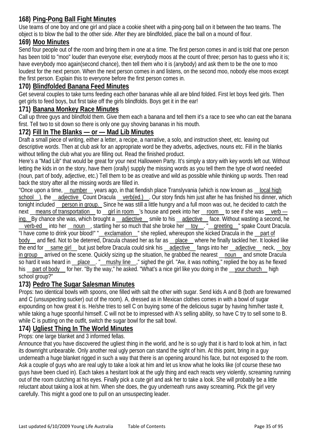#### <span id="page-34-0"></span>**168) Ping-Pong Ball Fight Minutes**

Use teams of one boy and one girl and place a cookie sheet with a ping-pong ball on it between the two teams. The object is to blow the ball to the other side. After they are blindfolded, place the ball on a mound of flour.

#### **169) Moo Minutes**

Send four people out of the room and bring them in one at a time. The first person comes in and is told that one person has been told to "moo" louder than everyone else; everybody moos at the count of three; person has to guess who it is; have everybody moo again(second chance), then tell them who it is (anybody) and ask them to be the one to moo loudest for the next person. When the next person comes in and listens, on the second moo, nobody else moos except the first person. Explain this to everyone before the first person comes in.

#### **170) Blindfolded Banana Feed Minutes**

Get several couples to take turns feeding each other bananas while all are blind folded. First let boys feed girls. Then get girls to feed boys, but first take off the girls blindfolds. Boys get it in the ear!

#### **171) Banana Monkey Race Minutes**

Call up three guys and blindfold them. Give them each a banana and tell them it's a race to see who can eat the banana first. Tell two to sit down so there is only one guy shoving bananas in his mouth.

#### **172) Fill In The Blanks — or — Mad Lib Minutes**

Draft a small piece of writing, either a letter, a recipe, a narrative, a solo, and instruction sheet, etc. leaving out descriptive words. Then at club ask for an appropriate word be they adverbs, adjectives, nouns etc. Fill in the blanks without telling the club what you are filling out. Read the finished product.

Here's a "Mad Lib" that would be great for your next Halloween Party. It's simply a story with key words left out. Without letting the kids in on the story, have them (orally) supply the missing words as you tell them the type of word needed (noun, part of body, adjective, etc.) Tell them to be as creative and wild as possible while thinking up words. Then read back the story after all the missing words are filled in.

"Once upon a time, \_\_number \_\_ years ago, in that fiendish place Translyvania (which is now known as \_\_local high school ), the adjective Count Dracula verb(ed.) . Our story finds him just after he has finished his dinner, which tonight included \_\_person in group.\_ Since he was still a little hungry and a full moon was out, he decided to catch the next \_\_means of transportation\_\_ to \_\_girl in room\_\_'s house and peek into her \_\_room\_\_ to see if she was \_\_verb ing.\_ By chance she was, which brought a \_\_adjective\_\_ smile to his \_\_adjective\_\_ face. Without wasting a second, he \_\_verb-ed\_\_ into her \_\_noun\_\_, startling her so much that she broke her \_\_toy\_\_. "\_\_greeting\_\_" spake Count Dracula. "I have come to drink your blood!" " \_\_exclamation \_\_" she replied, whereupon she kicked Dracula in the \_\_part of body\_\_ and fled. Not to be deterred, Dracula chased her as far as \_\_place\_\_ where he finally tackled her. It looked like the end for same girl but just before Dracula could sink his adjective fangs into her adjective neck, boy in group arrived on the scene. Quickly sizing up the situation, he grabbed the nearest \_\_noun\_ and smote Dracula so hard it was heard in place . " mushy line ," sighed the girl. "Aw, it was nothing," replied the boy as he flexed his part of body for her. "By the way," he asked. "What's a nice girl like you doing in the your church high school group?"

#### **173) Pedro The Sugar Salesman Minutes**

Props: two identical bowls with spoons, one filled with salt the other with sugar. Send kids A and B (both are forewarned and C (unsuspecting sucker) out of the room). A, dressed as in Mexican clothes comes in with a bowl of sugar expounding on how great it is. He/she tries to sell C on buying some of the delicious sugar by having him/her taste it, while taking a huge spoonful himself. C will not be to impressed with A's selling ability, so have C try to sell some to B. while C is putting on the outfit, switch the sugar bowl for the salt bowl.

#### **174) Ugliest Thing In The World Minutes**

Props: one large blanket and 3 informed fellas.

Announce that you have discovered the ugliest thing in the world, and he is so ugly that it is hard to look at him, in fact its downright unbearable. Only another real ugly person can stand the sight of him. At this point, bring in a guy underneath a huge blanket rigged in such a way that there is an opening around his face, but not exposed to the room. Ask a couple of guys who are real ugly to take a look at him and let us know what he looks like (of course these two guys have been clued in). Each takes a hesitant look at the ugly thing and each reacts very violently, screaming running out of the room clutching at his eyes. Finally pick a cute girl and ask her to take a look. She will probably be a little reluctant about taking a look at him. When she does, the guy underneath runs away screaming. Pick the girl very carefully. This might a good one to pull on an unsuspecting leader.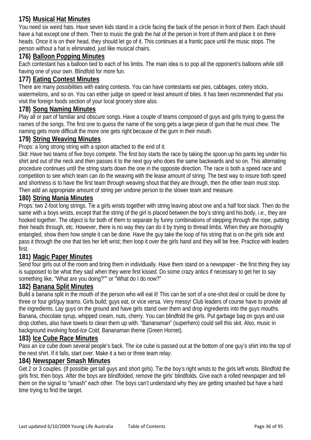#### <span id="page-35-0"></span>**175) Musical Hat Minutes**

You need six weird hats. Have seven kids stand in a circle facing the back of the person in front of them. Each should have a hat except one of them. Then to music the grab the hat of the person in front of them and place it on there heads. Once it is on their head, they should let go of it. This continues at a frantic pace until the music stops. The person without a hat is eliminated, just like musical chairs.

#### **176) Balloon Popping Minutes**

Each contestant has a balloon tied to each of his limbs. The main idea is to pop all the opponent's balloons while still having one of your own. Blindfold for more fun.

#### **177) Eating Contest Minutes**

There are many possibilities with eating contests. You can have contestants eat pies, cabbages, celery sticks, watermelons, and so on. You can either judge on speed or least amount of bites. It has been recommended that you visit the foreign foods section of your local grocery store also.

#### **178) Song Naming Minutes**

Play all or part of familiar and obscure songs. Have a couple of teams composed of guys and girls trying to guess the names of the songs. The first one to guess the name of the song gets a large piece of gum that he must chew. The naming gets more difficult the more one gets right because of the gum in their mouth.

#### **179) String Weaving Minutes**

Props: a long strong string with a spoon attached to the end of it.

Skit: Have two teams of five boys compete. The first boy starts the race by taking the spoon up his pants leg under his shirt and out of the neck and then passes it to the next guy who does the same backwards and so on. This alternating procedure continues until the string starts down the one in the opposite direction. The race is both a speed race and competition to see which team can do the weaving with the lease amount of string. The best way to insure both speed and shortness is to have the first team through weaving shout that they are through, then the other team must stop. Then add an appropriate amount of string per undone person to the slower team and measure.

#### **180) String Mania Minutes**

Props: two 2-foot long strings. Tie a girls wrists together with string leaving about one and a half foot slack. Then do the same with a boys wrists, except that the string of the girl is placed between the boy's string and his body, i.e., they are hooked together. The object is for both of them to separate by funny combinations of stepping through the rope, putting their heads through, etc. However, there is no way they can do it by trying to thread limbs. When they are thoroughly entangled, show them how simple it can be done. Have the guy take the loop of his string that is on the girls side and pass it through the one that ties her left wrist; then loop it over the girls hand and they will be free. Practice with leaders first.

#### **181) Magic Paper Minutes**

Send four girls out of the room and bring them in individually. Have them stand on a newspaper - the first thing they say is supposed to be what they said when they were first kissed. Do some crazy antics if necessary to get her to say something like, "What are you doing?"" or "What do I do now?"

#### **182) Banana Split Minutes**

Build a banana split in the mouth of the person who will eat it! This can be sort of a one-shot deal or could be done by three or four girl/guy teams. Girls build; guys eat, or vice versa. Very messy! Club leaders of course have to provide all the ingredients. Lay guys on the ground and have girls stand over them and drop ingredients into the guys mouths. Banana, chocolate syrup, whipped cream, nuts, cherry. You can blindfold the girls. Put garbage bag on guys and use drop clothes, also have towels to clean them up with. "Bananaman" (superhero) could sell this skit. Also, music in background involving food-*Ice Cold,* Bananaman theme (Green Hornet).

#### **183) Ice Cube Race Minutes**

Pass an ice cube down several people's back. The ice cube is passed out at the bottom of one guy's shirt into the top of the next shirt. If it falls, start over. Make it a two or three team relay.

#### **184) Newspaper Smash Minutes**

Get 2 or 3 couples. (If possible get tall guys and short girls). Tie the boy's right wrists to the girls left wrists. Blindfold the girls first, then boys. After the boys are blindfolded, remove the girls' blindfolds. Give each a rolled newspaper and tell them on the signal to "smash" each other. The boys can't understand why they are getting smashed but have a hard time trying to find the target.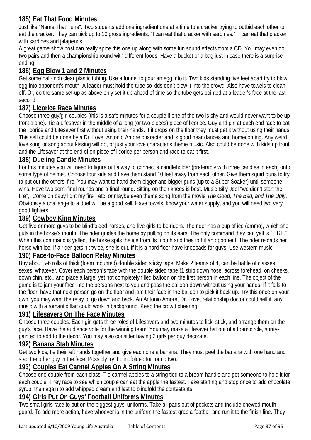# **185) Eat That Food Minutes**

Just like "Name That Tune". Two students add one ingredient one at a time to a cracker trying to outbid each other to eat the cracker. They can pick up to 10 gross ingredients. "I can eat that cracker with sardines." "I can eat that cracker with sardines and jalapenos...."

A great game show host can really spice this one up along with some fun sound effects from a CD. You may even do two pairs and then a championship round with different foods. Have a bucket or a bag just in case there is a surprise ending.

# **186) Egg Blow 1 and 2 Minutes**

Get some half-inch clear plastic tubing. Use a funnel to pour an egg into it. Two kids standing five feet apart try to blow egg into opponent's mouth. A leader must hold the tube so kids don't blow it into the crowd. Also have towels to clean off. Or, do the same set-up as above only set it up ahead of time so the tube gets pointed at a leader's face at the last second.

# **187) Licorice Race Minutes**

Choose three guy/girl couples (this is a safe minutes for a couple if one of the two is shy and would never want to be up front alone). Tie a Lifesaver in the middle of a long (or two pieces) piece of licorice. Guy and girl at each end race to eat the licorice and Lifesaver first without using their hands. If it drops on the floor they must get it without using their hands. This sell could be done by a Dr. Love, Antonio Amore character and is good near dances and homecoming. Any weird love song or song about kissing will do, or just your love character's theme music. Also could be done with kids up front and the Lifesaver at the end of on piece of licorice per person and race to eat it first.

# **188) Dueling Candle Minutes**

For this minutes you will need to figure out a way to connect a candleholder (preferably with three candles in each) onto some type of helmet. Choose four kids and have them stand 10 feet away from each other. Give them squirt guns to try to put out the others' fire. You may want to hand them bigger and bigger guns (up to a Super-Soaker) until someone wins. Have two semi-final rounds and a final round. Sitting on their knees is best. Music Billy Joel "we didn't start the fire", "Come on baby light my fire", etc. or maybe even theme song from the movie *The Good, The Bad, and The Ugly*. Obviously a challenge to a duel will be a good sell. Have towels, know your water supply, and you will need two very good lighters.

## **189) Cowboy King Minutes**

Get five or more guys to be blindfolded horses, and five girls to be riders. The rider has a cup of ice (ammo), which she puts in the horse's mouth. The rider guides the horse by pulling on its ears. The only command they can yell is "FIRE." When this command is yelled, the horse spits the ice from its mouth and tries to hit an opponent. The rider reloads her horse with ice. If a rider gets hit twice, she is out. If it is a hard floor have kneepads for guys. Use western music.

## **190) Face-to-Face Balloon Relay Minutes**

Buy about 5-6 rolls of thick (foam mounted) double sided sticky tape. Make 2 teams of 4, can be battle of classes, sexes, whatever. Cover each person's face with the double sided tape (1 strip down nose, across forehead, on cheeks, down chin, etc., and place a large, yet not completely filled balloon on the first person in each line. The object of the game is to jam your face into the persons next to you and pass the balloon down without using your hands. If it falls to the floor, have that next person go on the floor and jam their face in the balloon to pick it back up. Try this once on your own, you may want the relay to go down and back. An Antonio Amore, Dr. Love, relationship doctor could sell it, any music with a romantic flair could work in background. Keep the crowd cheering!

## **191) Lifesavers On The Face Minutes**

Choose three couples. Each girl gets three roles of Lifesavers and two minutes to lick, stick, and arrange them on the guy's face. Have the audience vote for the winning team. You may make a lifesaver hat out of a foam circle, spraypainted to add to the decor. You may also consider having 2 girls per guy decorate.

## **192) Banana Stab Minutes**

Get two kids; tie their left hands together and give each one a banana. They must peel the banana with one hand and stab the other guy in the face. Possibly try it blindfolded for round two.

## **193) Couples Eat Carmel Apples On A String Minutes**

Choose one couple from each class. Tie carmel apples to a string tied to a broom handle and get someone to hold it for each couple. They race to see which couple can eat the apple the fastest. Fake starting and stop once to add chocolate syrup, then again to add whipped cream and last to blindfold the contestants.

## **194) Girls Put On Guys' Football Uniforms Minutes**

Two small girls race to put on the biggest guys' uniforms. Take all pads out of pockets and include chewed mouth guard. To add more action, have whoever is in the uniform the fastest grab a football and run it to the finish line. They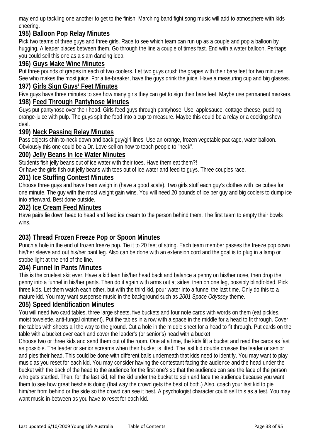may end up tackling one another to get to the finish. Marching band fight song music will add to atmosphere with kids cheering.

## **195) Balloon Pop Relay Minutes**

Pick two teams of three guys and three girls. Race to see which team can run up as a couple and pop a balloon by hugging. A leader places between them. Go through the line a couple of times fast. End with a water balloon. Perhaps you could sell this one as a slam dancing idea.

## **196) Guys Make Wine Minutes**

Put three pounds of grapes in each of two coolers. Let two guys crush the grapes with their bare feet for two minutes. See who makes the most juice. For a tie-breaker, have the guys drink the juice. Have a measuring cup and big glasses.

## **197) Girls Sign Guys' Feet Minutes**

Five guys have three minutes to see how many girls they can get to sign their bare feet. Maybe use permanent markers. **198) Feed Through Pantyhose Minutes** 

Guys put pantyhose over their head. Girls feed guys through pantyhose. Use: applesauce, cottage cheese, pudding, orange-juice with pulp. The guys spit the food into a cup to measure. Maybe this could be a relay or a cooking show deal.

#### **199) Neck Passing Relay Minutes**

Pass objects chin-to-neck down and back guy/girl lines. Use an orange, frozen vegetable package, water balloon. Obviously this one could be a Dr. Love sell on how to teach people to "neck".

#### **200) Jelly Beans In Ice Water Minutes**

Students fish jelly beans out of ice water with their toes. Have them eat them?!

Or have the girls fish out jelly beans with toes out of ice water and feed to guys. Three couples race.

## **201) Ice Stuffing Contest Minutes**

Choose three guys and have them weigh in (have a good scale). Two girls stuff each guy's clothes with ice cubes for one minute. The guy with the most weight gain wins. You will need 20 pounds of ice per guy and big coolers to dump ice into afterward. Best done outside.

#### **202) Ice Cream Feed Minutes**

Have pairs lie down head to head and feed ice cream to the person behind them. The first team to empty their bowls wins.

## **203) Thread Frozen Freeze Pop or Spoon Minutes**

Punch a hole in the end of frozen freeze pop. Tie it to 20 feet of string. Each team member passes the freeze pop down his/her sleeve and out his/her pant leg. Also can be done with an extension cord and the goal is to plug in a lamp or strobe light at the end of the line.

## **204) Funnel In Pants Minutes**

This is the cruelest skit ever. Have a kid lean his/her head back and balance a penny on his/her nose, then drop the penny into a funnel in his/her pants. Then do it again with arms out at sides, then on one leg, possibly blindfolded. Pick three kids. Let them watch each other, but with the third kid, pour water into a funnel the last time. Only do this to a mature kid. You may want suspense music in the background such as *2001 Space Odyssey* theme.

#### **205) Speed Identification Minutes**

You will need two card tables, three large sheets, five buckets and four note cards with words on them (eat pickles, moist towelette, anti-fungal ointment). Put the tables in a row with a space in the middle for a head to fit through. Cover the tables with sheets all the way to the ground. Cut a hole in the middle sheet for a head to fit through. Put cards on the table with a bucket over each and cover the leader's (or senior's) head with a bucket

Choose two or three kids and send them out of the room. One at a time, the kids lift a bucket and read the cards as fast as possible. The leader or senior screams when their bucket is lifted. The last kid double crosses the leader or senior and pies their head. This could be done with different balls underneath that kids need to identify. You may want to play music as you reset for each kid. You may consider having the contestant facing the audience and the head under the bucket with the back of the head to the audience for the first one's so that the audience can see the face of the person who gets startled. Then, for the last kid, tell the kid under the bucket to spin and face the audience because you want them to see how great he/she is doing (that way the crowd gets the best of both.) Also, coach your last kid to pie him/her from behind or the side so the crowd can see it best. A psychologist character could sell this as a test. You may want music in-between as you have to reset for each kid.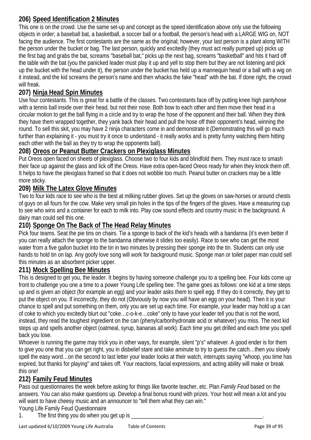# **206) Speed Identification 2 Minutes**

This one is on the crowd. Use the same set-up and concept as the speed identification above only use the following objects in order; a baseball bat, a basketball, a soccer ball or a football, the person's head with a LARGE WIG on, NOT facing the audience. The first contestants are the same as the original; however, your last person is a plant along WITH the person under the bucket or bag. The last person, quickly and excitedly (they must act really pumped up) picks up the first bag and grabs the bat, screams "baseball bat," picks up the next bag, screams "basketball" and hits it hard off the table with the bat (you the panicked leader must play it up and yell to stop them but they are not listening and pick up the bucket with the head under it), the person under the bucket has held up a mannequin head or a ball with a wig on it instead, and the kid screams the person's name and then whacks the fake "head" with the bat. If done right, the crowd will freak.

# **207) Ninja Head Spin Minutes**

Use four contestants. This is great for a battle of the classes. Two contestants face off by putting knee high pantyhose with a tennis ball inside over their head, but not their nose. Both bow to each other and then move their head in a circular motion to get the ball flying in a circle and try to wrap the hose of the opponent and their ball. When they think they have them wrapped together, they yank back their head and pull the hose off their opponent's head, winning the round. To sell this skit, you may have 2 ninja characters come in and demonstrate it (Demonstrating this will go much further than explaining it - you must try it once to understand - it really works and is pretty funny watching them hitting each other with the ball as they try to wrap the opponents ball).

## **208) Oreos or Peanut Butter Crackers on Plexiglass Minutes**

Put Oreos open faced on sheets of plexiglass. Choose two to four kids and blindfold them. They must race to smash their face up against the glass and lick off the Oreos. Have extra open-faced Oreos ready for when they knock them off. It helps to have the plexiglass framed so that it does not wobble too much. Peanut butter on crackers may be a little more sticky.

## **209) Milk The Latex Glove Minutes**

Two to four kids race to see who is the best at milking rubber gloves. Set up the gloves on saw-horses or around chests of guys on all fours for the cow. Make very small pin holes in the tips of the fingers of the gloves. Have a measuring cup to see who wins and a container for each to milk into. Play cow sound effects and country music in the background. A dairy man could sell this one.

## **210) Sponge On The Back of The Head Relay Minutes**

Pick four teams. Seat the pie tins on chairs. Tie a sponge to back of the kid's heads with a bandanna (it's even better if you can really attach the sponge to the bandanna otherwise it slides too easily). Race to see who can get the most water from a five gallon bucket into the tin in two minutes by pressing their sponge into the tin. Students can only use hands to hold tin on lap. Any goofy love song will work for background music. Sponge man or toilet paper man could sell this minutes as an absorbent picker upper.

## **211) Mock Spelling Bee Minutes**

This is designed to get you, the leader. It begins by having someone challenge you to a spelling bee. Four kids come up front to challenge you one a time to a power Young Life spelling bee. The game goes as follows: one kid at a time steps up and is given an object (for example an egg) and your leader asks them to spell egg. If they do it correctly, they get to put the object on you. If incorrectly, they do not (Obviously by now you will have an egg on your head). Then it is your chance to spell and put something on them, only you are set up each time. For example, your leader may hold up a can of coke to which you excitedly blurt out "coke…c-o-k-e…coke" only to have your leader tell you that is not the word, instead, they read the toughest ingredient on the can (phenylcarbonhydronate acid or whatever) you miss. The next kid steps up and spells another object (oatmeal, syrup, bananas all work). Each time you get drilled and each time you spell back you lose.

Whoever is running the game may trick you in other ways, for example, silent "p's" whatever. A good ender is for them to give you one that you can get right, you in disbelief stare and take aminute to try to guess the catch…then you slowly spell the easy word…on the second to last letter your leader looks at their watch, interrupts saying "whoop, you time has expired, but thanks for playing" and takes off. Your reactions, facial expressions, and acting ability will make or break this one!

## **212) Family Feud Minutes**

Pass out questionnaires the week before asking for things like favorite teacher, etc. Plan *Family Feud* based on the answers. You can also make questions up. Develop a final bonus round with prizes. Your host will mean a lot and you will want to have cheesy music and an announcer to "tell them what they can win."

## Young Life Family Feud Questionnaire

1. The first thing you do when you get up is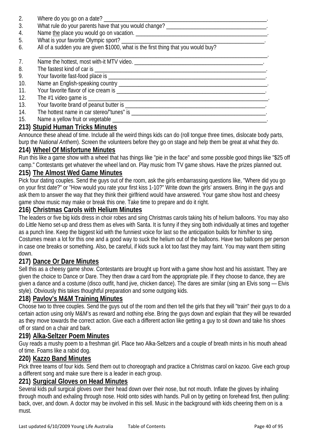- 2. Where do you go on a date? \_\_\_\_\_\_\_\_\_\_\_\_\_\_\_\_\_\_\_\_\_\_\_\_\_\_\_\_\_\_\_\_\_\_\_\_\_\_\_\_\_\_\_\_\_\_\_\_\_\_\_\_\_\_\_\_\_.
- 3. What rule do your parents have that you would change? \_\_\_\_\_\_\_\_\_\_\_\_\_\_\_\_\_\_\_\_\_\_\_\_\_\_\_\_\_\_\_\_\_\_\_.
- 4. Name the place you would go on vacation.
- 5. What is your favorite Olympic sport? \_\_\_\_\_\_\_\_\_\_\_\_\_\_\_\_\_\_\_\_\_\_\_\_\_\_\_\_\_\_\_\_\_\_\_\_\_\_\_\_\_\_\_\_\_\_\_\_\_\_.
- 6. All of a sudden you are given \$1000, what is the first thing that you would buy?
- \_\_\_\_\_\_\_\_\_\_\_\_\_\_\_\_\_\_\_\_\_\_\_\_\_\_\_\_\_\_\_\_\_\_\_\_\_\_\_\_\_\_\_\_\_\_\_\_\_\_\_\_\_\_\_\_\_\_\_\_\_\_\_\_\_\_\_\_\_\_\_\_\_\_\_\_\_\_\_\_. 7. Name the hottest, most with-it MTV video.
- 8. The fastest kind of car is \_\_\_\_\_\_\_\_\_\_\_\_\_\_\_\_\_\_\_\_\_\_\_\_\_\_\_\_\_\_\_\_\_\_\_\_\_\_\_\_\_\_\_\_\_\_\_\_\_\_\_\_\_\_\_\_\_\_\_\_.
- 9. Your favorite fast-food place is \_\_\_\_\_\_\_\_\_\_\_\_\_\_\_\_\_\_\_\_\_\_\_\_\_\_\_\_\_\_\_\_\_\_\_\_\_\_\_\_\_\_\_\_\_\_\_\_\_\_\_\_\_\_\_.
- 10. Name an English-speaking country \_\_\_\_\_\_\_\_\_\_\_\_\_\_\_\_\_\_\_\_\_\_\_\_\_\_\_\_\_\_\_\_\_\_\_\_\_\_\_\_\_\_\_\_\_\_\_\_\_\_\_\_.
- 11. Your favorite flavor of ice cream is \_\_\_\_\_\_\_\_\_\_\_\_\_\_\_\_\_\_\_\_\_\_\_\_\_\_\_\_\_\_\_\_\_\_\_\_\_\_\_\_\_\_\_\_\_\_\_\_\_\_\_\_.
- 12. The #1 video game is \_\_\_\_\_\_\_\_\_\_\_\_\_\_\_\_\_\_\_\_\_\_\_\_\_\_\_\_\_\_\_\_\_\_\_\_\_\_\_\_\_\_\_\_\_\_\_\_\_\_\_\_\_\_\_\_\_\_\_\_\_\_\_.
- 13. Your favorite brand of peanut butter is \_\_\_\_\_\_\_\_\_\_\_\_\_\_\_\_\_\_\_\_\_\_\_\_\_\_\_\_\_\_\_\_\_\_\_\_\_\_\_\_\_\_\_\_\_\_\_\_\_.
- 14. The hottest name in car stereo/"tunes" is \_\_\_\_\_\_\_\_\_\_\_\_\_\_\_\_\_\_\_\_\_\_\_\_\_\_\_\_\_\_\_\_\_\_\_\_\_\_\_\_\_\_\_\_\_\_\_.
- 15. Name a yellow fruit or vegetable \_\_\_\_\_\_\_\_\_\_\_\_\_\_\_\_\_\_\_\_\_\_\_\_\_\_\_\_\_\_\_\_\_\_\_\_\_\_\_\_\_\_\_\_\_\_\_\_\_\_\_\_\_\_.

## **213) Stupid Human Tricks Minutes**

Announce these ahead of time. Include all the weird things kids can do (roll tongue three times, dislocate body parts, burp the *National Anthem*). Screen the volunteers before they go on stage and help them be great at what they do.

#### **214) Wheel Of Misfortune Minutes**

Run this like a game show with a wheel that has things like "pie in the face" and some possible good things like "\$25 off camp." Contestants get whatever the wheel land on. Play music from TV game shows. Have the prizes planned out.

#### **215) The Almost Wed Game Minutes**

Pick four dating couples. Send the guys out of the room, ask the girls embarrassing questions like, "Where did you go on your first date?" or "How would you rate your first kiss 1-10?" Write down the girls' answers. Bring in the guys and ask them to answer the way that they think their girlfriend would have answered. Your game show host and cheesy game show music may make or break this one. Take time to prepare and do it right.

#### **216) Christmas Carols with Helium Minutes**

The leaders or five big kids dress in choir robes and sing Christmas carols taking hits of helium balloons. You may also do Little Nemo set-up and dress them as elves with Santa. It is funny if they sing both individually at times and together as a punch line. Keep the biggest kid with the funniest voice for last so the anticipation builds for him/her to sing. Costumes mean a lot for this one and a good way to suck the helium out of the balloons. Have two balloons per person in case one breaks or something. Also, be careful, if kids suck a lot too fast they may faint. You may want them sitting down.

## **217) Dance Or Dare Minutes**

Sell this as a cheesy game show. Contestants are brought up front with a game show host and his assistant. They are given the choice to Dance or Dare. They then draw a card from the appropriate pile. If they choose to dance, they are given a dance and a costume (disco outfit, hand jive, chicken dance). The dares are similar (sing an Elvis song — Elvis style). Obviously this takes thoughtful preparation and some outgoing kids.

#### **218) Pavlov's M&M Training Minutes**

Choose two to three couples. Send the guys out of the room and then tell the girls that they will "train" their guys to do a certain action using only M&M's as reward and nothing else. Bring the guys down and explain that they will be rewarded as they move towards the correct action. Give each a different action like getting a guy to sit down and take his shoes off or stand on a chair and bark.

#### **219) Alka-Seltzer Poem Minutes**

Guy reads a mushy poem to a freshman girl. Place two Alka-Seltzers and a couple of breath mints in his mouth ahead of time. Foams like a rabid dog.

#### **220) Kazzo Band Minutes**

Pick three teams of four kids. Send them out to choreograph and practice a Christmas carol on kazoo. Give each group a different song and make sure there is a leader in each group.

#### **221) Surgical Gloves on Head Minutes**

Several kids pull surgical gloves over their head down over their nose, but not mouth. Inflate the gloves by inhaling through mouth and exhaling through nose. Hold onto sides with hands. Pull on by getting on forehead first, then pulling: back, over, and down. A doctor may be involved in this sell. Music in the background with kids cheering them on is a must.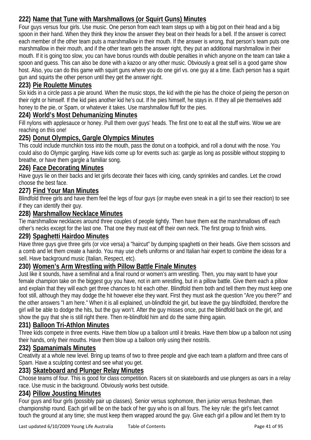# **222) Name that Tune with Marshmallows (or Squirt Guns) Minutes**

Four guys versus four girls. Use music. One person from each team steps up with a big pot on their head and a big spoon in their hand. When they think they know the answer they beat on their heads for a bell. If the answer is correct each member of the other team puts a marshmallow in their mouth. If the answer is wrong, that person's team puts one marshmallow in their mouth, and if the other team gets the answer right, they put an additional marshmallow in their mouth. If it is going too slow, you can have bonus rounds with double penalties in which anyone on the team can take a spoon and guess. This can also be done with a kazoo or any other music. Obviously a great sell is a good game show host. Also, you can do this game with squirt guns where you do one girl vs. one guy at a time. Each person has a squirt gun and squirts the other person until they get the answer right.

## **223) Pie Roulette Minutes**

Six kids in a circle pass a pie around. When the music stops, the kid with the pie has the choice of pieing the person on their right or himself. If the kid pies another kid he's out. If he pies himself, he stays in. If they all pie themselves add honey to the pie, or Spam, or whatever it takes. Use marshmallow fluff for the pies.

#### **224) World's Most Dehumanizing Minutes**

Fill nylons with applesauce or honey. Pull them over guys' heads. The first one to eat all the stuff wins. Wow we are reaching on this one!

#### **225) Donut Olympics, Gargle Olympics Minutes**

This could include munchkin toss into the mouth, pass the donut on a toothpick, and roll a donut with the nose. You could also do Olympic gargling. Have kids come up for events such as: gargle as long as possible without stopping to breathe, or have them gargle a familiar song.

#### **226) Face Decorating Minutes**

Have guys lie on their backs and let girls decorate their faces with icing, candy sprinkles and candles. Let the crowd choose the best face.

#### **227) Find Your Man Minutes**

Blindfold three girls and have them feel the legs of four guys (or maybe even sneak in a girl to see their reaction) to see if they can identify their guy.

#### **228) Marshmallow Necklace Minutes**

Tie marshmallow necklaces around three couples of people tightly. Then have them eat the marshmallows off each other's necks except for the last one. That one they must eat off their own neck. The first group to finish wins.

#### **229) Spaghetti Hairdoo Minutes**

Have three guys give three girls (or vice versa) a "haircut" by dumping spaghetti on their heads. Give them scissors and a comb and let them create a hairdo. You may use chefs uniforms or and Italian hair expert to combine the ideas for a sell. Have background music (Italian, Respect, etc).

## **230) Women's Arm Wrestling with Pillow Battle Finale Minutes**

Just like it sounds, have a semifinal and a final round or women's arm wrestling. Then, you may want to have your female champion take on the biggest guy you have, not in arm wrestling, but in a pillow battle. Give them each a pillow and explain that they will each get three chances to hit each other. Blindfold them both and tell them they must keep one foot still, although they may dodge the hit however else they want. First they must ask the question "Are you there?" and the other answers "I am here." When it is all explained, un-blindfold the girl, but leave the guy blindfolded, therefore the girl will be able to dodge the hits, but the guy won't. After the guy misses once, put the blindfold back on the girl, and show the guy that she is still right there. Then re-blindfold him and do the same thing again.

## **231) Balloon Tri-Athlon Minutes**

Three kids compete in three events. Have them blow up a balloon until it breaks. Have them blow up a balloon not using their hands, only their mouths. Have them blow up a balloon only using their nostrils.

#### **232) Spamanimals Minutes**

Creativity at a whole new level. Bring up teams of two to three people and give each team a platform and three cans of Spam. Have a sculpting contest and see what you get.

## **233) Skateboard and Plunger Relay Minutes**

Choose teams of four. This is good for class competition. Racers sit on skateboards and use plungers as oars in a relay race. Use music in the background. Obviously works best outside.

#### **234) Pillow Jousting Minutes**

Four guys and four girls (possibly pair up classes). Senior versus sophomore, then junior versus freshman, then championship round. Each girl will be on the back of her guy who is on all fours. The key rule: the girl's feet cannot touch the ground at any time; she must keep them wrapped around the guy. Give each girl a pillow and let them try to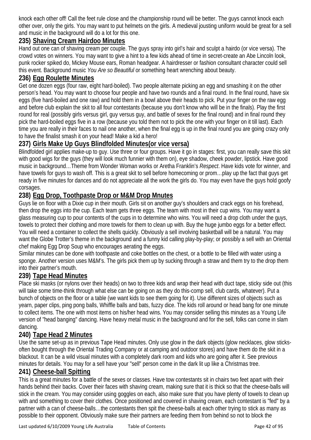knock each other off! Call the feet rule close and the championship round will be better. The guys cannot knock each other over, only the girls. You may want to put helmets on the girls. A medieval jousting uniform would be great for a sell and music in the background will do a lot for this one.

# **235) Shaving Cream Hairdoo Minutes**

Hand out one can of shaving cream per couple. The guys spray into girl's hair and sculpt a hairdo (or vice versa). The crowd votes on winners. You may want to give a hint to a few kids ahead of time in secret-create an Abe Lincoln look, punk rocker spiked do, Mickey Mouse ears, Roman headgear. A hairdresser or fashion consultant character could sell this event. Background music *You Are so Beautiful* or something heart wrenching about beauty.

# **236) Egg Roulette Minutes**

Get one dozen eggs (four raw, eight hard-boiled). Two people alternate picking an egg and smashing it on the other person's head. You may want to choose four people and have two rounds and a final round. In the final round, have six eggs (five hard-boiled and one raw) and hold them in a bowl above their heads to pick. Put your finger on the raw egg and before club explain the skit to all four contestants (because you don't know who will be in the finals). Play the first round for real (possibly girls versus girl, guy versus guy, and battle of sexes for the final round) and in final round they pick the hard-boiled eggs five in a row (because you told them not to pick the one with your finger on it till last). Each time you are really in their faces to nail one another, when the final egg is up in the final round you are going crazy only to have the finalist smash it on your head! Make a kid a hero!

# **237) Girls Make Up Guys Blindfolded Minutes(or vice versa)**

Blindfolded girl applies make-up to guy. Use three or four groups. Have it go in stages: first, you can really save this skit with good wigs for the guys (they will look much funnier with them on), eye shadow, cheek powder, lipstick. Have good music in background…Theme from Wonder Woman works or Aretha Franklin's *Respect*. Have kids vote for winner, and have towels for guys to wash off. This is a great skit to sell before homecoming or prom…play up the fact that guys get ready in five minutes for dances and do not appreciate all the work the girls do. You may even have the guys hold goofy corsages.

## **238) Egg Drop, Toothpaste Drop or M&M Drop Mnutes**

Guys lie on floor with a Dixie cup in their mouth. Girls sit on another guy's shoulders and crack eggs on his forehead, then drop the eggs into the cup. Each team gets three eggs. The team with most in their cup wins. You may want a glass measuring cup to pour contents of the cups in to determine who wins. You will need a drop cloth under the guys, towels to protect their clothing and more towels for them to clean up with. Buy the huge jumbo eggs for a better effect. You will need a container to collect the shells quickly. Obviously a sell involving basketball will be a natural. You may want the Globe Trotter's theme in the background and a funny kid calling play-by-play; or possibly a sell with an Oriental chef making Egg Drop Soup who encourages aerating the eggs.

Similar minutes can be done with toothpaste and coke bottles on the chest, or a bottle to be filled with water using a sponge. Another version uses M&M's. The girls pick them up by sucking through a straw and them try to the drop them into their partner's mouth.

## **239) Tape Head Minutes**

Place ski masks (or nylons over their heads) on two to three kids and wrap their head with duct tape, sticky side out (this will take some time-think through what else can be going on as they do this-comp sell, club cards, whatever). Put a bunch of objects on the floor or a table (we want kids to see them going for it). Use different sizes of objects such as yearn, paper clips, ping pong balls, Whiffle balls and bats, fuzzy dice. The kids roll around or head bang for one minute to collect items. The one with most items on his/her head wins. You may consider selling this minutes as a Young Life version of "head banging" dancing. Have heavy metal music in the background and for the sell, folks can come in slam dancing.

## **240) Tape Head 2 Minutes**

Use the same set-up as in previous Tape Head minutes. Only use glow in the dark objects (glow necklaces, glow sticksoften bought through the Oriental Trading Company or at camping and outdoor stores) and have them do the skit in a blackout. It can be a wild visual minutes with a completely dark room and kids who are going after it. See previous minutes for details. You may for a sell have your "sell" person come in the dark lit up like a Christmas tree.

## **241) Cheese-ball Spitting**

This is a great minutes for a battle of the sexes or classes. Have tow contestants sit in chairs two feet apart with their hands behind their backs. Cover their faces with shaving cream, making sure that it is thick so that the cheese-balls will stick in the cream. You may consider using goggles on each, also make sure that you have plenty of towels to clean up with and something to cover their clothes. Once positioned and covered in shaving cream, each contestant is "fed" by a partner with a can of cheese-balls…the contestants then spit the cheese-balls at each other trying to stick as many as possible to their opponent. Obviously make sure their partners are feeding them from behind so not to block the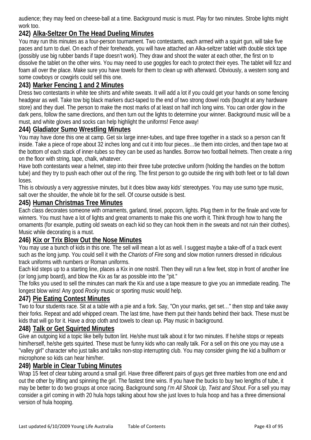audience; they may feed on cheese-ball at a time. Background music is must. Play for two minutes. Strobe lights might work too.

# **242) Alka-Seltzer On The Head Dueling Minutes**

You may run this minutes as a four-person tournament. Two contestants, each armed with a squirt gun, will take five paces and turn to duel. On each of their foreheads, you will have attached an Alka-seltzer tablet with double stick tape (possibly use big rubber bands if tape doesn't work). They draw and shoot the water at each other, the first on to dissolve the tablet on the other wins. You may need to use goggles for each to protect their eyes. The tablet will fizz and foam all over the place. Make sure you have towels for them to clean up with afterward. Obviously, a western song and some cowboys or cowgirls could sell this one.

## **243) Marker Fencing 1 and 2 Minutes**

Dress two contestants in white tee shirts and white sweats. It will add a lot if you could get your hands on some fencing headgear as well. Take tow big black markers duct-taped to the end of two strong dowel rods (bought at any hardware store) and they duel. The person to make the most marks of at least on half inch long wins. You can order glow in the dark pens, follow the same directions, and then turn out the lights to determine your winner. Background music will be a must, and white gloves and socks can help highlight the uniforms! Fence away!

## **244) Gladiator Sumo Wrestling Minutes**

You may have done this one at camp. Get six large inner-tubes, and tape three together in a stack so a person can fit inside. Take a piece of rope about 32 inches long and cut it into four pieces…tie them into circles, and then tape two at the bottom of each stack of inner-tubes so they can be used as handles. Borrow two football helmets. Then create a ring on the floor with string, tape, chalk, whatever.

Have both contestants wear a helmet, step into their three tube protective uniform (holding the handles on the bottom tube) and they try to push each other out of the ring. The first person to go outside the ring with both feet or to fall down loses.

This is obviously a very aggressive minutes, but it does blow away kids' stereotypes. You may use sumo type music, salt over the shoulder, the whole bit for the sell. Of course outside is best.

#### **245) Human Christmas Tree Minutes**

Each class decorates someone with ornaments, garland, tinsel, popcorn, lights. Plug them in for the finale and vote for winners. You must have a lot of lights and great ornaments to make this one worth it. Think through how to hang the ornaments (for example, putting old sweats on each kid so they can hook them in the sweats and not ruin their clothes). Music while decorating is a must.

## **246) Kix or Trix Blow Out the Nose Minutes**

You may use a bunch of kids in this one. The sell will mean a lot as well. I suggest maybe a take-off of a track event such as the long jump. You could sell it with the *Chariots of Fire* song and slow motion runners dressed in ridiculous track uniforms with numbers or Roman uniforms.

Each kid steps up to a starting line, places a Kix in one nostril. Then they will run a few feet, stop in front of another line (or long jump board), and blow the Kix as far as possible into the "pit."

The folks you used to sell the minutes can mark the Kix and use a tape measure to give you an immediate reading. The longest blow wins! Any good *Rocky* music or sporting music would help.

## **247) Pie Eating Contest Minutes**

Two to four students race. Sit at a table with a pie and a fork. Say, "On your marks, get set…" then stop and take away their forks. Repeat and add whipped cream. The last time, have them put their hands behind their back. These must be kids that will go for it. Have a drop cloth and towels to clean up. Play music in background.

#### **248) Talk or Get Squirted Minutes**

Give an outgoing kid a topic like belly button lint. He/she must talk about it for two minutes. If he/she stops or repeats him/herself, he/she gets squirted. These must be funny kids who can really talk. For a sell on this one you may use a "valley girl" character who just talks and talks non-stop interrupting club. You may consider giving the kid a bullhorn or microphone so kids can hear him/her.

#### **249) Marble in Clear Tubing Minutes**

Wrap 15 feet of clear tubing around a small girl. Have three different pairs of guys get three marbles from one end and out the other by lifting and spinning the girl. The fastest time wins. If you have the bucks to buy two lengths of tube, it may be better to do two groups at once racing. Background song *I'm All Shook Up, Twist and Shout*. For a sell you may consider a girl coming in with 20 hula hops talking about how she just loves to hula hoop and has a three dimensional version of hula hooping.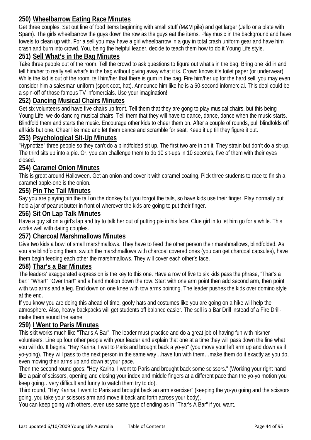# **250) Wheelbarrow Eating Race Minutes**

Get three couples. Set out line of food items beginning with small stuff (M&M pile) and get larger (Jello or a plate with Spam). The girls wheelbarrow the guys down the row as the guys eat the items. Play music in the background and have towels to clean up with. For a sell you may have a girl wheelbarrow in a guy in total crash uniform gear and have him crash and burn into crowd. You, being the helpful leader, decide to teach them how to do it Young Life style.

## **251) Sell What's in the Bag Minutes**

Take three people out of the room. Tell the crowd to ask questions to figure out what's in the bag. Bring one kid in and tell him/her to really sell what's in the bag without giving away what it is. Crowd knows it's toilet paper (or underwear). While the kid is out of the room, tell him/her that there is gum in the bag. Fire him/her up for the hard sell, you may even consider him a salesman uniform (sport coat, hat). Announce him like he is a 60-second infomercial. This deal could be a spin-off of those famous TV infomercials. Use your imagination!

## **252) Dancing Musical Chairs Minutes**

Get six volunteers and have five chairs up front. Tell them that they are gong to play musical chairs, but this being Young Life, we do dancing musical chairs. Tell them that they will have to dance, dance, dance when the music starts. Blindfold them and starts the music. Encourage other kids to cheer them on. After a couple of rounds, pull blindfolds off all kids but one. Cheer like mad and let them dance and scramble for seat. Keep it up till they figure it out.

#### **253) Psychological Sit-Up Minutes**

"Hypnotize" three people so they can't do a blindfolded sit up. The first two are in on it. They strain but don't do a sit-up. The third sits up into a pie. Or, you can challenge them to do 10 sit-ups in 10 seconds, five of them with their eyes closed.

## **254) Caramel Onion Minutes**

This is great around Halloween. Get an onion and cover it with caramel coating. Pick three students to race to finish a caramel apple-one is the onion.

#### **255) Pin The Tail Minutes**

Say you are playing pin the tail on the donkey but you forgot the tails, so have kids use their finger. Play normally but hold a jar of peanut butter in front of wherever the kids are going to put their finger.

#### **256) Sit On Lap Talk Minutes**

Have a guy sit on a girl's lap and try to talk her out of putting pie in his face. Clue girl in to let him go for a while. This works well with dating couples.

#### **257) Charcoal Marshmallows Minutes**

Give two kids a bowl of small marshmallows. They have to feed the other person their marshmallows, blindfolded. As you are blindfolding them, switch the marshmallows with charcoal covered ones (you can get charcoal capsules), have them begin feeding each other the marshmallows. They will cover each other's face.

#### **258) Thar's a Bar Minutes**

The leaders' exaggerated expression is the key to this one. Have a row of five to six kids pass the phrase, "Thar's a bar!" "Whar!" "Over thar!" and a hand motion down the row. Start with one arm point then add second arm, then point with two arms and a leg. End down on one knee with tow arms pointing. The leader pushes the kids over domino style at the end.

If you know you are doing this ahead of time, goofy hats and costumes like you are going on a hike will help the atmosphere. Also, heavy backpacks will get students off balance easier. The sell is a Bar Drill instead of a Fire Drillmake them sound the same.

## **259) I Went to Paris Minutes**

This skit works much like "Thar's A Bar". The leader must practice and do a great job of having fun with his/her volunteers. Line up four other people with your leader and explain that one at a time they will pass down the line what you will do. It begins, "Hey Karina, I wet to Paris and brought back a yo-yo" (you move your left arm up and down as if yo-yoing). They will pass to the next person in the same way…have fun with them…make them do it exactly as you do, even moving their arms up and down at your pace.

Then the second round goes: "Hey Karina, I went to Paris and brought back some scissors." (Working your right hand like a pair of scissors, opening and closing your index and middle fingers at a different pace than the yo-yo motion you keep going…very difficult and funny to watch them try to do).

Third round, "Hey Karina, I went to Paris and brought back an arm exerciser" (keeping the yo-yo going and the scissors going, you take your scissors arm and move it back and forth across your body).

You can keep going with others, even use same type of ending as in "Thar's A Bar" if you want.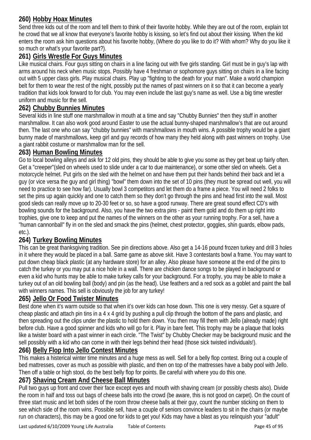# **260) Hobby Hoax Minutes**

Send three kids out of the room and tell them to think of their favorite hobby. While they are out of the room, explain tot he crowd that we all know that everyone's favorite hobby is kissing, so let's find out about their kissing. When the kid enters the room ask him questions about his favorite hobby, (Where do you like to do it? With whom? Why do you like it so much or what's your favorite part?).

# **261) Girls Wrestle For Guys Minutes**

Like musical chairs. Four guys sitting on chairs in a line facing out with five girls standing. Girl must be in guy's lap with arms around his neck when music stops. Possibly have 4 freshman or sophomore guys sitting on chairs in a line facing out with 5 upper class girls. Play musical chairs. Play up "fighting to the death for your man". Make a world champion belt for them to wear the rest of the night, possibly put the names of past winners on it so that it can become a yearly tradition that kids look forward to for club. You may even include the last guy's name as well. Use a big time wrestler uniform and music for the sell.

## **262) Chubby Bunnies Minutes**

Several kids in line stuff one marshmallow in mouth at a time and say "Chubby Bunnies" then they stuff in another marshmallow. It can also work good around Easter to use the actual bunny-shaped marshmallow's that are out around then. The last one who can say "chubby bunnies" with marshmallows in mouth wins. A possible trophy would be a giant bunny made of marshmallows, keep girl and guy records of how many they held along with past winners on trophy. Use a giant rabbit costume or marshmallow man for the sell.

## **263) Human Bowling Minutes**

Go to local bowling alleys and ask for 12 old pins, they should be able to give you some as they get beat up fairly often. Get a "creeper"(sled on wheels used to slide under a car to due maintenance), or some other sled on wheels. Get a motorcycle helmet. Put girls on the sled with the helmet on and have them put their hands behind their back and let a guy (or vice versa the guy and girl thing) "bowl" them down into the set of 10 pins (they must be spread out well, you will need to practice to see how far). Usually bowl 3 competitors and let them do a frame a piece. You will need 2 folks to set the pins up again quickly and one to catch them so they don't go through the pins and head first into the wall. Most good sleds can really move up to 20-30 feet or so, so have a good runway. There are great sound effect CD's with bowling sounds for the background. Also, you have the two extra pins - paint them gold and do them up right into trophies, give one to keep and put the names of the winners on the other as your running trophy. For a sell, have a "human cannonball" fly in on the sled and smack the pins (helmet, chest protector, goggles, shin guards, elbow pads, etc.).

## **264) Turkey Bowling Minutes**

This can be great thanksgiving tradition. See pin directions above. Also get a 14-16 pound frozen turkey and drill 3 holes in it where they would be placed in a ball. Same game as above skit. Have 3 contestants bowl a frame. You may want to put down cheap black plastic (at any hardware store) for an alley. Also please have someone at the end of the pins to catch the turkey or you may put a nice hole in a wall. There are chicken dance songs to be played in background or even a kid who hunts may be able to make turkey calls for your background. For a trophy, you may be able to make a turkey out of an old bowling ball (body) and pin (as the head). Use feathers and a red sock as a goblet and paint the ball with winners names. This sell is obviously the job for any turkey!

## **265) Jello Or Food Twister Minutes**

Best done when it's warm outside so that when it's over kids can hose down. This one is very messy. Get a square of cheap plastic and attach pin tins in a 4 x 4 grid by pushing a pull clip through the bottom of the pans and plastic, and then spreading out the clips under the plastic to hold them down. You then may fill them with Jello (already made) right before club. Have a good spinner and kids who will go for it. Play in bare feet. This trophy may be a plaque that looks like a twister board with a past winner in each circle. "The Twist" by Chubby Checker may be background music and the sell possibly with a kid who can come in with their legs behind their head (those sick twisted individuals!).

## **266) Belly Flop Into Jello Contest Minutes**

This makes a histerical winter time minutes and a huge mess as well. Sell for a belly flop contest. Bring out a couple of bed mattresses, cover as much as possible with plastic, and then on top of the mattresses have a baby pool with Jello. Then off a table or high stool, do the best belly flop for points. Be careful with where you do this one.

## **267) Shaving Cream And Cheese Ball Minutes**

Pull two guys up front and cover their face except eyes and mouth with shaving cream (or possibly chests also). Divide the room in half and toss out bags of cheese balls into the crowd (be aware, this is not good on carpet). On the count of three start music and let both sides of the room throw cheese balls at their guy, count the number sticking on them to see which side of the room wins. Possible sell, have a couple of seniors convince leaders to sit in the chairs (or maybe run on characters), this may be a good one for kids to get you! Kids may have a blast as you relinquish your "adult"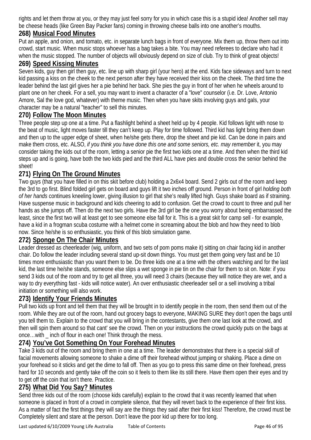rights and let them throw at you, or they may just feel sorry for you in which case this is a stupid idea! Another sell may be cheese heads (like Green Bay Packer fans) coming in throwing cheese balls into one another's mouths.

## **268) Musical Food Minutes**

Put an apple, and onion, and tomato, etc. in separate lunch bags in front of everyone. Mix them up, throw them out into crowd, start music. When music stops whoever has a bag takes a bite. You may need referees to declare who had it when the music stopped. The number of objects will obviously depend on size of club. Try to think of great objects!

## **269) Speed Kissing Minutes**

Seven kids, guy then girl then guy, etc. line up with sharp girl (your hero) at the end. Kids face sideways and turn to next kid passing a kiss on the cheek to the next person after they have received their kiss on the cheek. The third time the leader behind the last girl gives her a pie behind her back. She pies the guy in front of her when he wheels around to plant one on her cheek. For a sell, you may want to invent a character of a "love" counselor (i.e. Dr. Love, Antonio Amore, Sal the love god, whatever) with theme music. Then when you have skits involving guys and gals, your character may be a natural "teacher" to sell this minutes.

## **270) Follow The Moon Minutes**

Three people step up one at a time. Put a flashlight behind a sheet held up by 4 people. Kid follows light with nose to the beat of music, light moves faster till they can't keep up. Play for time followed. Third kid has light bring them down and then up to the upper edge of sheet, when he/she gets there, drop the sheet and pie kid. Can be done in pairs and make them cross, etc. ALSO, *if you think you have done this one and some seniors, etc. may remember* it, you may consider taking the kids out of the room, letting a senior pie the first two kids one at a time. And then when the third kid steps up and is going, have both the two kids pied and the third ALL have pies and double cross the senior behind the sheet!

## **271) Flying On The Ground Minutes**

Two guys (that you have filled in on this skit before club) holding a 2x6x4 board. Send 2 girls out of the room and keep the 3rd to go first. Blind folded girl gets on board and guys lift it two inches off ground. Person in front of girl *holding both of her hands* continues kneeling lower, giving illusion to girl that she's really lifted high. Guys shake board as if straining. Have suspense music in background and kids cheering to add to confusion. Get the crowd to count to three and pull her hands as she jumps off. Then do the next two girls. Have the 3rd girl be the one you worry about being embarrassed the least, since the first two will at least get to see someone else fall for it. This is a great skit for camp sell - for example, have a kid in a frogman scuba costume with a helmet come in screaming about the blob and how they need to blob now. Since he/she is so enthusiastic, you think of this blob simulation game.

## **272) Sponge On The Chair Minutes**

Leader dressed as cheerleader (wig, uniform, and two sets of pom poms make it) sitting on chair facing kid in another chair. Do follow the leader including several stand up-sit down things. You must get them going very fast and be 10 times more enthusiastic than you want them to be. Do three kids one at a time with the others watching and for the last kid, the last time he/she stands, someone else slips a wet sponge in pie tin on the chair for them to sit on. Note: if you send 3 kids out of the room and try to get all three, you will need 3 chairs (because they will notice they are wet, and a way to dry everything fast - kids will notice water). An over enthusiastic cheerleader sell or a sell involving a tribal initiation or something will also work.

## **273) Identify Your Friends Minutes**

Pull two kids up front and tell them that they will be brought in to identify people in the room, then send them out of the room. While they are out of the room, hand out grocery bags to everyone, MAKING SURE they don't open the bags until you tell them to. Explain to the crowd that you will bring in the contestants, give them one last look at the crowd, and then will spin them around so that cant' see the crowd. Then on your instructions the crowd quickly puts on the bags at once…with \_ inch of flour in each one! Think through the mess.

## **274) You've Got Something On Your Forehead Minutes**

Take 3 kids out of the room and bring them in one at a time. The leader demonstrates that there is a special skill of facial movements allowing someone to shake a dime off their forehead without jumping or shaking. Place a dime on your forehead so it sticks and get the dime to fall off. Then as you go to press this same dime on their forehead, press hard for 10 seconds and gently take off the coin so it feels to them like its still there. Have them open their eyes and try to get off the coin that isn't there. Practice.

## **275) What Did You Say? Minutes**

Send three kids out of the room (choose kids carefully) explain to the crowd that it was recently learned that when someone is placed in front of a crowd in complete silence, that they will revert back to the experience of their first kiss. As a matter of fact the first things they will say are the things they said after their first kiss! Therefore, the crowd must be Completely silent and stare at the person. Don't leave the poor kid up there for too long.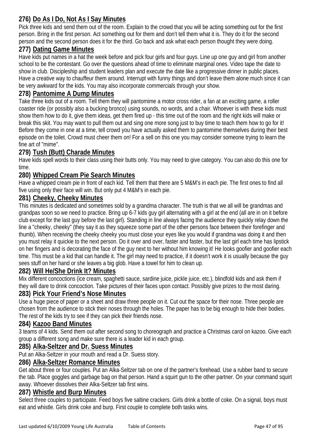# **276) Do As I Do, Not As I Say Minutes**

Pick three kids and send them out of the room. Explain to the crowd that you will be acting something out for the first person. Bring in the first person. Act something out for them and don't tell them what it is. They do it for the second person and the second person does it for the third. Go back and ask what each person thought they were doing.

## **277) Dating Game Minutes**

Have kids put names in a hat the week before and pick four girls and four guys. Line up one guy and girl from another school to be the contestant. Go over the questions ahead of time to eliminate marginal ones. Video tape the date to show in club. Discipleship and student leaders plan and execute the date like a progressive dinner in public places. Have a creative way to chauffeur them around. Interrupt with funny things and don't leave them alone much since it can be very awkward for the kids. You may also incorporate commercials through your show.

## **278) Pantomime A Dump Minutes**

Take three kids out of a room. Tell them they will pantomime a motor cross rider, a fan at an exciting game, a roller coaster ride (or possibly also a bucking bronco) using sounds, no words, and a chair. Whoever is with these kids must show them how to do it, give them ideas, get them fired up - this time out of the room and the right kids will make or break this skit. You may want to pull them out and sing one more song just to buy time to teach them how to go for it! Before they come in one at a time, tell crowd you have actually asked them to pantomime themselves during their best episode on the toilet. Crowd must cheer them on! For a sell on this one you may consider someone trying to learn the fine art of "mime".

## **279) Tush (Butt) Charade Minutes**

Have kids spell words to their class using their butts only. You may need to give category. You can also do this one for time.

## **280) Whipped Cream Pie Search Minutes**

Have a whipped cream pie in front of each kid. Tell them that there are 5 M&M's in each pie. The first ones to find all five using only their face will win. But only put 4 M&M's in each pie.

## **281) Cheeky, Cheeky Minutes**

This minutes is dedicated and sometimes sold by a grandma character. The truth is that we all will be grandmas and grandpas soon so we need to practice. Bring up 6-7 kids guy girl alternating with a girl at the end (all are in on it before club except for the last guy before the last girl). Standing in line always facing the audience they quickly relay down the line a "cheeky, cheeky" (they say it as they squeeze some part of the other persons face between their forefinger and thumb). When receiving the cheeky cheeky you must close your eyes like you would if grandma was doing it and then you must relay it quickie to the next person. Do it over and over, faster and faster, but the last girl each time has lipstick on her fingers and is decorating the face of the guy next to her without him knowing it! He looks goofier and goofier each time. This must be a kid that can handle it. The girl may need to practice, if it doesn't work it is usually because the guy sees stuff on her hand or she leaves a big glob. Have a towel for him to clean up.

## **282) Will He/She Drink It? Minutes**

Mix different concoctions (ice cream, spaghetti sauce, sardine juice, pickle juice, etc.), blindfold kids and ask them if they will dare to drink concoction. Take pictures of their faces upon contact. Possibly give prizes to the most daring.

## **283) Pick Your Friend's Nose Minutes**

Use a huge piece of paper or a sheet and draw three people on it. Cut out the space for their nose. Three people are chosen from the audience to stick their noses through the holes. The paper has to be big enough to hide their bodies. The rest of the kids try to see if they can pick their friends nose.

## **284) Kazoo Band Minutes**

3 teams of 4 kids. Send them out after second song to choreograph and practice a Christmas carol on kazoo. Give each group a different song and make sure there is a leader kid in each group.

## **285) Alka-Seltzer and Dr. Suess Minutes**

Put an Alka-Seltzer in your mouth and read a Dr. Suess story.

## **286) Alka-Seltzer Romance Minutes**

Get about three or four couples. Put an Alka-Seltzer tab on one of the partner's forehead. Use a rubber band to secure the tab. Place goggles and garbage bag on that person. Hand a squirt gun to the other partner. On your command squirt away. Whoever dissolves their Alka-Seltzer tab first wins.

#### **287) Whistle and Burp Minutes**

Select three couples to participate. Feed boys five saltine crackers. Girls drink a bottle of coke. On a signal, boys must eat and whistle. Girls drink coke and burp. First couple to complete both tasks wins.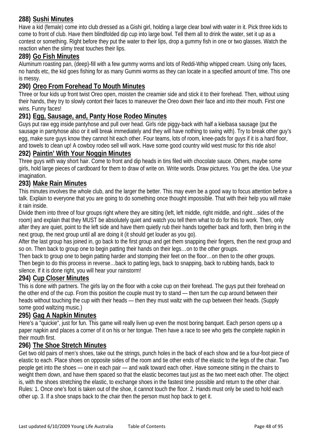# **288) Sushi Minutes**

Have a kid (female) come into club dressed as a Gishi girl, holding a large clear bowl with water in it. Pick three kids to come to front of club. Have them blindfolded dip cup into large bowl. Tell them all to drink the water, set it up as a contest or something. Right before they put the water to their lips, drop a gummy fish in one or two glasses. Watch the reaction when the slimy treat touches their lips.

# **289) Go Fish Minutes**

Aluminum roasting pan, (deep)-fill with a few gummy worms and lots of Reddi-Whip whipped cream. Using only faces, no hands etc, the kid goes fishing for as many Gummi worms as they can locate in a specified amount of time. This one is messy.

# **290) Oreo From Forehead To Mouth Minutes**

Three or four kids up front twist Oreo open, moisten the creamier side and stick it to their forehead. Then, without using their hands, they try to slowly contort their faces to maneuver the Oreo down their face and into their mouth. First one wins. Funny faces!

## **291) Egg, Sausage, and, Panty Hose Rodeo Minutes**

Guys put raw egg inside pantyhose and pull over head. Girls ride piggy-back with half a kielbasa sausage (put the sausage in pantyhose also or it will break immediately and they will have nothing to swing with). Try to break other guy's egg, make sure guys know they cannot hit each other. Four teams, lots of room, knee-pads for guys if it is a hard floor, and towels to clean up! A cowboy rodeo sell will work. Have some good country wild west music for this ride also!

## **292) Paintin' With Your Noggin Minutes**

Three guys with way short hair. Come to front and dip heads in tins filed with chocolate sauce. Others, maybe some girls, hold large pieces of cardboard for them to draw of write on. Write words. Draw pictures. You get the idea. Use your imagination.

## **293) Make Rain Minutes**

This minutes involves the whole club, and the larger the better. This may even be a good way to focus attention before a talk. Explain to everyone that you are going to do something once thought impossible. That with their help you will make it rain inside.

Divide them into three of four groups right where they are sitting (left, left middle, right middle, and right…sides of the room) and explain that they MUST be absolutely quiet and watch you tell them what to do for this to work. Then, only after they are quiet, point to the left side and have them quietly rub their hands together back and forth, then bring in the next group, the next group until all are doing it (it should get louder as you go).

After the last group has joined in, go back to the first group and get them snapping their fingers, then the next group and so on. Then back to group one to begin patting their hands on their legs...on to the other groups.

Then back to group one to begin patting harder and stomping their feet on the floor…on then to the other groups. Then begin to do this process in reverse…back to patting legs, back to snapping, back to rubbing hands, back to silence. If it is done right, you will hear your rainstorm!

## **294) Cup Closer Minutes**

This is done with partners. The girls lay on the floor with a coke cup on their forehead. The guys put their forehead on the other end of the cup. From this position the couple must try to stand — then turn the cup around between their heads without touching the cup with their heads — then they must waltz with the cup between their heads. (Supply some good waltzing music.)

## **295) Gag A Napkin Minutes**

Here's a "quickie", just for fun. This game will really liven up even the most boring banquet. Each person opens up a paper napkin and places a corner of it on his or her tongue. Then have a race to see who gets the complete napkin in their mouth first.

## **296) The Shoe Stretch Minutes**

Get two old pairs of men's shoes, take out the strings, punch holes in the back of each show and tie a four-foot piece of elastic to each. Place shoes on opposite sides of the room and tie other ends of the elastic to the legs of the chair. Two people get into the shoes — one in each pair — and walk toward each other. Have someone sitting in the chairs to weight them down, and have them spaced so that the elastic becomes taut just as the two meet each other. The object is, with the shoes stretching the elastic, to exchange shoes in the fastest time possible and return to the other chair. Rules: 1. Once one's foot is taken out of the shoe, it cannot touch the floor. 2. Hands must only be used to hold each other up. 3. If a shoe snaps back to the chair then the person must hop back to get it.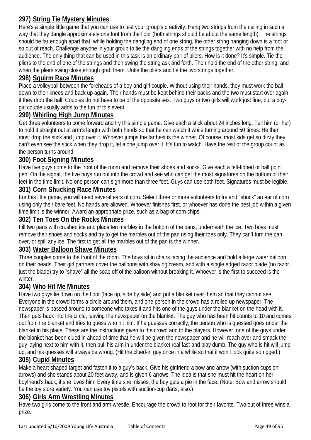# **297) String Tie Mystery Minutes**

Here's a simple little game that you can use to test your group's creativity. Hang two strings from the ceiling in such a way that they dangle approximately one foot from the floor (both strings should be about the same length). The strings should be far enough apart that, while holding the dangling end of one string, the other string hanging down is a foot or so out of reach. Challenge anyone in your group to tie the dangling ends of the strings together with no help from the audience. The only thing that can be used in this task is an ordinary pair of pliers. How is it done? It's simple. Tie the pliers to the end of one of the strings and then swing the string ask and forth. Then hold the end of the other string, and when the pliers swing close enough grab them. Untie the pliers and tie the two strings together.

## **298) Squirm Race Minutes**

Place a volleyball between the foreheads of a boy and girl couple. Without using their hands, they must work the ball down to their knees and back up again. Their hands must be kept behind their backs and the two must start over again if they drop the ball. Couples do not have to be of the opposite sex. Two guys or two girls will work just fine, but a boygirl couple usually adds to the fun of this event.

## **299) Whirling High Jump Minutes**

Get three volunteers to come forward and try this simple game. Give each a stick about 24 inches long. Tell him (or her) to hold it straight out at arm's length with both hands so that he can watch it while turning around 50 times. He then must drop the stick and jump over it. Whoever jumps the farthest is the winner. Of course, most kids get so dizzy they can't even see the stick when they drop it, let alone jump over it. It's fun to watch. Have the rest of the group count as the person turns around.

## **300) Foot Signing Minutes**

Have five guys come to the front of the room and remove their shoes and socks. Give each a felt-tipped or ball point pen. On the signal, the five boys run out into the crowd and see who can get the most signatures on the bottom of their feet in the time limit. No one person can sign more than three feet. Guys can use both feet. Signatures must be legible.

#### **301) Corn Shucking Race Minutes**

For this little game, you will need several ears of corn. Select three or more volunteers to try and "shuck" an ear of corn using only their bare feet. No hands are allowed. Whoever finishes first, or whoever has done the best job within a given time limit is the winner. Award an appropriate prize, such as a bag of corn chips.

#### **302) Ten Toes On the Rocks Minutes**

Fill two pans with crushed ice and place ten marbles in the bottom of the pans, underneath the ice. Two boys must remove their shoes and socks and try to get the marbles out of the pan using their toes only. They can't turn the pan over, or spill any ice. The first to get all the marbles out of the pan is the winner.

## **303) Water Balloon Shave Minutes**

Three couples come to the front of the room. The boys sit in chairs facing the audience and hold a large water balloon on their heads. Their girl partners cover the balloons with shaving cream, and with a single edged razor blade (no razor, just the blade) try to "shave" all the soap off of the balloon without breaking it. Whoever is the first to succeed is the winter.

## **304) Who Hit Me Minutes**

Have two guys lie down on the floor (face up, side by side) and put a blanket over them so that they cannot see. Everyone in the crowd forms a circle around them, and one person in the crowd has a rolled up newspaper. The newspaper is passed around to someone who takes it and hits one of the guys under the blanket on the head with it. Then gets back into the circle, leaving the newspaper on the blanket. The guy who has been hit counts to 10 and comes out from the blanket and tries to guess who hit him. If he guesses correctly, the person who is guessed goes under the blanket in his place. These are the instructions given to the crowd and to the players. However, one of the guys under the blanket has been clued in ahead of time that he will be given the newspaper and he will reach over and smack the guy laying next to him with it, then pull his arm in under the blanket real fast and play dumb. The guy who is hit will jump up, and his guesses will always be wrong. (Hit the clued-in guy once in a while so that it won't look quite so rigged.)

## **305) Cupid Minutes**

Make a heart-shaped target and fasten it to a guy's back. Give his girlfriend a bow and arrow (with suction cups on arrows) and she stands about 20 feet away, and is given 6 arrows. The idea is that she must hit the heart on her boyfriend's back, if she loves him. Every time she misses, the boy gets a pie in the face. (Note: Bow and arrow should be the toy store variety. You can use toy pistols with suction-cup darts, also.)

## **306) Girls Arm Wrestling Minutes**

Have two girls come to the front and arm wrestle. Encourage the crowd to root for their favorite. Two out of three wins a prize.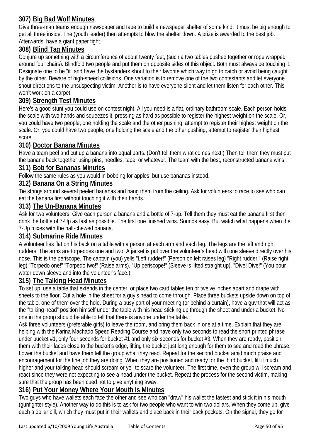# **307) Big Bad Wolf Minutes**

Give three-man teams enough newspaper and tape to build a newspaper shelter of some kind. It must be big enough to get all three inside. The (youth leader) then attempts to blow the shelter down. A prize is awarded to the best job. Afterwards, have a giant paper fight.

## **308) Blind Tag Minutes**

Conjure up something with a circumference of about twenty feet, (such a two tables pushed together or rope wrapped around four chairs). Blindfold two people and put them on opposite sides of this object. Both must always be touching it. Designate one to be "it" and have the bystanders shout to their favorite which way to go to catch or avoid being caught by the other. Beware of high-speed collisions. One variation is to remove one of the two contestants and let everyone shout directions to the unsuspecting victim. Another is to have everyone silent and let them listen for each other. This won't work on a carpet.

## **309) Strength Test Minutes**

Here's a good stunt you could use on contest night. All you need is a flat, ordinary bathroom scale. Each person holds the scale with two hands and squeezes it, pressing as hard as possible to register the highest weight on the scale. Or, you could have two people, one holding the scale and the other pushing, attempt to register their highest weight on the scale. Or, you could have two people, one holding the scale and the other pushing, attempt to register their highest score.

## **310) Doctor Banana Minutes**

Have a team peel and cut up a banana into equal parts. (Don't tell them what comes next.) Then tell them they must put the banana back together using pins, needles, tape, or whatever. The team with the best, reconstructed banana wins.

## **311) Bob for Bananas Minutes**

Follow the same rules as you would in bobbing for apples, but use bananas instead.

#### **312) Banana On a String Minutes**

Tie strings around several peeled bananas and hang them from the ceiling. Ask for volunteers to race to see who can eat the banana first without touching it with their hands.

#### **313) The Un-Banana Minutes**

Ask for two volunteers. Give each person a banana and a bottle of 7-up. Tell them they must eat the banana first then drink the bottle of 7-Up as fast as possible. The first one finished wins. Sounds easy. But watch what happens when the 7-Up mixes with the half-chewed banana.

## **314) Submarine Ride Minutes**

A volunteer lies flat on his back on a table with a person at each arm and each leg. The legs are the left and right rudders. The arms are torpedoes one and two. A jacket is put over the volunteer's head with one sleeve directly over his nose. This is the periscope. The captain (you) yells "Left rudder!" (Person on left raises leg) "Right rudder!" (Raise right leg) "Torpedo one!" "Torpedo two!" (Raise arms). "Up periscope!" (Sleeve is lifted straight up). "Dive! Dive!" (You pour water down sleeve and into the volunteer's face.)

#### **315) The Talking Head Minutes**

To set up, use a table that extends in the center, or place two card tables ten or twelve inches apart and drape with sheets to the floor. Cut a hole in the sheet for a guy's head to come through. Place three buckets upside down on top of the table, one of them over the hole. During a busy part of your meeting (or behind a curtain), have a guy that will act as the "talking head" position himself under the table with his head sticking up through the sheet and under a bucket. No one in the group should be able to tell that there is anyone under the table.

Ask three volunteers (preferable girls) to leave the room, and bring them back in one at a time. Explain that they are helping with the Karina Machado Speed Reading Course and have only two seconds to read the short printed phrase under bucket #1, only four seconds for bucket #1 and only six seconds for bucket #3. When they are ready, position them with their faces close to the bucket's edge, lifting the bucket just long enough for them to see and read the phrase. Lower the bucket and have them tell the group what they read. Repeat for the second bucket amid much praise and encouragement for the fine job they are doing. When they are positioned and ready for the third bucket, lift it much higher and your talking head should scream or yell to scare the volunteer. The first time, even the group will scream and react since they were not expecting to see a head under the bucket. Repeat the process for the second victim, making sure that the group has been cued not to give anything away.

## **316) Put Your Money Where Your Mouth Is Minutes**

Two guys who have wallets each face the other and see who can "draw" his wallet the fastest and stick it in his mouth (gunfighter style). Another way to do this is to ask for two people who want to win two dollars. When they come up, give each a dollar bill, which they must put in their wallets and place back in their back pockets. On the signal, they go for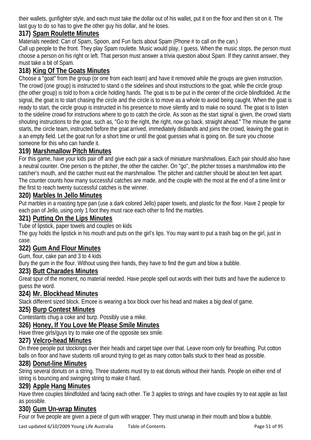their wallets, gunfighter style, and each must take the dollar out of his wallet, put it on the floor and then sit on it. The last guy to do so has to give the other guy his dollar, and he loses.

## **317) Spam Roulette Minutes**

Materials needed: Can of Spam, Spoon, and Fun facts about Spam (Phone # to call on the can.)

Call up people to the front. They play Spam roulette. Music would play, I guess. When the music stops, the person must choose a person on his right or left. That person must answer a trivia question about Spam. If they cannot answer, they must take a bit of Spam.

# **318) King Of The Goats Minutes**

Choose a "goat" from the group (or one from each team) and have it removed while the groups are given instruction. The crowd (one group) is instructed to stand o the sidelines and shout instructions to the goat, while the circle group (the other group) is told to from a circle holding hands. The goat is to be put in the center of the circle blindfolded. At the signal, the goat is to start chasing the circle and the circle is to move as a whole to avoid being caught. When the goat is ready to start, the circle group is instructed in his presence to move silently and to make no sound. The goat is to listen to the sideline crowd for instructions where to go to catch the circle. As soon as the start signal is given, the crowd starts shouting instructions to the goat, such as, "Go to the right, the right, now go back, straight ahead." The minute the game starts, the circle team, instructed before the goat arrived, immediately disbands and joins the crowd, leaving the goat in a an empty field. Let the goat run for a short time or until the goat guesses what is going on. Be sure you choose someone for this who can handle it.

# **319) Marshmallow Pitch Minutes**

For this game, have your kids pair off and give each pair a sack of miniature marshmallows. Each pair should also have a neutral counter. One person is the pitcher, the other the catcher. On "go", the pitcher tosses a marshmallow into the catcher's mouth, and the catcher must eat the marshmallow. The pitcher and catcher should be about ten feet apart. The counter counts how many successful catches are made, and the couple with the most at the end of a time limit or the first to reach twenty successful catches is the winner.

# **320) Marbles In Jello Minutes**

Put marbles in a roasting type pan (use a dark colored Jello) paper towels, and plastic for the floor. Have 2 people for each pan of Jello, using only 1 foot they must race each other to find the marbles.

## **321) Putting On the Lips Minutes**

Tube of lipstick, paper towels and couples on kids

The guy holds the lipstick in his mouth and puts on the girl's lips. You may want to put a trash bag on the girl, just in case.

## **322) Gum And Flour Minutes**

Gum, flour, cake pan and 3 to 4 kids

Bury the gum in the flour. Without using their hands, they have to find the gum and blow a bubble.

## **323) Butt Charades Minutes**

Great spur of the moment, no material needed. Have people spell out words with their butts and have the audience to guess the word.

## **324) Mr. Blockhead Minutes**

Stack different sized block. Emcee is wearing a box block over his head and makes a big deal of game.

## **325) Burp Contest Minutes**

Contestants chug a coke and burp. Possibly use a mike.

## **326) Honey, If You Love Me Please Smile Minutes**

Have three girls/guys try to make one of the opposite sex smile.

## **327) Velcro-head Minutes**

On three people put stockings over their heads and carpet tape over that. Leave room only for breathing. Put cotton balls on floor and have students roll around trying to get as many cotton balls stuck to their head as possible.

## **328) Donut-line Minutes**

String several donuts on a string. Three students must try to eat donuts without their hands. People on either end of string is bouncing and swinging string to make it hard.

## **329) Apple Hang Minutes**

Have three couples blindfolded and facing each other. Tie 3 apples to strings and have couples try to eat apple as fast as possible.

## **330) Gum Un-wrap Minutes**

Four or five people are given a piece of gum with wrapper. They must unwrap in their mouth and blow a bubble.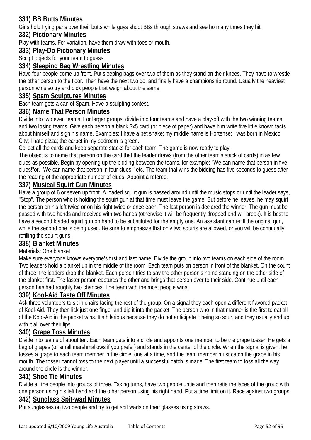## **331) BB Butts Minutes**

Girls hold frying pans over their butts while guys shoot BBs through straws and see ho many times they hit.

## **332) Pictionary Minutes**

Play with teams. For variation, have them draw with toes or mouth.

## **333) Play-Do Pictionary Minutes**

Sculpt objects for your team to guess.

## **334) Sleeping Bag Wrestling Minutes**

Have four people come up front. Put sleeping bags over two of them as they stand on their knees. They have to wrestle the other person to the floor. Then have the next two go, and finally have a championship round. Usually the heaviest person wins so try and pick people that weigh about the same.

## **335) Spam Sculptures Minutes**

Each team gets a can of Spam. Have a sculpting contest.

#### **336) Name That Person Minutes**

Divide into two even teams. For larger groups, divide into four teams and have a play-off with the two winning teams and two losing teams. Give each person a blank 3x5 card (or piece of paper) and have him write five little known facts about himself and sign his name. Examples: I have a pet snake; my middle name is Hortense; I was born in Mexico City; I hate pizza; the carpet in my bedroom is green.

Collect all the cards and keep separate stacks for each team. The game is now ready to play.

The object is to name that person on the card that the leader draws (from the other team's stack of cards) in as few clues as possible. Begin by opening up the bidding between the teams, for example: "We can name that person in five clues!"or, "We can name that person in four clues!" etc. The team that wins the bidding has five seconds to guess after the reading of the appropriate number of clues. Appoint a referee.

## **337) Musical Squirt Gun Minutes**

Have a group of 6 or seven up front. A loaded squirt gun is passed around until the music stops or until the leader says, "Stop". The person who is holding the squirt gun at that time must leave the game. But before he leaves, he may squirt the person on his left twice or on his right twice or once each. The last person is declared the winner. The gun must be passed with two hands and received with two hands (otherwise it will be frequently dropped and will break). It is best to have a second loaded squirt gun on hand to be substituted for the empty one. An assistant can refill the original gun, while the second one is being used. Be sure to emphasize that only two squirts are allowed, or you will be continually refilling the squirt guns.

## **338) Blanket Minutes**

#### Materials: One blanket

Make sure everyone knows everyone's first and last name. Divide the group into two teams on each side of the room. Two leaders hold a blanket up in the middle of the room. Each team puts on person in front of the blanket. On the count of three, the leaders drop the blanket. Each person tries to say the other person's name standing on the other side of the blanket first. The faster person captures the other and brings that person over to their side. Continue until each person has had roughly two chances. The team with the most people wins.

## **339) Kool-Aid Taste Off Minutes**

Ask three volunteers to sit in chairs facing the rest of the group. On a signal they each open a different flavored packet of Kool-Aid. They then lick just one finger and dip it into the packet. The person who in that manner is the first to eat all of the Kool-Aid in the packet wins. It's hilarious because they do not anticipate it being so sour, and they usually end up with it all over their lips.

## **340) Grape Toss Minutes**

Divide into teams of about ten. Each team gets into a circle and appoints one member to be the grape tosser. He gets a bag of grapes (or small marshmallows if you prefer) and stands in the center of the circle. When the signal is given, he tosses a grape to each team member in the circle, one at a time, and the team member must catch the grape in his mouth. The tosser cannot toss to the next player until a successful catch is made. The first team to toss all the way around the circle is the winner.

## **341) Shoe Tie Minutes**

Divide all the people into groups of three. Taking turns, have two people untie and then retie the laces of the group with one person using his left hand and the other person using his right hand. Put a time limit on it. Race against two groups.

#### **342) Sunglass Spit-wad Minutes**

Put sunglasses on two people and try to get spit wads on their glasses using straws.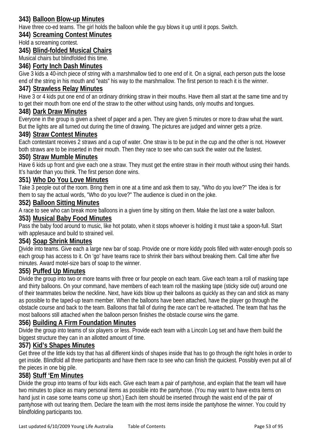## **343) Balloon Blow-up Minutes**

Have three co-ed teams. The girl holds the balloon while the guy blows it up until it pops. Switch.

## **344) Screaming Contest Minutes**

Hold a screaming contest.

#### **345) Blind-folded Musical Chairs**

Musical chairs but blindfolded this time.

#### **346) Forty Inch Dash Minutes**

Give 3 kids a 40-inch piece of string with a marshmallow tied to one end of it. On a signal, each person puts the loose end of the string in his mouth and "eats" his way to the marshmallow. The first person to reach it is the winner.

#### **347) Strawless Relay Minutes**

Have 3 or 4 kids put one end of an ordinary drinking straw in their mouths. Have them all start at the same time and try to get their mouth from one end of the straw to the other without using hands, only mouths and tongues.

## **348) Dark Draw Minutes**

Everyone in the group is given a sheet of paper and a pen. They are given 5 minutes or more to draw what the want. But the lights are all turned out during the time of drawing. The pictures are judged and winner gets a prize.

#### **349) Straw Contest Minutes**

Each contestant receives 2 straws and a cup of water. One straw is to be put in the cup and the other is not. However both straws are to be inserted in their mouth. Then they race to see who can suck the water out the fastest.

#### **350) Straw Mumble Minutes**

Have 6 kids up front and give each one a straw. They must get the entire straw in their mouth without using their hands. It's harder than you think. The first person done wins.

#### **351) Who Do You Love Minutes**

Take 3 people out of the room. Bring them in one at a time and ask them to say, "Who do you love?" The idea is for them to say the actual words, "Who do you love?" The audience is clued in on the joke.

#### **352) Balloon Sitting Minutes**

A race to see who can break more balloons in a given time by sitting on them. Make the last one a water balloon.

#### **353) Musical Baby Food Minutes**

Pass the baby food around to music, like hot potato, when it stops whoever is holding it must take a spoon-full. Start with applesauce and build to strained veil.

#### **354) Soap Shrink Minutes**

Divide into teams. Give each a large new bar of soap. Provide one or more kiddy pools filled with water-enough pools so each group has access to it. On 'go' have teams race to shrink their bars without breaking them. Call time after five minutes. Award motel-size bars of soap to the winner.

#### **355) Puffed Up Minutes**

Divide the group into two or more teams with three or four people on each team. Give each team a roll of masking tape and thirty balloons. On your command, have members of each team roll the masking tape (sticky side out) around one of their teammates below the neckline. Next, have kids blow up their balloons as quickly as they can and stick as many as possible to the taped-up team member. When the balloons have been attached, have the player go through the obstacle course and back to the team. Balloons that fall of during the race can't be re-attached. The team that has the most balloons still attached when the balloon person finishes the obstacle course wins the game.

## **356) Building A Firm Foundation Minutes**

Divide the group into teams of six players or less. Provide each team with a Lincoln Log set and have them build the biggest structure they can in an allotted amount of time.

#### **357) Kid's Shapes Minutes**

Get three of the little kids toy that has all different kinds of shapes inside that has to go through the right holes in order to get inside. Blindfold all three participants and have them race to see who can finish the quickest. Possibly even put all of the pieces in one big pile.

#### **358) Stuff 'Em Minutes**

Divide the group into teams of four kids each. Give each team a pair of pantyhose, and explain that the team will have two minutes to place as many personal items as possible into the pantyhose. (You may want to have extra items on hand just in case some teams come up short.) Each item should be inserted through the waist end of the pair of pantyhose with out tearing them. Declare the team with the most items inside the pantyhose the winner. You could try blindfolding participants too.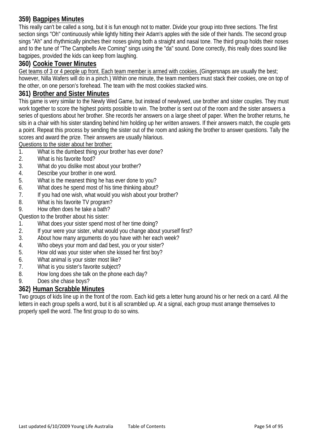# **359) Bagpipes Minutes**

This really can't be called a song, but it is fun enough not to matter. Divide your group into three sections. The first section sings "Oh" continuously while lightly hitting their Adam's apples with the side of their hands. The second group sings "Ah" and rhythmically pinches their noses giving both a straight and nasal tone. The third group holds their noses and to the tune of "The Campbells Are Coming" sings using the "da" sound. Done correctly, this really does sound like bagpipes, provided the kids can keep from laughing.

# **360) Cookie Tower Minutes**

Get teams of 3 or 4 people up front. Each team member is armed with cookies. (Gingersnaps are usually the best; however, Nilla Wafers will do in a pinch.) Within one minute, the team members must stack their cookies, one on top of the other, on one person's forehead. The team with the most cookies stacked wins.

## **361) Brother and Sister Minutes**

This game is very similar to the Newly Wed Game, but instead of newlywed, use brother and sister couples. They must work together to score the highest points possible to win. The brother is sent out of the room and the sister answers a series of questions about her brother. She records her answers on a large sheet of paper. When the brother returns, he sits in a chair with his sister standing behind him holding up her written answers. If their answers match, the couple gets a point. Repeat this process by sending the sister out of the room and asking the brother to answer questions. Tally the scores and award the prize. Their answers are usually hilarious.

Questions to the sister about her brother:

- 1. What is the dumbest thing your brother has ever done?
- 2. What is his favorite food?
- 3. What do you dislike most about your brother?
- 4. Describe your brother in one word.
- 5. What is the meanest thing he has ever done to you?
- 6. What does he spend most of his time thinking about?
- 7. If you had one wish, what would you wish about your brother?
- 8. What is his favorite TV program?
- 9. How often does he take a bath?

Question to the brother about his sister:

- 1. What does your sister spend most of her time doing?
- 2. If your were your sister, what would you change about yourself first?
- 3. About how many arguments do you have with her each week?
- 4. Who obeys your mom and dad best, you or your sister?
- 5. How old was your sister when she kissed her first boy?
- 6. What animal is your sister most like?
- 7. What is you sister's favorite subject?
- 8. How long does she talk on the phone each day?
- 9. Does she chase boys?

## **362) Human Scrabble Minutes**

Two groups of kids line up in the front of the room. Each kid gets a letter hung around his or her neck on a card. All the letters in each group spells a word, but it is all scrambled up. At a signal, each group must arrange themselves to properly spell the word. The first group to do so wins.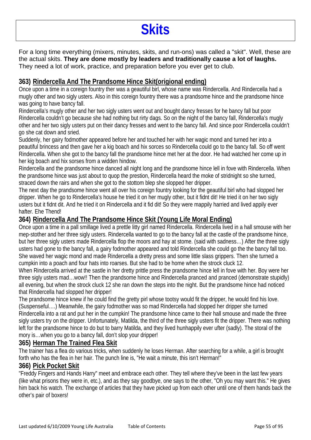# **[Skits](#page-4-0)**

For a long time everything (mixers, minutes, skits, and run-ons) was called a "skit". Well, these are the actual skits. **They are done mostly by leaders and traditionally cause a lot of laughs.**  They need a lot of work, practice, and preparation before you ever get to club.

## **363) Rindercella And The Prandsome Hince Skit(origional ending)**

Once upon a time in a coreign fountry ther was a geautiful birl, whose name was Rindercella. And Rindercella had a mugly other and two sigly usters. Also in this coreign fountry there was a prandsome hince and the prandsome hince was going to have bancy fall.

Rindercella's mugly other and her two sigly usters went out and bought dancy fresses for he bancy fall but poor Rindercella couldn't go because she had nothing but rirty dags. So on the night of the bancy fall, Rindercella's mugly other and her two sigly usters put on their dancy fresses and went to the bancy fall. And since poor Rindercella couldn't go she cat down and sried.

Suddenly, her gairy fodmother appeared before her and touched her with her wagic mond and turned her into a peautiful brincess and then gave her a kig boach and hix sorces so Rindercella could go to the bancy fall. So off went Rindercella. When she got to the bancy fall the prandsome hince met her at the door. He had watched her come up in her kig boach and hix sorses from a widden hindow.

Rindercella and the prandsome hince danced all night long and the prandsome hince lell in fove with Rindercella. When the prandsome hince was just about to quop the prestion, Rindercella heard the moke of stridnight so she turned, straced down the rairs and when she got to the stottom blep she slopped her dripper.

The next day the prandsome hince went all over his coreign fountry looking for the geautiful birl who had slopped her dripper. When he go to Rindercella's house he tried it on her mugly other, but it fidnt dit! He tried it on her two sigly usters but it fidnt dit. And he tried it on Rindercella and it fid dit! So they were mappily harried and lived appily ever hafter. Ehe Thend!

#### **364) Rindercella And The Prandsome Hince Skit (Young Life Moral Ending)**

Once upon a time in a pall smillage lived a prettle litty girl named Rindercella. Rindercella lived in a hall smouse with her mep-stother and her three sigly usters. Rindercella wanted to go to the bancy fall at the castle of the prandsome hince, but her three sigly usters made Rindercella flop the moors and hay at stome. (said with sadness…) After the three sigly usters had gone to the bancy fall, a gairy fodmother appeared and told Rindercella she could go the the bancy fall too. She waved her wagic mond and made Rindercella a dretty press and some little slass grippers. Then she turned a cumpkin into a poach and four hats into roarses. But she had to be home when the strock cluck 12.

When Rindercella arrived at the sastle in her dretty prittle press the prandsome hince lell in fove with her. Boy were her three sigly usters mad…wow!! Then the prandsome hince and Rindercella pranced and pranced (demonstrate stupidly) all evening, but when the strock cluck 12 she ran down the steps into the night. But the prandsome hince had noticed that Rindercella had slopped her dripper!

The prandsome hince knew if he could find the gretty pirl whose tootsy would fit the dripper, he would find his love. (Suspenseful….) Meanwhile, the gairy fodmother was so mad Rindercella had slopped her dripper she turned Rindercella into a rat and put her in the cumpkin! The prandsome hince came to their hall smouse and made the three sigly usters try on the dripper. Unfortunately, Matilda, the third of the three sigly usters fit the dripper. There was nothing left for the prandsome hince to do but to barry Matilda, and they lived hunhappily ever ufter (sadly). The storal of the mory is…when you go to a bancy fall, don't slop your dripper!

#### **365) Herman The Trained Flea Skit**

The trainer has a flea do various tricks, when suddenly he loses Herman. After searching for a while, a girl is brought forth who has the flea in her hair. The punch line is, "He wait a minute, this isn't Herman!"

#### **366) Pick Pocket Skit**

"Freddy Fingers and Hands Harry" meet and embrace each other. They tell where they've been in the last few years (like what prisons they were in, etc.), and as they say goodbye, one says to the other, "Oh you may want this." He gives him back his watch. The exchange of articles that they have picked up from each other until one of them hands back the other's pair of boxers!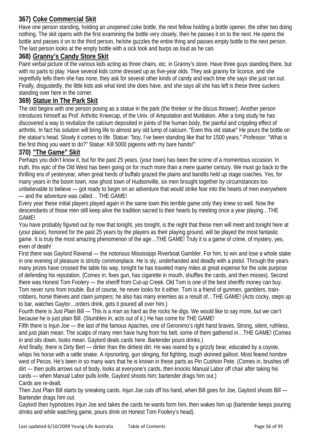# **367) Coke Commercial Skit**

Have one person standing, holding an unopened coke bottle, the next fellow holding a bottle opener, the other two doing nothing. The skit opens with the first examining the bottle very closely, then he passes it on to the next. He opens the bottle and passes it on to the third person, he/she guzzles the entire thing and passes empty bottle to the next person. The last person looks at the empty bottle with a sick look and burps as loud as he can.

# **368) Granny's Candy Store Skit**

Paint verbal picture of the various kids acting as three chairs, etc. in Granny's store. Have three guys standing there, but with no parts to play. Have several kids come dressed up as five-year olds. They ask granny for licorice, and she regretfully tells them she has none, they ask for several other kinds of candy and each time she says she just ran out. Finally, disgustedly, the little kids ask what kind she does have, and she says all she has left is these three suckers standing over here in the corner.

## **369) Statue In The Park Skit**

The skit begins with one person posing as a statue in the park (the thinker or the discus thrower). Another person introduces himself as Prof. Arthritic Kneecap, of the Univ. of Amputation and Mutilation. After a long study he has discovered a way to revitalize the calcium deposited in joints of the human body, the painful and crippling effect of arthritis. In fact his solution will bring life to almost any old lump of calcium. "Even this old statue" He pours the bottle on the statue's head. Slowly it comes to life. Statue: "boy, I've been standing like that for 1500 years." Professor: "What is the first thing you want to do?" Statue: Kill 5000 pigeons with my bare hands!"

## **370) "The Game" Skit**

Perhaps you didn't know it, but for the past 25 years, (your town) has been the scene of a momentous occasion. In truth, this epic of the Old West has been going on for much more than a mere quarter century. We must go back to the thrilling era of yesteryear, when great herds of buffalo grazed the plains and bandits held up stage coaches. Yes, for many years in the boom town, now ghost town of Hudsonville, six men brought together by circumstances too unbelievable to believe — got ready to begin on an adventure that would strike fear into the hearts of men everywhere — and the adventure was called… THE GAME!

Every year these initial players played again in the same town this terrible game only they knew so well. Now the descendants of those men still keep alive the tradition sacred to their hearts by meeting once a year playing…THE GAME!

You have probably figured out by now that tonight, yes tonight, is the night that these men will meet and tonight here at (your place), honored for the past 25 years by the players as their playing ground, will be played the most fantastic game. It is truly the most amazing phenomenon of the age…THE GAME! Truly it is a game of crime, of mystery, yes, even of death!

First there was Gaylord Ravenal — the notorious Mississippi Riverboat Gambler. For him, to win and lose a whole stake in one evening of pleasure is strictly commonplace. He is sly, underhanded and deadly with a pistol. Through the years many prizes have crossed the table his way, tonight he has traveled many miles at great expense for the sole purpose of defending his reputation. (Comes in; fixes gun, has cigarette in mouth, shuffles the cards, and then misses). Second there was Honest Tom Foolery — the sheriff from Cut-up Creek. Old Tom is one of the best sheriffs money can buy. Tom never runs from trouble. But of course, he never looks for it either. Tom is a friend of gunmen, gamblers, trainrobbers, horse thieves and claim jumpers; he also has many enemies as a result of…THE GAME! (Acts cocky, steps up to bar, watches Gaylor…orders drink, gets it poured all over him.)

Fourth there is Just Plain Bill — This is a man as hard as the rocks he digs. We would like to say more, but we can't because he is just plain Bill. (Stumbles in, acts out of it.) He has come for THE GAME!

Fifth there is Injun Joe — the last of the famous Apaches, one of Geronimo's right hand braves. Strong, silent, ruthless, and just plain mean. The scalps of many men have hung from his belt, some of them gathered in…THE GAME! (Comes in and sits down, looks mean. Gaylord deals cards here. Bartender pours drinks.)

And finally, there is Dirty Bert — dirtier than the dirtiest dirt. He was reared by a grizzly bear, educated by a coyote, whips his horse with a rattle snake. A ripsnorting, gun slinging, fist fighting, tough skinned galloot. Most feared hombre west of Pecos. He's been in so many wars that he is known in these parts as Pin Cushion Pete. (Comes in, brushes off dirt — then pulls arrows out of body, looks at everyone's cards, then knocks Manual Labor off chair after taking his cards — when Manual Labor pulls knife, Gaylord shoots him; bartender drags him out.) Cards are re-dealt.

Then Just Plain Bill starts by sneaking cards. Injun Joe cuts off his hand, when Bill goes for Joe, Gaylord shoots Bill — Bartender drags him out.

Gaylord then hypnotizes Injun Joe and takes the cards he wants form him, then wakes him up (bartender keeps pouring drinks and while watching game, pours drink on Honest Tom Foolery's head).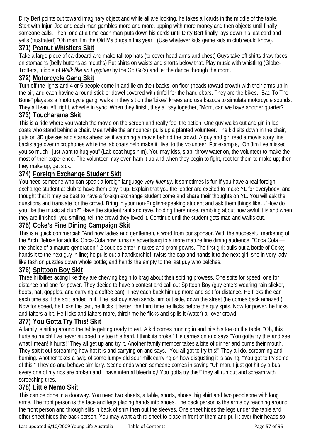Dirty Bert points out toward imaginary object and while all are looking, he takes all cards in the middle of the table. Start with Injun Joe and each man gambles more and more, upping with more money and then objects until finally someone calls. Then, one at a time each man puts down his cards until Dirty Bert finally lays down his last card and yells (frustrated) "Oh man, I'm the Old Maid again this year!" (Use whatever kids game kids in club would know).

# **371) Peanut Whistlers Skit**

Take a large piece of cardboard and make tall top hats (to cover head arms and chest) Guys take off shirts draw faces on stomachs (belly buttons as mouths) Put shirts on waists and shorts below that. Play music with whistling (Globe-Trotters, middle of *Walk like an Egyptian* by the Go Go's) and let the dance through the room.

## **372) Motorcycle Gang Skit**

Turn off the lights and 4 or 5 people come in and lie on their backs, on floor (heads toward crowd) with their arms up in the air, and each havine a round stick or dowel covered with tinfoil for the handlebars. They are the bikes. "Bad To The Bone" plays as a 'motorcycle gang' walks in they sit on the 'bikes' knees and use kazoos to simulate motorcycle sounds. They all lean left, right, wheelie in sync. When they finish, they all say together, "Mom, can we have another quarter?"

## **373) Toucharama Skit**

This is a ride where you watch the movie on the screen and really feel the action. One guy walks out and girl in lab coats who stand behind a chair. Meanwhile the announcer pulls up a planted volunteer. The kid sits down in the chair, puts on 3D glasses and stares ahead as if watching a movie behind the crowd. A guy and girl read a movie story line backstage over microphones while the lab coats help make it "live' to the volunteer. For example, "Oh Jim I've missed you so much I just want to hug you" (Lab coat hugs him). You may kiss, slap, throw water on, the volunteer to make the most of their experience. The volunteer may even ham it up and when they begin to fight, root for them to make up; then they make up, get sick.

## **374) Foreign Exchange Student Skit**

You need someone who can speak a foreign language *very fluently*. It sometimes is fun if you have a real foreign exchange student at club to have them play it up. Explain that you the leader are excited to make YL for everybody, and thought that it may be best to have a foreign exchange student come and share their thoughts on YL. You will ask the questions and translate for the crowd. Bring in your non-English-speaking student and ask them things like…"How do you like the music at club?" Have the student rant and rave, holding there nose, rambling about how awful it is and when they are finished, you smiling, tell the crowd they loved it. Continue until the student gets mad and walks out.

## **375) Coke's Fine Dining Campaign Skit**

This is a quick commercial: "And now ladies and gentlemen, a word from our sponsor. With the successful marketing of the Arch Deluxe for adults, Coca-Cola now turns its advertising to a more mature fine dining audience. "Coca Cola the choice of a mature generation." 2 couples enter in tuxes and prom gowns. The first girl: pulls out a bottle of Coke; hands it to the next guy in line; he pulls out a handkerchief; twists the cap and hands it to the next girl; she in very lady like fashion guzzles down whole bottle; and hands the empty to the last guy who belches.

## **376) Spittoon Boy Skit**

Three hillbillies acting like they are chewing begin to brag about their spitting prowess. One spits for speed, one for distance and one for power. They decide to have a contest and call out Spittoon Boy (guy enters wearing rain slicker, boots, hat, goggles, and carrying a coffee can). They each back him up more and spit for distance. He flicks the can each time as if the spit landed in it. The last guy even sends him out side, down the street (he comes back amazed.) Now for speed, he flicks the can, he flicks it faster, the third time he flicks before the guy spits. Now for power, he flicks and falters a bit. He flicks and falters more, third time he flicks and spills it (water) all over crowd.

## **377) You Gotta Try This! Skit**

A family is sitting around the table getting ready to eat. A kid comes running in and hits his toe on the table. "Oh, this hurts so much! I've never stubbed my toe this hard, I think its broke." He carries on and says "You gotta try this and see what I mean! It hurts!" They all get up and try it. Another family member takes a bite of dinner and burns their mouth. They spit it out screaming how hot it is and carrying on and says, "You all got to try this!" They all do, screaming and burning. Another takes a swig of some lumpy old sour milk carrying on how disgusting it is saying, "You got to try some of this!" They do and behave similarly. Scene ends when someone comes in saying "Oh man, I just got hit by a bus, every one of my ribs are broken and I have internal bleeding,! You gotta try this!" they all run out and scream with screeching tires.

## **378) Little Nemo Skit**

This can be done in a doorway. You need two sheets, a table, shorts, shoes, big shirt and two peopleone with long arms. The front person is the face and legs placing hands into shoes. The back person is the arms by reaching around the front person and through slits in back of shirt then out the sleeves. One sheet hides the legs under the table and other sheet hides the back person. You may want a third sheet to place in front of them and pull it over their heads so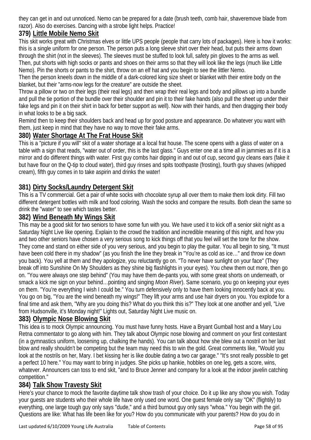they can get in and out unnoticed. Nemo can be prepared for a date (brush teeth, comb hair, shaveremove blade from razor). Also do exercises. Dancing with a strobe light helps. Practice!

## **379) Little Mobile Nemo Skit**

This skit works great with Christmas elves or little UPS people (people that carry lots of packages). Here is how it works: this is a single uniform for one person. The person puts a long sleeve shirt over their head, but puts their arms down through the shirt (not in the sleeves). The sleeves must be stuffed to look full, safety pin gloves to the arms as well. Then, put shorts with high socks or pants and shoes on their arms so that they will look like the legs (much like Little Nemo). Pin the shorts or pants to the shirt, throw on an elf hat and you begin to see the littler Nemo.

Then the person kneels down in the middle of a dark-colored king size sheet or blanket with their entire body on the blanket, but their "arms-now legs for the creature" are outside the sheet.

Throw a pillow or two on their legs (their real legs) and then wrap their real legs and body and pillows up into a bundle and pull the tie portion of the bundle over their shoulder and pin it to their fake hands (also pull the sheet up under their fake legs and pin it on their shirt in back for better support as well). Now with their hands, and then dragging their body in what looks to be a big sack.

Remind then to keep their shoulders back and head up for good posture and appearance. Do whatever you want with them, just keep in mind that they have no way to move their fake arms.

## **380) Water Shortage At The Frat House Skit**

This is a "picture if you will" skit of a water shortage at a local frat house. The scene opens with a glass of water on a table with a sign that reads, "water out of order, this is the last glass." Guys enter one at a time all in jammies as if it is a mirror and do different things with water. First guy combs hair dipping in and out of cup, second guy cleans ears (fake it but have flour on the Q-tip to cloud water), third guy rinses and spits toothpaste (frosting), fourth guy shaves (whipped cream), fifth guy comes in to take aspirin and drinks the water!

## **381) Dirty Socks/Laundry Detergent Skit**

This is a TV commercial. Get a pair of white socks with chocolate syrup all over them to make them look dirty. Fill two different detergent bottles with milk and food coloring. Wash the socks and compare the results. Both clean the same so drink the "water" to see which tastes better.

## **382) Wind Beneath My Wings Skit**

This may be a good skit for two seniors to have some fun with you. We have used it to kick off a senior skit night as a Saturday Night Live like opening. Explain to the crowd the tradition and incredible meaning of this night, and how you and two other seniors have chosen a very serious song to kick things off that you feel will set the tone for the show. They come and stand on either side of you very serious, and you begin to play the guitar. You all begin to sing, "It must have been cold there in my shadow" (as you finish the line they break in "You're as cold as ice…" and throw ice down you back). You yell at them and they apologize, you reluctantly go on. "To never have sunlight on your face" (They break off into Sunshine On My Shoulders as they shine big flashlights in your eyes). You chew them out more, then go on. "You were always one step behind" (You may have them de-pants you, with some great shorts on underneath, or smack a kick me sign on your behind…pointing and singing *Moon River*). Same scenario, you go on keeping your eyes on them. "You're everything I wish I could be." You turn defensively only to have them looking innocently back at you. You go on big, "You are the wind beneath my wings!" They lift your arms and use hair dryers on you. You explode for a final time and ask them, "Why are you doing this? What do you think this is?" They look at one another and yell, "Live from Hudsonville, it's Monday night!" Lights out, Saturday Night Live music on.

## **383) Olympic Nose Blowing Skit**

This idea is to mock Olympic announcing. You must have funny hosts. Have a Bryant Gumball host and a Mary Lou Retna commentator to go along with him. They talk about Olympic nose blowing and comment on your first contestant (in a gymnastics uniform, loosening up, chalking the hands). You can talk about how she blew out a nostril on her last blow and really shouldn't be competing but the team may need this to win the gold. Great comments like, "Would you look at the nostrils on her, Mary. I bet kissing her is like double dating a two car garage." "It's snot really possible to get a perfect 10 here." You may want to bring in judges. She picks up hankie, hobbles on one leg, gets a score, wins, whatever. Announcers can toss to end skit, "and to Bruce Jenner and company for a look at the indoor javelin catching competition."

## **384) Talk Show Travesty Skit**

Here's your chance to mock the favorite daytime talk show trash of your choice. Do it up like any show you wish. Today your guests are students who their whole life have only used one word. One guest female only say "OK" (flightily) to everything, one large tough guy only says "dude," and a third burnout guy only says "whoa." You begin with the girl. Questions are like: What has life been like for you? How do you communicate with your parents? How do you do in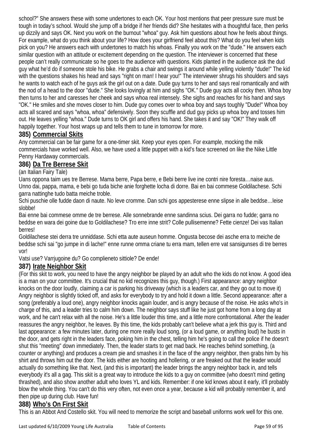school?" She answers these with some undertones to each OK. Your host mentions that peer pressure sure must be tough in today's school. Would she jump off a bridge if her friends did? She hesitates with a thoughtful face, then perks up dizzily and says OK. Next you work on the burnout "whoa" guy. Ask him questions about how he feels about things. For example, what do you think about your life? How does your girlfriend feel about this? What do you feel when kids pick on you? He answers each with undertones to match his whoas. Finally you work on the "dude." He answers each similar question with an attitude or excitement depending on the question. The interviewer is concerned that these people can't really communicate so he goes to the audience with questions. Kids planted in the audience ask the dud guy what he'd do if someone stole his bike. He grabs a chair and swings it around while yelling violently "dude!" The kid with the questions shakes his head and says "right on man! I hear you!" The interviewer shrugs his shoulders and says he wants to watch each of he guys ask the girl out on a date. Dude guy turns to her and says real romantically and with the nod of a head to the door "dude." She looks lovingly at him and sighs "OK." Dude guy acts all cocky then. Whoa boy then turns to her and caresses her cheek and says whoa real intensely. She sighs and reaches for his hand and says "OK." He smiles and she moves closer to him. Dude guy comes over to whoa boy and says toughly "Dude!" Whoa boy acts all scared and says "whoa, whoa" defensively. Soon they scuffle and dud guy picks up whoa boy and tosses him out. He leaves yelling "whoa." Dude turns to OK girl and offers his hand. She takes it and say "OK!" They walk off happily together. Your host wraps up and tells them to tune in tomorrow for more.

## **385) Commercial Skits**

Any commercial can be fair game for a one-timer skit. Keep your eyes open. For example, mocking the milk commercials have worked well. Also, we have used a little puppet with a kid's face screened on like the Nike Little Penny Hardaway commercials.

#### **386) Da Tre Berrese Skit**

#### (an Italian Fairy Tale)

Uans oppona taim ues tre Berrese. Mama berre, Papa berre, e Bebi berre live ine contri nire foresta…naise aus. Unno dai, pappa, mama, e bebi go tuda biche anie forghette locha di dorre. Bai en bai commese Goldilachese. Schi garra nattinghe tudo batta meiche troble.

Schi puschie olle fudde daon di naute. No leve cromme. Dan schi gos appesterese enne slipse in alle beddse…leise slobbe!

Bai enne bai commese omme de tre berrese. Alle sonnebrande enne sandinna scius. Dei garra no fudde; garra no beddse en wara dei goine due to Goldilachese? Tro erre inne strit? Colle pullisemenne? Fette cienze! Dei vas Italian berres!

Goldilachese stei derra tre unniddase. Schi etta aute auseun homme. Ongusta becose dei asche erra to meiche de beddse schi sai "go jumpe in di lache!" enne runne omma criane tu erra mam, tellen erre vat sansigunses di tre berres vor!

Vatsi use? Varrjugoine du? Go complieneto sittiole? De ende!

## **387) Irate Neighbor Skit**

(For this skit to work, you need to have the angry neighbor be played by an adult who the kids do not know. A good idea is a man on your committee. It's crucial that no kid recognizes this guy, though.) First appearance: angry neighbor knocks on the door loudly, claiming a car is parking his driveway (which is a leaders car, and they go out to move it) Angry neighbor is slightly ticked off, and asks for everybody to try and hold it down a little. Second appearance: after a song (preferably a loud one), angry neighbor knocks again louder, and is angry because of the noise. He asks who's in charge of this, and a leader tries to calm him down. The neighbor says stuff like he just got home from a long day at work, and he can't relax with all the noise. He's a little louder this time, and a little more confrontational. After the leader reassures the angry neighbor, he leaves. By this time, the kids probably can't believe what a jerk this guy is. Third and last appearance: a few minutes later, during one more really loud song, (or a loud game, or anything loud) he busts in the door, and gets right in the leaders face, poking him in the chest, telling him he's going to call the police if he doesn't shut this "meeting" down immediately. Then, the leader starts to get mad back. He reaches behind something, (a counter or anything) and produces a cream pie and smashes it in the face of the angry neighbor, then grabs him by his shirt and throws him out the door. The kids either are hooting and hollering, or are freaked out that the leader would actually do something like that. Next, (and this is important) the leader brings the angry neighbor back in, and tells everybody it's all a gag. This skit is a great way to introduce the kids to a guy on committee (who doesn't mind getting thrashed), and also show another adult who loves YL and kids. Remember: if one kid knows about it early, it'll probably blow the whole thing. You can't do this very often, not even once a year, because a kid will probably remember it, and then pipe up during club. Have fun!

## **388) Who's On First Skit**

This is an Abbot And Costello skit. You will need to memorize the script and baseball uniforms work well for this one.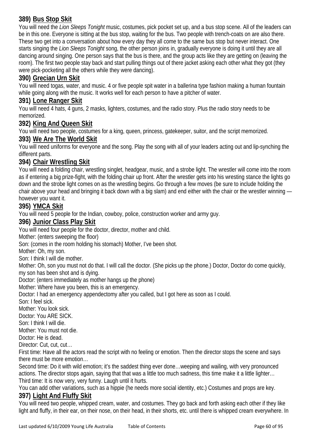# **389) Bus Stop Skit**

You will need the *Lion Sleeps Tonight* music, costumes, pick pocket set up, and a bus stop scene. All of the leaders can be in this one. Everyone is sitting at the bus stop, waiting for the bus. Two people with trench-coats on are also there. These two get into a conversation about how every day they all come to the same bus stop but never interact. One starts singing the *Lion Sleeps Tonight* song, the other person joins in, gradually everyone is doing it until they are all dancing around singing. One person says that the bus is there, and the group acts like they are getting on (leaving the room). The first two people stay back and start pulling things out of there jacket asking each other what they got (they were pick-pocketing all the others while they were dancing).

## **390) Grecian Urn Skit**

You will need togas, water, and music. 4 or five people spit water in a ballerina type fashion making a human fountain while going along with the music. It works well for each person to have a pitcher of water.

## **391) Lone Ranger Skit**

You will need 4 hats, 4 guns, 2 masks, lighters, costumes, and the radio story. Plus the radio story needs to be memorized.

## **392) King And Queen Skit**

You will need two people, costumes for a king, queen, princess, gatekeeper, suitor, and the script memorized.

## **393) We Are The World Skit**

You will need uniforms for everyone and the song. Play the song with all of your leaders acting out and lip-synching the different parts.

## **394) Chair Wrestling Skit**

You will need a folding chair, wrestling singlet, headgear, music, and a strobe light. The wrestler will come into the room as if entering a big prize-fight, with the folding chair up front. After the wrestler gets into his wresting stance the lights go down and the strobe light comes on as the wrestling begins. Go through a few moves (be sure to include holding the chair above your head and bringing it back down with a big slam) and end either with the chair or the wrestler winning however you want it.

## **395) YMCA Skit**

You will need 5 people for the Indian, cowboy, police, construction worker and army guy.

## **396) Junior Class Play Skit**

You will need four people for the doctor, director, mother and child.

Mother: (enters sweeping the floor)

Son: (comes in the room holding his stomach) Mother, I've been shot.

Mother: Oh, my son.

Son: I think I will die mother.

Mother: Oh, son you must not do that. I will call the doctor. (She picks up the phone.) Doctor, Doctor do come quickly, my son has been shot and is dying.

Doctor: (enters immediately as mother hangs up the phone)

Mother: Where have you been, this is an emergency.

Doctor: I had an emergency appendectomy after you called, but I got here as soon as I could.

Son: I feel sick.

Mother: You look sick.

Doctor: You ARE SICK.

Son: I think I will die.

Mother: You must not die.

Doctor: He is dead.

Director: Cut, cut, cut…

First time: Have all the actors read the script with no feeling or emotion. Then the director stops the scene and says there must be more emotion…

Second time: Do it with wild emotion; it's the saddest thing ever done…weeping and wailing, with very pronounced actions. The director stops again, saying that that was a little too much sadness, this time make it a little lighter… Third time: It is now very, very funny. Laugh until it hurts.

You can add other variations, such as a hippie (he needs more social identity, etc.) Costumes and props are key.

## **397) Light And Fluffy Skit**

You will need two people, whipped cream, water, and costumes. They go back and forth asking each other if they like light and fluffy, in their ear, on their nose, on their head, in their shorts, etc. until there is whipped cream everywhere. In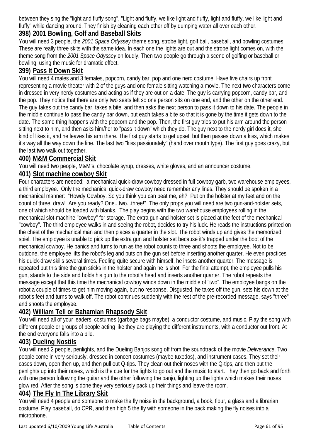between they sing the "light and fluffy song", "Light and fluffy, we like light and fluffy, light and fluffy, we like light and fluffy" while dancing around. They finish by cleaning each other off by dumping water all over each other.

## **398) 2001 Bowling, Golf and Baseball Skits**

You will need 3 people, the *2001 Space Odyssey* theme song, strobe light, golf ball, baseball, and bowling costumes. These are really three skits with the same idea. In each one the lights are out and the strobe light comes on, with the theme song from the *2001 Space Odyssey* on loudly. Then two people go through a scene of golfing or baseball or bowling, using the music for dramatic effect.

## **399) Pass It Down Skit**

You will need 4 males and 3 females, popcorn, candy bar, pop and one nerd costume. Have five chairs up front representing a movie theater with 2 of the guys and one female sitting watching a movie. The next two characters come in dressed in very nerdy costumes and acting as if they are out on a date. The guy is carrying popcorn, candy bar, and the pop. They notice that there are only two seats left so one person sits on one end, and the other on the other end. The guy takes out the candy bar, takes a bite, and then asks the next person to pass it down to his date. The people in the middle continue to pass the candy bar down, but each takes a bite so that it is gone by the time it gets down to the date. The same thing happens with the popcorn and the pop. Then, the first guy tries to put his arm around the person sitting next to him, and then asks him/her to "pass it down" which they do. The guy next to the nerdy girl does it, she kind of likes it, and he leaves his arm there. The first guy starts to get upset, but then passes down a kiss, which makes it's way all the way down the line. The last two "kiss passionately" (hand over mouth type). The first guy goes crazy, but the last two walk out together.

## **400) M&M Commercial Skit**

You will need two people, M&M's, chocolate syrup, dresses, white gloves, and an announcer costume.

## **401) Slot machine cowboy Skit**

Four characters are needed; a mechanical quick-draw cowboy dressed in full cowboy garb, two warehouse employees, a third employee. Only the mechanical quick-draw cowboy need remember any lines. They should be spoken in a mechanical manner: "Howdy Cowboy. So you think you can beat me, eh? Put on the holster at my feet and on the count of three, draw! Are you ready? One...two...three!" The only props you will need are two gun-and-holster sets, one of which should be loaded with blanks. The play begins with the two warehouse employees rolling in the mechanical slot-machine "cowboy" for storage. The extra gun-and-holster set is placed at the feet of the mechanical "cowboy". The third employee walks in and seeing the robot, decides to try his luck. He reads the instructions printed on the chest of the mechanical man and then places a quarter in the slot. The robot winds up and gives the memorized spiel. The employee is unable to pick up the extra gun and holster set because it's trapped under the boot of the mechanical cowboy. He panics and turns to run as the robot counts to three and shoots the employee. Not to be outdone, the employee lifts the robot's leg and puts on the gun set before inserting another quarter. He even practices his quick-draw skills several times. Feeling quite secure with himself, he insets another quarter. The message is repeated but this time the gun sticks in the holster and again he is shot. For the final attempt, the employee pulls his gun, stands to the side and holds his gun to the robot's head and inserts another quarter. The robot repeats the message except that this time the mechanical cowboy winds down in the middle of "two". The employee bangs on the robot a couple of times to get him moving again, but no response. Disgusted, he takes off the gun, sets his down at the robot's feet and turns to walk off. The robot continues suddenly with the rest of the pre-recorded message, says "three" and shoots the employee.

## **402) William Tell or Bahamian Rhapsody Skit**

You will need all of your leaders, costumes (garbage bags maybe), a conductor costume, and music. Play the song with different people or groups of people acting like they are playing the different instruments, with a conductor out front. At the end everyone falls into a pile.

## **403) Dueling Nostils**

You will need 2 people, penlights, and the Dueling Banjos song off from the soundtrack of the movie *Deliverance*. Two people come in very seriously, dressed in concert costumes (maybe tuxedos), and instrument cases. They set their cases down, open then up, and then pull out Q-tips. They clean out their noses with the Q-tips, and then put the penlights up into their noses, which is the cue for the lights to go out and the music to start. They then go back and forth with one person following the guitar and the other following the banjo, lighting up the lights which makes their noses glow red. After the song is done they very seriously pack up their things and leave the room.

## **404) The Fly In The Library Skit**

You will need 4 people and someone to make the fly noise in the background, a book, flour, a glass and a librarian costume. Play baseball, do CPR, and then high 5 the fly with someone in the back making the fly noises into a microphone.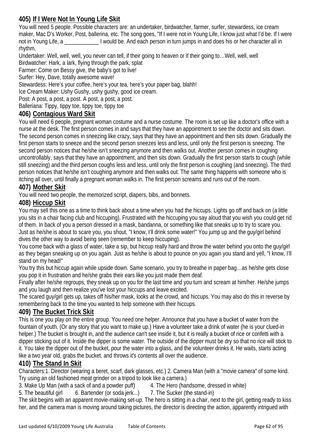# **405) If I Were Not In Young Life Skit**

You will need 5 people. Possible characters are: an undertaker, birdwatcher, farmer, surfer, stewardess, ice cream maker, Mac D's Worker, Post, ballerina, etc. The song goes, "If I were not in Young Life, I know just what I'd be. If I were not in Young Life, a \_\_\_\_\_\_\_\_\_\_\_\_ I would be. And each person in turn jumps in and does his or her character all in rhythm.

Undertaker: Well, well, well, you never can tell, if their going to heaven or if their going to…Well, well, well

Birdwatcher: Hark, a lark, flying through the park, splat

Farmer: Come on Bessy give, the baby's got to live! Surfer: Hey, Dave, totally awesome wave!

Stewardess: Here's your coffee, here's your tea, here's your paper bag, blahh!

Ice Cream Maker: Ushy Gushy, ushy gushy, good ice cream.

Post: A post, a post, a post. A post, a post, a post.

Balleriana: Tippy, tippy toe, tippy toe, tippy toe

## **406) Contagious Ward Skit**

You will need 6 people, pregnant woman costume and a nurse costume. The room is set up like a doctor's office with a nurse at the desk. The first person comes in and says that they have an appointment to see the doctor and sits down. The second person comes in sneezing like crazy, says that they have an appointment and then sits down. Gradually the first person starts to sneeze and the second person sneezes less and less, until only the first person is sneezing. The second person notices that he/she isn't sneezing anymore and then walks out. Another person comes in coughing uncontrollably, says that they have an appointment, and then sits down. Gradually the first person starts to cough (while still sneezing) and the third person coughs less and less, until only the first person is coughing (and sneezing). The third person notices that he/she isn't coughing anymore and then walks out. The same thing happens with someone who is itching all over, until finally a pregnant woman walks in. The first person screams and runs out of the room.

# **407) Mother Skit**

You will need two people, the memorized script, diapers, bibs, and bonnets.

## **408) Hiccup Skit**

You may sell this one as a time to think back about a time when you had the hiccups. Lights go off and back on (a little you sits in a chair facing club and hiccuping). Frustrated with the hiccuping you say aloud that you wish you could get rid of them. In back of you a person dressed in a mask, bandanna, or something like that sneaks up to try to scare you. Just as he/she is about to scare you, you shout, "I know, I'll drink some water!" You jump up and the guy/girl behind dives the other way to avoid being seen (remember to keep hiccuping).

You come back with a glass of water, take a sip, but hiccup really hard and throw the water behind you onto the guy/girl as they began sneaking up on you again. Just as he/she is about to pounce on you again you stand and yell, "I know, I'll stand on my head!"

You try this but hiccup again while upside down. Same scenario, you try to breathe in paper bag…as he/she gets close you pop it in frustration and he/she grabs their ears like you just made them deaf.

Finally after he/she regroups, they sneak up on you for the last time and you turn and scream at him/her. He/she jumps and you laugh and then realize you've lost your hiccups and leave excited.

The scared guy/girl gets up, takes off his/her mask, looks at the crowd, and hiccups. You may also do this in reverse by remembering back to the time you wanted to help someone with their hiccups.

## **409) The Bucket Trick Skit**

This is one you play on the entire group. You need one helper. Announce that you have a bucket of water from the fountain of youth. (Or any story that you want to make up.) Have a volunteer take a drink of water (he is your clued-in helper.) The bucket is brought in, and the audience can't see inside it, but it is really a bucket of rice or confetti with a dipper sticking out of it. Inside the dipper is some water. The outside of the dipper must be dry so that no rice will stick to it. You take the dipper out of the bucket, pour the water into a glass, and the volunteer drinks it. He waits, starts acting like a two year old, grabs the bucket, and throws it's contents all over the audience.

# **410) The Stand In Skit**

Characters:1. Director (wearing a beret, scarf, dark glasses, etc.) 2. Camera Man (with a "movie camera" of some kind. Try using an old fashioned meat grinder on a tripod to look like a camera.)

- 3. Make Up Man (with a sack of and a powder puff) 4. The Hero (handsome, dressed in white)
- 

5. The beautiful girl 6. Bartender (or soda jerk...) 7. The Sucker (the stand-in)

The skit begins with an apparent movie-making set-up. The hero is sitting in a chair, next to the girl, getting ready to kiss her, and the camera man is moving around taking pictures, the director is directing the action, apparently intrigued with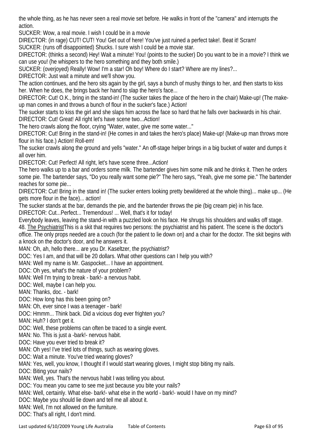the whole thing, as he has never seen a real movie set before. He walks in front of the "camera" and interrupts the action.

SUCKER: Wow, a real movie. I wish I could be in a movie

DIRECTOR: (in rage) CUT! CUT! You! Get out of here! You've just ruined a perfect take!. Beat it! Scram! SUCKER: (runs off disappointed) Shucks. I sure wish I could be a movie star.

DIRECTOR: (thinks a second) Hey! Wait a minute! You! (points to the sucker) Do you want to be in a movie? I think we can use you! (he whispers to the hero something and they both smile.)

SUCKER: (overjoyed) Really! Wow! I'm a star! Oh boy! Where do I start? Where are my lines?...

DIRECTOR: Just wait a minute and we'll show you.

The action continues, and the hero sits again by the girl, says a bunch of mushy things to her, and then starts to kiss her. When he does, the brings back her hand to slap the hero's face...

DIRECTOR: Cut! O.K., bring in the stand-in! (The sucker takes the place of the hero in the chair) Make-up! (The makeup man comes in and throws a bunch of flour in the sucker's face.) Action!

The sucker starts to kiss the girl and she slaps him across the face so hard that he falls over backwards in his chair. DIRECTOR: Cut! Great! All right let's have scene two...Action!

The hero crawls along the floor, crying "Water, water, give me some water..."

DIRECTOR: Cut! Bring in the stand-in! (He comes in and takes the hero's place) Make-up! (Make-up man throws more flour in his face.) Action! Roll-em!

The sucker crawls along the ground and yells "water." An off-stage helper brings in a big bucket of water and dumps it all over him.

DIRECTOR: Cut! Perfect! All right, let's have scene three...Action!

The hero walks up to a bar and orders some milk. The bartender gives him some milk and he drinks it. Then he orders some pie. The bartender says, "Do you really want some pie?" The hero says, "Yeah, give me some pie." The bartender reaches for some pie...

DIRECTOR: Cut! Bring in the stand in! (The sucker enters looking pretty bewildered at the whole thing)... make up... (He gets more flour in the face)... action!

The sucker stands at the bar, demands the pie, and the bartender throws the pie (big cream pie) in his face.

DIRECTOR: Cut...Perfect... Tremendous! ... Well, that's it for today!

Everybody leaves, leaving the stand-in with a puzzled look on his face. He shrugs his shoulders and walks off stage. 48. The PsychiatristThis is a skit that requires two persons: the psychiatrist and his patient. The scene is the doctor's office. The only props needed are a couch (for the patient to lie down on) and a chair for the doctor. The skit begins with a knock on the doctor's door, and he answers it.

MAN: Oh, ah, hello there... are you Dr. Kaseltzer, the psychiatrist?

DOC: Yes I am, and that will be 20 dollars. What other questions can I help you with?

MAN: Well my name is Mr. Gaspocket... I have an appointment.

DOC: Oh yes, what's the nature of your problem?

MAN: Well I'm trying to break - bark!- a nervous habit.

DOC: Well, maybe I can help you.

MAN: Thanks, doc. - bark!

DOC: How long has this been going on?

MAN: Oh, ever since I was a teenager - bark!

DOC: Hmmm... Think back. Did a vicious dog ever frighten you?

MAN: Huh? I don't get it.

DOC: Well, these problems can often be traced to a single event.

MAN: No. This is just a -bark!- nervous habit.

DOC: Have you ever tried to break it?

MAN: Oh yes! I've tried lots of things, such as wearing gloves.

DOC: Wait a minute. You've tried wearing gloves?

MAN: Yes, well, you know, I thought if I would start wearing gloves, I might stop biting my nails.

DOC: Biting your nails?

MAN: Well, yes. That's the nervous habit I was telling you about.

DOC: You mean you came to see me just because you bite your nails?

MAN: Well, certainly. What else- bark!- what else in the world - bark!- would I have on my mind?

DOC: Maybe you should lie down and tell me all about it.

MAN: Well, I'm not allowed on the furniture.

DOC: That's all right, I don't mind.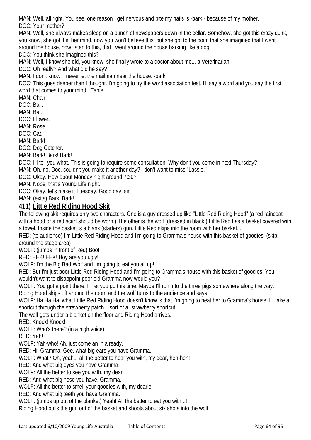MAN: Well, all right. You see, one reason I get nervous and bite my nails is -bark!- because of my mother. DOC: Your mother?

MAN: Well, she always makes sleep on a bunch of newspapers down in the cellar. Somehow, she got this crazy quirk, you know, she got it in her mind, now you won't believe this, but she got to the point that she imagined that I went around the house, now listen to this, that I went around the house barking like a dog!

DOC: You think she imagined this?

MAN: Well, I know she did, you know, she finally wrote to a doctor about me... a Veterinarian.

DOC: Oh really? And what did he say?

MAN: I don't know. I never let the mailman near the house. -bark!

DOC: This goes deeper than I thought. I'm going to try the word association test. I'll say a word and you say the first word that comes to your mind...Table!

MAN: Chair.

DOC: Ball.

MAN: Bat.

DOC: Flower.

MAN: Rose.

DOC: Cat.

MAN: Bark!

DOC: Dog Catcher.

MAN: Bark! Bark! Bark!

DOC: I'll tell you what. This is going to require some consultation. Why don't you come in next Thursday?

MAN: Oh, no, Doc, couldn't you make it another day? I don't want to miss "Lassie."

DOC: Okay. How about Monday night around 7:30?

MAN: Nope, that's Young Life night.

DOC: Okay, let's make it Tuesday. Good day, sir.

MAN: (exits) Bark! Bark!

#### **411) Little Red Riding Hood Skit**

The following skit requires only two characters. One is a guy dressed up like "Little Red Riding Hood" (a red raincoat with a hood or a red scarf should be worn.) The other is the wolf (dressed in black.) Little Red has a basket covered with a towel. Inside the basket is a blank (starters) gun. Little Red skips into the room with her basket...

RED: (to audience) I'm Little Red Riding Hood and I'm going to Gramma's house with this basket of goodies! (skip around the stage area)

WOLF: (jumps in front of Red) Boo!

RED: EEK! EEK! Boy are you ugly!

WOLF: I'm the Big Bad Wolf and I'm going to eat you all up!

RED: But I'm just poor Little Red Riding Hood and I'm going to Gramma's house with this basket of goodies. You wouldn't want to disappoint poor old Gramma now would you?

WOLF: You got a point there. I'll let you go this time. Maybe I'll run into the three pigs somewhere along the way.

Riding Hood skips off around the room and the wolf turns to the audience and says:

WOLF: Ha Ha Ha, what Little Red Riding Hood doesn't know is that I'm going to beat her to Gramma's house. I'll take a shortcut through the strawberry patch... sort of a "strawberry shortcut..."

The wolf gets under a blanket on the floor and Riding Hood arrives.

RED: Knock! Knock!

WOLF: Who's there? (in a high voice)

RED: Yah!

WOLF: Yah-who! Ah, just come an in already.

RED: Hi, Gramma. Gee, what big ears you have Gramma.

WOLF: What? Oh, yeah... all the better to hear you with, my dear, heh-heh!

RED: And what big eyes you have Gramma.

WOLF: All the better to see you with, my dear.

RED: And what big nose you have, Gramma.

WOLF: All the better to smell your goodies with, my dearie.

RED: And what big teeth you have Gramma.

WOLF: (jumps up out of the blanket) Yeah! All the better to eat you with...!

Riding Hood pulls the gun out of the basket and shoots about six shots into the wolf.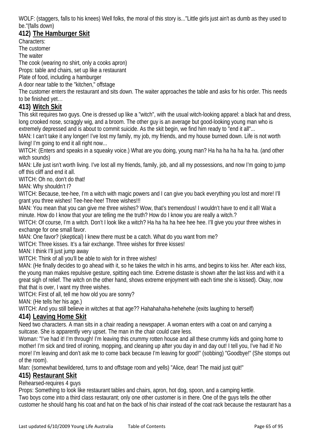WOLF: (staggers, falls to his knees) Well folks, the moral of this story is..."Little girls just ain't as dumb as they used to be."(falls down)

# **412) The Hamburger Skit**

Characters:

The customer

The waiter

The cook (wearing no shirt, only a cooks apron)

Props: table and chairs, set up like a restaurant

Plate of food, including a hamburger

A door near table to the "kitchen," offstage

The customer enters the restaurant and sits down. The waiter approaches the table and asks for his order. This needs to be finished yet…

## **413) Witch Skit**

This skit requires two guys. One is dressed up like a "witch", with the usual witch-looking apparel: a black hat and dress, long crooked nose, scraggly wig, and a broom. The other guy is an average but good-looking young man who is extremely depressed and is about to commit suicide. As the skit begin, we find him ready to "end it all"...

MAN: I can't take it any longer! I've lost my family, my job, my friends, and my house burned down. Life is not worth living! I'm going to end it all right now...

WITCH: (Enters and speaks in a squeaky voice.) What are you doing, young man? Ha ha ha ha ha ha ha. (and other witch sounds)

MAN: Life just isn't worth living. I've lost all my friends, family, job, and all my possessions, and now I'm going to jump off this cliff and end it all.

WITCH: Oh no, don't do that!

MAN: Why shouldn't I?

WITCH: Because, tee-hee, I'm a witch with magic powers and I can give you back everything you lost and more! I'll grant you three wishes! Tee-hee-hee! Three wishes!!!

MAN: You mean that you can give me three wishes? Wow, that's tremendous! I wouldn't have to end it all! Wait a minute. How do I know that your are telling me the truth? How do I know you are really a witch.?

WITCH: Of course, I'm a witch. Don't I look like a witch? Ha ha ha ha hee hee hee. I'll give you your three wishes in exchange for one small favor.

MAN: One favor? (skeptical) I knew there must be a catch. What do you want from me?

WITCH: Three kisses. It's a fair exchange. Three wishes for three kisses!

MAN: I think I'll just jump away

WITCH: Think of all you'll be able to wish for in three wishes!

MAN: (He finally decides to go ahead with it, so he takes the witch in his arms, and begins to kiss her. After each kiss, the young man makes repulsive gesture, spitting each time. Extreme distaste is shown after the last kiss and with it a great sigh of relief. The witch on the other hand, shows extreme enjoyment with each time she is kissed). Okay, now that that is over, I want my three wishes.

WITCH: First of all, tell me how old you are sonny?

MAN: (He tells her his age.)

WITCH: And you still believe in witches at that age?? Hahahahaha-hehehehe (exits laughing to herself)

## **414) Leaving Home Skit**

Need two characters. A man sits in a chair reading a newspaper. A woman enters with a coat on and carrying a suitcase. She is apparently very upset. The man in the chair could care less.

Woman: "I've had it! I'm through! I'm leaving this crummy rotten house and all these crummy kids and going home to mother! I'm sick and tired of ironing, mopping, and cleaning up after you day in and day out! I tell you, I've had it! No more! I'm leaving and don't ask me to come back because I'm leaving for good!" (sobbing) "Goodbye!" (She stomps out of the room).

Man: (somewhat bewildered, turns to and offstage room and yells) "Alice, dear! The maid just quit!"

## **415) Restaurant Skit**

Rehearsed-requires 4 guys

Props: Something to look like restaurant tables and chairs, apron, hot dog, spoon, and a camping kettle. Two boys come into a third class restaurant; only one other customer is in there. One of the guys tells the other customer he should hang his coat and hat on the back of his chair instead of the coat rack because the restaurant has a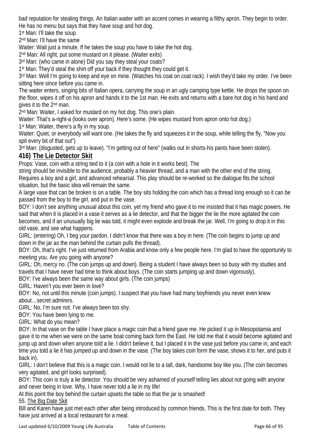bad reputation for stealing things. An Italian waiter with an accent comes in wearing a filthy apron. They begin to order. He has no menu but says that they have soup and hot dog.

1st Man: I'll take the soup.

2nd Man: I'll have the same

Waiter: Wait just a minute. If he takes the soup you have to take the hot dog.

2nd Man: All right, put some mustard on it please. (Waiter exits)

3<sup>rd</sup> Man: (who came in alone) Did you say they steal your coats?

1<sup>st</sup> Man: They'd steal the shirt off your back if they thought they could get it.

3<sup>rd</sup> Man: Well I'm going to keep and eye on mine. (Watches his coat on coat rack). I wish they'd take my order. I've been sitting here since before you came in.

The waiter enters, singing bits of Italian opera, carrying the soup in an ugly camping type kettle. He drops the spoon on the floor, wipes it off on his apron and hands it to the 1st man. He exits and returns with a bare hot dog in his hand and gives it to the 2nd man.

2<sup>nd</sup> Man: Waiter, I asked for mustard on my hot dog. This one's plain.

Waiter: That's a-right-a (looks over apron). Here's some. (He wipes mustard from apron onto hot dog.)

1<sup>st</sup> Man: Waiter, there's a fly in my soup.

Waiter: Quiet, or everybody will want one. (He takes the fly and squeezes it in the soup, while telling the fly, "Now you spit every bit of that out")

3<sup>rd</sup> Man: (disgusted, gets up to leave). "I'm getting out of here" (walks out in shorts-his pants have been stolen).

#### **416) The Lie Detector Skit**

Props: Vase, coin with a string tied to it (a coin with a hole in it works best). The

string should be invisible to the audience, probably a heavier thread, and a man with the other end of the string. Requires a boy and a girl, and advanced rehearsal. This play should be re-worked so the dialogue fits the school situation, but the basic idea will remain the same.

A large vase that can be broken is on a table. The boy sits holding the coin which has a thread long enough so it can be passed from the boy to the girl, and put in the vase.

BOY: I don't see anything unusual about this coin, yet my friend who gave it to me insisted that it has magic powers. He said that when it is placed in a vase it serves as a lie detector, and that the bigger the lie the more agitated the coin becomes, and if an unusually big lie was told, it might even explode and break the jar. Well, I'm going to drop it in this old vase, and see what happens.

GIRL: (entering) Oh, I beg your pardon. I didn't know that there was a boy in here. (The coin begins to jump up and down in the jar as the man behind the curtain pulls the thread).

BOY: Oh, that's right. I've just returned from Arabia and know only a few people here. I'm glad to have the opportunity to meeting you. Are you going with anyone?

GIRL: Oh, mercy no. (The coin jumps up and down). Being a student I have always been so busy with my studies and travels that I have never had time to think about boys. (The coin starts jumping up and down vigorously).

BOY: I've always been the same way about girls. (The coin jumps)

GIRL: Haven't you ever been in love?

BOY: No, not until this minute (coin jumps). I suspect that you have had many boyfriends you never even knew about…secret admirers.

GIRL: No, I'm sure not. I've always been too shy.

BOY: You have been lying to me.

GIRL: What do you mean?

BOY: In that vase on the table I have place a magic coin that a friend gave me. He picked it up in Mesopotamia and gave it to me when we were on the same boat coming back form the East. He told me that it would become agitated and jump up and down when anyone told a lie. I didn't believe it, but I placed it in the vase just before you came in, and each time you told a lie it has jumped up and down in the vase. (The boy takes coin form the vase, shows it to her, and puts it back in).

GIRL: I don't believe that this is a magic coin. I would not lie to a tall, dark, handsome boy like you. (The coin becomes very agitated, and girl looks surprised).

BOY: This coin is truly a lie detector. You should be very ashamed of yourself telling lies about not going with anyone and never being in love. Why, I have never told a lie in my life!

At this point the boy behind the curtain upsets the table so that the jar is smashed!

55. The Big Date Skit

Bill and Karen have just met each other after being introduced by common friends. This is the first date for both. They have just arrived at a local restaurant for a meal.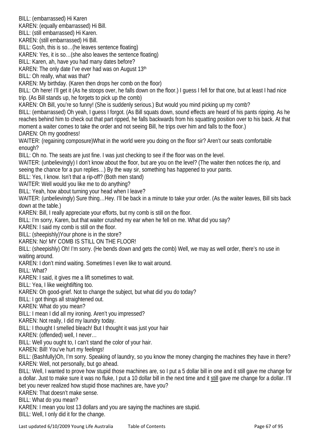BILL: (embarrassed) Hi Karen

KAREN: (equally embarrassed) Hi Bill.

BILL: (still embarrassed) Hi Karen.

KAREN: (still embarrassed) Hi Bill.

BILL: Gosh, this is so…(he leaves sentence floating)

KAREN: Yes, it is so…(she also leaves the sentence floating)

BILL: Karen, ah, have you had many dates before?

KAREN: The only date I've ever had was on August 13th

BILL: Oh really, what was that?

KAREN: My birthday. (Karen then drops her comb on the floor)

BILL: Oh here! I'll get it (As he stoops over, he falls down on the floor.) I guess I fell for that one, but at least I had nice trip. (As Bill stands up, he forgets to pick up the comb)

KAREN: Oh Bill, you're so funny! (She is suddenly serious.) But would you mind picking up my comb?

BILL: (embarrassed) Oh yeah, I guess I forgot. (As Bill squats down, sound effects are heard of his pants ripping. As he reaches behind him to check out that part ripped, he falls backwards from his squatting position over to his back. At that moment a waiter comes to take the order and not seeing Bill, he trips over him and falls to the floor.) DAREN: Oh my goodness!

WAITER: (regaining composure)What in the world were you doing on the floor sir? Aren't our seats comfortable enough?

BILL: Oh no. The seats are just fine. I was just checking to see if the floor was on the level.

WAITER: (unbelievingly) I don't know about the floor, but are you on the level? (The waiter then notices the rip, and seeing the chance for a pun replies…) By the way sir, something has happened to your pants.

BILL: Yes, I know. Isn't that a rip-off? (Both men stand)

WAITER: Well would you like me to do anything?

BILL: Yeah, how about turning your head when I leave?

WAITER: (unbelievingly) Sure thing...Hey. I'll be back in a minute to take your order. (As the waiter leaves, Bill sits back down at the table.)

KAREN: Bill, I really appreciate your efforts, but my comb is still on the floor.

BILL: I'm sorry, Karen, but that waiter crushed my ear when he fell on me. What did you say?

KAREN: I said my comb is still on the floor.

BILL: (sheepishly)Your phone is in the store?

KAREN: No! MY COMB IS STILL ON THE FLOOR!

BILL: (sheepishly) Oh! I'm sorry. (He bends down and gets the comb) Well, we may as well order, there's no use in waiting around.

KAREN: I don't mind waiting. Sometimes I even like to wait around.

BILL: What?

KAREN: I said, it gives me a lift sometimes to wait.

BILL: Yea, I like weightlifting too.

KAREN: Oh good-grief. Not to change the subject, but what did you do today?

BILL: I got things all straightened out.

KAREN: What do you mean?

BILL: I mean I did all my ironing. Aren't you impressed?

KAREN: Not really, I did my laundry today.

BILL: I thought I smelled bleach! But I thought it was just your hair

KAREN: (offended) well, I never…

BILL: Well you ought to, I can't stand the color of your hair.

KAREN: Bill! You've hurt my feelings!

BILL: (Bashfully)Oh, I'm sorry. Speaking of laundry, so you know the money changing the machines they have in there? KAREN: Well, not personally, but go ahead.

BILL: Well, I wanted to prove how stupid those machines are, so I put a 5 dollar bill in one and it still gave me change for a dollar. Just to make sure it was no fluke, I put a 10 dollar bill in the next time and it still gave me change for a dollar. I'll bet you never realized how stupid those machines are, have you?

KAREN: That doesn't make sense.

BILL: What do you mean?

KAREN: I mean you lost 13 dollars and you are saying the machines are stupid.

BILL: Well, I only did it for the change.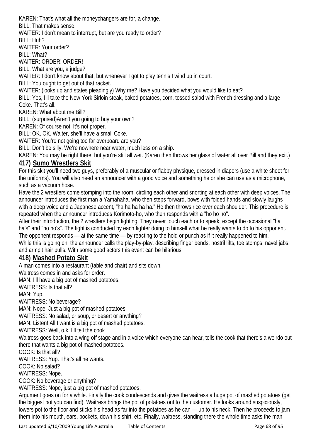KAREN: That's what all the moneychangers are for, a change.

BILL: That makes sense. WAITER: I don't mean to interrupt, but are you ready to order?

BILL: Huh?

WAITER: Your order?

BILL: What?

WAITER: ORDER! ORDER!

BILL: What are you, a judge?

WAITER: I don't know about that, but whenever I got to play tennis I wind up in court.

BILL: You ought to get out of that racket.

WAITER: (looks up and states pleadingly) Why me? Have you decided what you would like to eat?

BILL: Yes, I'll take the New York Sirloin steak, baked potatoes, corn, tossed salad with French dressing and a large Coke. That's all.

KAREN: What about me Bill?

BILL: (surprised)Aren't you going to buy your own?

KAREN: Of course not. It's not proper.

BILL: OK, OK. Waiter, she'll have a small Coke.

WAITER: You're not going too far overboard are you?

BILL: Don't be silly. We're nowhere near water, much less on a ship.

KAREN: You may be right there, but you're still all wet. (Karen then throws her glass of water all over Bill and they exit.) **417) Sumo Wrestlers Skit** 

For this skit you'll need two guys, preferably of a muscular or flabby physique, dressed in diapers (use a white sheet for the uniforms). You will also need an announcer with a good voice and something he or she can use as a microphone, such as a vacuum hose.

Have the 2 wrestlers come stomping into the room, circling each other and snorting at each other with deep voices. The announcer introduces the first man a Yamahaha, who then steps forward, bows with folded hands and slowly laughs with a deep voice and a Japanese accent, "ha ha ha ha ha." He then throws rice over each shoulder. This procedure is repeated when the announcer introduces Korimoto-ho, who then responds with a "ho ho ho".

After their introduction, the 2 wrestlers begin fighting. They never touch each or to speak, except the occasional "ha ha's" and "ho ho's". The fight is conducted by each fighter doing to himself what he really wants to do to his opponent. The opponent responds — at the same time — by reacting to the hold or punch as if it really happened to him. While this is going on, the announcer calls the play-by-play, describing finger bends, nostril lifts, toe stomps, navel jabs,

and armpit hair pulls. With some good actors this event can be hilarious.

## **418) Mashed Potato Skit**

A man comes into a restaurant (table and chair) and sits down.

Waitress comes in and asks for order.

MAN: I'll have a big pot of mashed potatoes.

WAITRESS: Is that all?

MAN: Yup.

WAITRESS: No beverage?

MAN: Nope. Just a big pot of mashed potatoes.

WAITRESS: No salad, or soup, or desert or anything?

MAN: Listen! All I want is a big pot of mashed potatoes.

WAITRESS: Well, o.k. I'll tell the cook

Waitress goes back into a wing off stage and in a voice which everyone can hear, tells the cook that there's a weirdo out there that wants a big pot of mashed potatoes.

COOK: Is that all?

WAITRESS: Yup. That's all he wants.

COOK: No salad?

WAITRESS: Nope.

COOK: No beverage or anything?

WAITRESS: Nope, just a big pot of mashed potatoes.

Argument goes on for a while. Finally the cook condescends and gives the waitress a huge pot of mashed potatoes (get the biggest pot you can find). Waitress brings the pot of potatoes out to the customer. He looks around suspiciously, lowers pot to the floor and sticks his head as far into the potatoes as he can — up to his neck. Then he proceeds to jam them into his mouth, ears, pockets, down his shirt, etc. Finally, waitress, standing there the whole time asks the man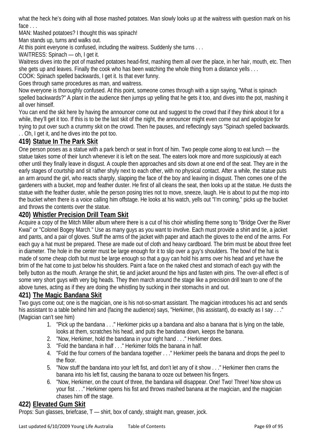what the heck he's doing with all those mashed potatoes. Man slowly looks up at the waitress with question mark on his face . . .

MAN: Mashed potatoes? I thought this was spinach!

Man stands up, turns and walks out.

At this point everyone is confused, including the waitress. Suddenly she turns . . .

WAITRESS: Spinach — oh, I get it.

Waitress dives into the pot of mashed potatoes head-first, mashing them all over the place, in her hair, mouth, etc. Then she gets up and leaves. Finally the cook who has been watching the whole thing from a distance yells . . .

COOK: Spinach spelled backwards, I get it. Is that ever funny.

Goes through same procedures as man, and waitress.

Now everyone is thoroughly confused. At this point, someone comes through with a sign saying, "What is spinach spelled backwards?" A plant in the audience then jumps up yelling that he gets it too, and dives into the pot, mashing it all over himself.

You can end the skit here by having the announcer come out and suggest to the crowd that if they think about it for a while, they'll get it too. If this is to be the last skit of the night, the announcer might even come out and apologize for trying to put over such a crummy skit on the crowd. Then he pauses, and reflectingly says "Spinach spelled backwards.

. . Oh, I get it, and he dives into the pot too.

# **419) Statue In The Park Skit**

One person poses as a statue with a park bench or seat in front of him. Two people come along to eat lunch — the statue takes some of their lunch whenever it is left on the seat. The eaters look more and more suspiciously at each other until they finally leave in disgust. A couple then approaches and sits down at one end of the seat. They are in the early stages of courtship and sit rather shyly next to each other, with no physical contact. After a while, the statue puts an arm around the girl, who reacts sharply, slapping the face of the boy and leaving in disgust. Then comes one of the gardeners with a bucket, mop and feather duster. He first of all cleans the seat, then looks up at the statue. He dusts the statue with the feather duster, while the person posing tries not to move, sneeze, laugh. He is about to put the mop into the bucket when there is a voice calling him offstage. He looks at his watch, yells out "I'm coming," picks up the bucket and throws the contents over the statue.

# **420) Whistler Precision Drill Team Skit**

Acquire a copy of the Mitch Miller album where there is a cut of his choir whistling theme song to "Bridge Over the River Kwai" or "Colonel Bogey March." Use as many guys as you want to involve. Each must provide a shirt and tie, a jacket and pants, and a pair of gloves. Stuff the arms of the jacket with paper and attach the gloves to the end of the arms. For each guy a hat must be prepared. These are made out of cloth and heavy cardboard. The brim must be about three feet in diameter. The hole in the center must be large enough for it to slip over a guy's shoulders. The bowl of the hat is made of some cheap cloth but must be large enough so that a guy can hold his arms over his head and yet have the brim of the hat come to just below his shoulders. Paint a face on the naked chest and stomach of each guy with the belly button as the mouth. Arrange the shirt, tie and jacket around the hips and fasten with pins. The over-all effect is of some very short guys with very big heads. They then march around the stage like a precision drill team to one of the above tunes, acting as if they are doing the whistling by sucking in their stomachs in and out.

# **421) The Magic Bandana Skit**

Two guys come out; one is the magician, one is his not-so-smart assistant. The magician introduces his act and sends his assistant to a table behind him and (facing the audience) says, "Herkimer, (his assistant), do exactly as I say . . ." (Magician can't see him)

- 1. "Pick up the bandana . . ." Herkimer picks up a bandana and also a banana that is lying on the table, looks at them, scratches his head, and puts the bandana down, keeps the banana.
- 2. "Now, Herkimer, hold the bandana in your right hand . . ." Herkimer does.
- 3. "Fold the bandana in half . . ." Herkimer folds the banana in half.
- 4. "Fold the four corners of the bandana together . . ." Herkimer peels the banana and drops the peel to the floor.
- 5. "Now stuff the bandana into your left fist, and don't let any of it show . . ." Herkimer then crams the banana into his left fist, causing the banana to ooze out between his fingers.
- 6. "Now, Herkimer, on the count of three, the bandana will disappear. One! Two! Three! Now show us your fist . . ." Herkimer opens his fist and throws mashed banana at the magician, and the magician chases him off the stage.

# **422) Elevated Gum Skit**

Props: Sun glasses, briefcase, T — shirt, box of candy, straight man, greaser, jock.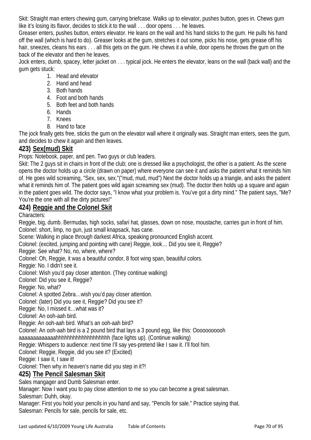Skit: Straight man enters chewing gum, carrying briefcase. Walks up to elevator, pushes button, goes in. Chews gum like it's losing its flavor, decides to stick it to the wall . . . door opens . . . he leaves.

Greaser enters, pushes button, enters elevator. He leans on the wall and his hand sticks to the gum. He pulls his hand off the wall (which is hard to do). Greaser looks at the gum, stretches it out some, picks his nose, gets grease off his hair, sneezes, cleans his ears . . . all this gets on the gum. He chews it a while, door opens he throws the gum on the back of the elevator and then he leaves.

Jock enters, dumb, spacey, letter jacket on . . . typical jock. He enters the elevator, leans on the wall (back wall) and the gum gets stuck:

- 1. Head and elevator
- 2. Hand and head
- 3. Both hands
- 4. Foot and both hands
- 5. Both feet and both hands
- 6. Hands
- 7. Knees
- 8. Hand to face

The jock finally gets free, sticks the gum on the elevator wall where it originally was. Straight man enters, sees the gum, and decides to chew it again and then leaves.

## **423) Sex(mud) Skit**

Props: Notebook, paper, and pen. Two guys or club leaders.

Skit: The 2 guys sit in chairs in front of the club; one is dressed like a psychologist, the other is a patient. As the scene opens the doctor holds up a circle (drawn on paper) where everyone can see it and asks the patient what it reminds him of. He goes wild screaming, "Sex, sex, sex."("mud, mud, mud") Next the doctor holds up a triangle, and asks the patient what it reminds him of. The patient goes wild again screaming sex (mud). The doctor then holds up a square and again in the patient goes wild. The doctor says, "I know what your problem is. You've got a dirty mind." The patient says, "Me? You're the one with all the dirty pictures!"

## **424) Reggie and the Colonel Skit**

Characters:

Reggie, big, dumb. Bermudas, high socks, safari hat, glasses, down on nose, moustache, carries gun in front of him. Colonel: short, limp, no gun, just small knapsack, has cane.

Scene: Walking in place through darkest Africa, speaking pronounced English accent.

Colonel: (excited, jumping and pointing with cane) Reggie, look… Did you see it, Reggie?

Reggie: See what? No, no, where, where?

Colonel: Oh, Reggie, it was a beautiful condor, 8 foot wing span, beautiful colors.

Reggie: No. I didn't see it.

Colonel: Wish you'd pay closer attention. (They continue walking)

Colonel: Did you see it, Reggie?

Reggie: No, what?

Colonel: A spotted Zebra…wish you'd pay closer attention.

Colonel: (later) Did you see it, Reggie? Did you see it?

Reggie: No, I missed it…what was it?

Colonel: An ooh-aah bird.

Reggie: An ooh-aah bird. What's an ooh-aah bird?

Colonel: An ooh-aah bird is a 2 pound bird that lays a 3 pound egg, like this: Ooooooooooh

aaaaaaaaaaaaahhhhhhhhhhhhhhhhhhh (face lights up). (Continue walking)

Reggie: Whispers to audience: next time I'll say yes-pretend like I saw it. I'll fool him.

Colonel: Reggie, Reggie, did you see it? (Excited)

Reggie: I saw it, I saw it!

Colonel: Then why in heaven's name did you step in it?!

## **425) The Pencil Salesman Skit**

Sales mangager and Dumb Salesman enter.

Manager: Now I want you to pay close attention to me so you can become a great salesman. Salesman: Duhh, okay.

Manager: First you hold your pencils in you hand and say, "Pencils for sale." Practice saying that. Salesman: Pencils for sale, pencils for sale, etc.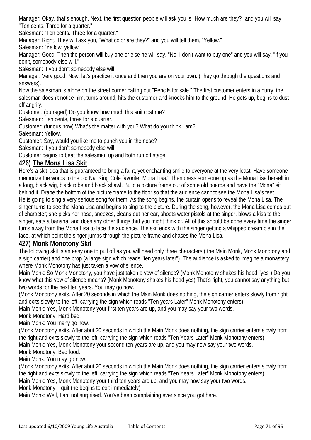Manager: Okay, that's enough. Next, the first question people will ask you is "How much are they?" and you will say "Ten cents. Three for a quarter."

Salesman: "Ten cents. Three for a quarter."

Manager: Right. They will ask you, "What color are they?" and you will tell them, "Yellow."

Salesman: "Yellow, yellow"

Manager: Good. Then the person will buy one or else he will say, "No, I don't want to buy one" and you will say, "If you don't, somebody else will."

Salesman: If you don't somebody else will.

Manager: Very good. Now, let's practice it once and then you are on your own. (They go through the questions and answers).

Now the salesman is alone on the street corner calling out "Pencils for sale." The first customer enters in a hurry, the salesman doesn't notice him, turns around, hits the customer and knocks him to the ground. He gets up, begins to dust off angrily.

Customer: (outraged) Do you know how much this suit cost me?

Salesman: Ten cents, three for a quarter.

Customer: (furious now) What's the matter with you? What do you think I am?

Salesman: Yellow.

Customer: Say, would you like me to punch you in the nose?

Salesman: If you don't somebody else will.

Customer begins to beat the salesman up and both run off stage.

#### **426) The Mona Lisa Skit**

Here's a skit idea that is guaranteed to bring a faint, yet enchanting smile to everyone at the very least. Have someone memorize the words to the old Nat King Cole favorite "Mona Lisa." Then dress someone up as the Mona Lisa herself in a long, black wig, black robe and black shawl. Build a picture frame out of some old boards and have the "Mona" sit behind it. Drape the bottom of the picture frame to the floor so that the audience cannot see the Mona Lisa's feet. He is going to sing a very serious song for them. As the song begins, the curtain opens to reveal the Mona Lisa. The singer turns to see the Mona Lisa and begins to sing to the picture. During the song, however, the Mona Lisa comes out of character; she picks her nose, sneezes, cleans out her ear, shoots water pistols at the singer, blows a kiss to the singer, eats a banana, and does any other things that you might think of. All of this should be done every time the singer turns away from the Mona Lisa to face the audience. The skit ends with the singer getting a whipped cream pie in the face, at which point the singer jumps through the picture frame and chases the Mona Lisa.

#### **427) Monk Monotony Skit**

The following skit is an easy one to pull off as you will need only three characters ( the Main Monk, Monk Monotony and a sign carrier) and one prop (a large sign which reads "ten years later"). The audience is asked to imagine a monastery where Monk Monotony has just taken a vow of silence.

Main Monk: So Monk Monotony, you have just taken a vow of silence? (Monk Monotony shakes his head "yes") Do you know what this vow of silence means? (Monk Monotony shakes his head yes) That's right, you cannot say anything but two words for the next ten years. You may go now.

(Monk Monotony exits. After 20 seconds in which the Main Monk does nothing, the sign carrier enters slowly from right and exits slowly to the left, carrying the sign which reads "Ten years Later" Monk Monotony enters).

Main Monk: Yes, Monk Monotony your first ten years are up, and you may say your two words.

Monk Monotony: Hard bed.

Main Monk: You many go now.

(Monk Monotony exits. After abut 20 seconds in which the Main Monk does nothing, the sign carrier enters slowly from the right and exits slowly to the left, carrying the sign which reads "Ten Years Later" Monk Monotony enters) Main Monk: Yes, Monk Monotony your second ten years are up, and you may now say your two words.

Monk Monotony: Bad food.

Main Monk: You may go now.

(Monk Monotony exits. After abut 20 seconds in which the Main Monk does nothing, the sign carrier enters slowly from the right and exits slowly to the left, carrying the sign which reads "Ten Years Later" Monk Monotony enters)

Main Monk: Yes, Monk Monotony your third ten years are up, and you may now say your two words.

Monk Monotony: I quit (he begins to exit immediately)

Main Monk: Well, I am not surprised. You've been complaining ever since you got here.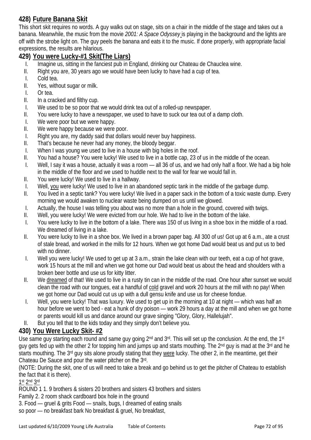# **428) Future Banana Skit**

This short skit requires no words. A guy walks out on stage, sits on a chair in the middle of the stage and takes out a banana. Meanwhile, the music from the movie *2001: A Space Odyssey* is playing in the background and the lights are off with the strobe light on. The guy peels the banana and eats it to the music. If done properly, with appropriate facial expressions, the results are hilarious.

# **429) You were Lucky-#1 Skit(The Liars)**

- I. Imagine us, sitting in the fanciest pub in England, drinking our Chateau de Chauclea wine.
- II. Right you are, 30 years ago we would have been lucky to have had a cup of tea.
- I. Cold tea.
- II. Yes, without sugar or milk.
- I. Or tea.
- II. In a cracked and filthy cup.
- I. We used to be so poor that we would drink tea out of a rolled-up newspaper.
- II. You were lucky to have a newspaper, we used to have to suck our tea out of a damp cloth.
- I. We were poor but we were happy.
- II. We were happy because we were poor.
- I. Right you are, my daddy said that dollars would never buy happiness.
- II. That's because he never had any money, the bloody beggar.
- I. When I was young we used to live in a house with big holes in the roof.
- II. You had a house? You were lucky! We used to live in a bottle cap, 23 of us in the middle of the ocean.
- I. Well, I say it was a house, actually it was a room all 36 of us, and we had only half a floor. We had a big hole in the middle of the floor and we used to huddle next to the wall for fear we would fall in.
- II. You were lucky! We used to live in a hallway.
- I. Well, you were lucky! We used to live in an abandoned septic tank in the middle of the garbage dump.
- II. You lived in a septic tank? You were lucky! We lived in a paper sack in the bottom of a toxic waste dump. Every morning we would awaken to nuclear waste being dumped on us until we glowed.
- I. Actually, the house I was telling you about was no more than a hole in the ground, covered with twigs.
- II. Well, you were lucky! We were evicted from our hole. We had to live in the bottom of the lake.
- I. You were lucky to live in the bottom of a lake. There was 150 of us living in a shoe box in the middle of a road. We dreamed of living in a lake.
- II. You were lucky to live in a shoe box. We lived in a brown paper bag. All 300 of us! Got up at 6 a.m., ate a crust of stale bread, and worked in the mills for 12 hours. When we got home Dad would beat us and put us to bed with no dinner.
- I. Well you were lucky! We used to get up at 3 a.m., strain the lake clean with our teeth, eat a cup of hot grave, work 15 hours at the mill and when we got home our Dad would beat us about the head and shoulders with a broken beer bottle and use us for kitty litter.
- II. We dreamed of that! We used to live in a rusty tin can in the middle of the road. One hour after sunset we would clean the road with our tongues, eat a handful of cold gravel and work 20 hours at the mill with no pay! When we got home our Dad would cut us up with a dull gensu knife and use us for cheese fondue.
- I. Well, you were lucky! That was luxury. We used to get up in the morning at 10 at night which was half an hour before we went to bed - eat a hunk of dry poison — work 29 hours a day at the mill and when we got home or parents would kill us and dance around our grave singing "Glory, Glory, Hallelujah".
- II. But you tell that to the kids today and they simply don't believe you.

## **430) You Were Lucky Skit- #2**

Use same guy starting each round and same guy going 2<sup>nd</sup> and 3<sup>rd</sup>. This will set up the conclusion. At the end, the 1<sup>st</sup> guy gets fed up with the other 2 for topping him and jumps up and starts mouthing. The 2<sup>nd</sup> guy is mad at the 3<sup>rd</sup> and he starts mouthing. The 3<sup>rd</sup> guy sits alone proudly stating that they were lucky. The other 2, in the meantime, get their Chateau De Sauce and pour the water pitcher on the 3rd.

(NOTE: During the skit, one of us will need to take a break and go behind us to get the pitcher of Chateau to establish the fact that it is there).

1st 2nd 3rd

ROUND 1 1. 9 brothers & sisters 20 brothers and sisters 43 brothers and sisters

Family 2. 2 room shack cardboard box hole in the ground

3. Food — gruel & grits Food — snails, bugs, I dreamed of eating snails

so poor — no breakfast bark No breakfast & gruel, No breakfast,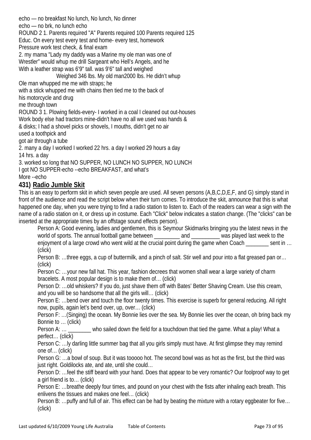echo — no breakfast No lunch, No lunch, No dinner echo — no brk, no lunch echo ROUND 2 1. Parents required "A" Parents required 100 Parents required 125 Educ. On every test every test and home- every test, homework Pressure work test check, & final exam 2. my mama "Lady my daddy was a Marine my ole man was one of Wrestler" would whup me drill Sargeant who Hell's Angels, and he With a leather strap was 6'9" tall. was 9'6" tall and weighed Weighed 346 lbs. My old man2000 lbs. He didn't whup Ole man whupped me me with straps; he with a stick whupped me with chains then tied me to the back of his motorcycle and drug me through town ROUND 3 1. Plowing fields-every- I worked in a coal I cleaned out out-houses Work body else had tractors mine-didn't have no all we used was hands & & disks; I had a shovel picks or shovels, I mouths, didn't get no air used a toothpick and got air through a tube 2. many a day I worked I worked 22 hrs. a day I worked 29 hours a day 14 hrs. a day

3. worked so long that NO SUPPER, NO LUNCH NO SUPPER, NO LUNCH

I got NO SUPPER-echo --echo BREAKFAST, and what's

More --echo

# **431) Radio Jumble Skit**

This is an easy to perform skit in which seven people are used. All seven persons (A,B,C,D,E,F, and G) simply stand in front of the audience and read the script below when their turn comes. To introduce the skit, announce that this is what happened one day, when you were trying to find a radio station to listen to. Each of the readers can wear a sign with the name of a radio station on it, or dress up in costume. Each "Click" below indicates a station change. (The "clicks" can be inserted at the appropriate times by an offstage sound effects person).

Person A: Good evening, ladies and gentlemen, this is Seymour Skidmarks bringing you the latest news in the world of sports. The annual football game between and early was played last week to the enjoyment of a large crowd who went wild at the crucial point during the game when Coach \_\_\_\_\_\_\_\_ sent in ... (click)

Person B: …three eggs, a cup of buttermilk, and a pinch of salt. Stir well and pour into a flat greased pan or… (click)

Person C: …your new fall hat. This year, fashion decrees that women shall wear a large variety of charm bracelets. A most popular design is to make them of… (click)

Person D: ...old whiskers? If you do, just shave them off with Bates' Better Shaving Cream. Use this cream, and you will be so handsome that all the girls will… (click)

Person E: …bend over and touch the floor twenty times. This exercise is superb for general reducing. All right now, pupils, again let's bend over, up, over… (click)

Person F: …(Singing) the ocean. My Bonnie lies over the sea. My Bonnie lies over the ocean, oh bring back my Bonnie to … (click)

Person A: ... \_\_\_\_\_\_\_ who sailed down the field for a touchdown that tied the game. What a play! What a perfect… (click)

Person C: ... Iy darling little summer bag that all you girls simply must have. At first glimpse they may remind one of… (click)

Person G: …a bowl of soup. But it was tooooo hot. The second bowl was as hot as the first, but the third was just right. Goldilocks ate, and ate, until she could...

Person D: …feel the stiff beard with your hand. Does that appear to be very romantic? Our foolproof way to get a girl friend is to… (click)

Person E: …breathe deeply four times, and pound on your chest with the fists after inhaling each breath. This enlivens the tissues and makes one feel… (click)

Person B: ... puffy and full of air. This effect can be had by beating the mixture with a rotary eggbeater for five... (click)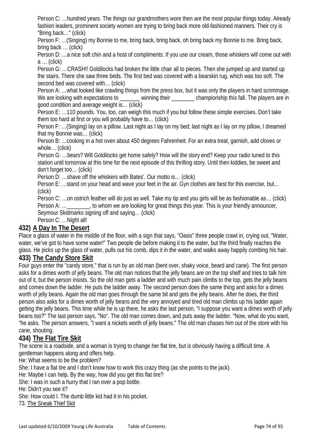Person C: …hundred years. The things our grandmothers wore then are the most popular things today. Already fashion leaders, prominent society women are trying to bring back more old-fashioned manners. Their cry is "Bring back…" (click)

Person F: …(Singing) my Bonnie to me, bring back, bring back, oh bring back my Bonnie to me. Bring back, bring back … (click)

Person D: …a nice soft chin and a host of compliments. If you use our cream, those whiskers will come out with a … (click)

Person G: …CRASH!! Goldilocks had broken the little chair all to pieces. Then she jumped up and started up the stairs. There she saw three beds. The first bed was covered with a bearskin rug, which was too soft. The second bed was covered with… (click)

Person A: …what looked like crawling things from the press box, but it was only the players in hard scrimmage. We are looking with expectations to winning their experience championship this fall. The players are in good condition and average weight is… (click)

Person E: …110 pounds. You, too, can weigh this much if you but follow these simple exercises. Don't take them too hard at first or you will probably have to… (click)

Person F: …(Singing) lay on a pillow. Last night as I lay on my bed; last night as I lay on my pillow, I dreamed that my Bonnie was… (click)

Person B: …cooking in a hot oven about 450 degrees Fahrenheit. For an extra treat, garnish, add cloves or whole… (click)

Person G: …bears? Will Goldilocks get home safely? How will the story end? Keep your radio tuned to this station until tomorrow at this time for the next episode of this thrilling story. Until then kiddies, be sweet and don't forget too… (click)

Person D: …shave off the whiskers with Bates'. Our motto is… (click)

Person E: …stand on your head and wave your feet in the air. Gyn clothes are best for this exercise, but… (click)

Person C: …on ostrich feather will do just as well. Take my tip and you girls will be as fashionable as… (click) Person A: ... \_\_\_\_\_\_\_\_, to whom we are looking for great things this year. This is your friendly announcer, Seymour Skidmarks signing off and saying… (click)

Person C: ... Night all!

### **432) A Day In The Desert**

Place a glass of water in the middle of the floor, with a sign that says, "Oasis" three people crawl in, crying out, "Water, water, we've got to have some water!" Two people die before making it to the water, but the third finally reaches the glass. He picks up the glass of water, pulls out his comb, dips it in the water, and walks away happily combing his hair.

### **433) The Candy Store Skit**

Four guys enter the "candy store," that is run by an old man (bent over, shaky voice, beard and cane). The first person asks for a dimes worth of jelly beans. The old man notices that the jelly beans are on the top shelf and tries to talk him out of it, but the person insists. So the old man gets a ladder and with much pain climbs to the top, gets the jelly beans and comes down the ladder. He puts the ladder away. The second person does the same thing and asks for a dimes worth of jelly beans. Again the old man goes through the same bit and gets the jelly beans. After he does, the third person also asks for a dimes worth of jelly beans and the very annoyed and tired old man climbs up his ladder again getting the jelly beans. This time while he is up there, he asks the last person, "I suppose you want a dimes worth of jelly beans too?" The last person says, "No". The old man comes down, and puts away the ladder. "Now, what do you want, "he asks. The person answers, "I want a nickels worth of jelly beans." The old man chases him out of the store with his cane, shouting.

### **434) The Flat Tire Skit**

The scene is a roadside, and a woman is trying to change her flat tire, but is obviously having a difficult time. A gentleman happens along and offers help.

He: What seems to be the problem?

She: I have a flat tire and I don't know how to work this crazy thing (as she points to the jack).

He: Maybe I can help. By the way, how did you get this flat tire?

She: I was in such a hurry that I ran over a pop bottle.

He: Didn't you see it?

She: How could I. The dumb little kid had it in his pocket.

73. The Sneak Thief Skit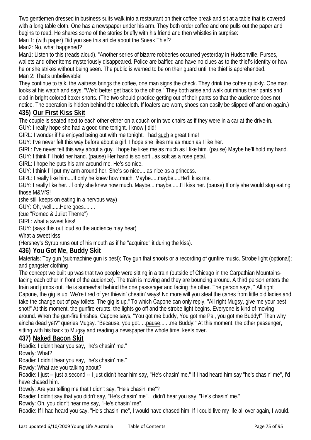Two gentlemen dressed in business suits walk into a restaurant on their coffee break and sit at a table that is covered with a long table cloth. One has a newspaper under his arm. They both order coffee and one pulls out the paper and begins to read. He shares some of the stories briefly with his friend and then whistles in surprise:

Man 1: (with paper) Did you see this article about the Sneak Thief?

Man2: No, what happened?

Man1: Listen to this (reads aloud). "Another series of bizarre robberies occurred yesterday in Hudsonville. Purses, wallets and other items mysteriously disappeared. Police are baffled and have no clues as to the thief's identity or how he or she strikes without being seen. The public is warned to be on their guard until the thief is apprehended. Man 2: That's unbelievable!

They continue to talk, the waitress brings the coffee, one man signs the check. They drink the coffee quickly. One man looks at his watch and says, "We'd better get back to the office." They both arise and walk out minus their pants and clad in bright colored boxer shorts. (The two should practice getting out of their pants so that the audience does not notice. The operation is hidden behind the tablecloth. If loafers are worn, shoes can easily be slipped off and on again.)

# **435) Our First Kiss Skit**

The couple is seated next to each other either on a couch or in two chairs as if they were in a car at the drive-in. GUY: I really hope she had a good time tonight. I know I did!

GIRL: I wonder if he enjoyed being out with me tonight. I had such a great time!

GUY: I've never felt this way before about a girl. I hope she likes me as much as I like her.

GIRL: I've never felt this way about a guy. I hope he likes me as much as I like him. (pause) Maybe he'll hold my hand.

GUY: I think I'll hold her hand. (pause) Her hand is so soft...as soft as a rose petal.

GIRL: I hope he puts his arm around me. He's so nice.

GUY: I think I'll put my arm around her. She's so nice.....as nice as a princess.

GIRL: I really like him....If only he knew how much. Maybe.....maybe.....He'll kiss me.

GUY: I really like her...If only she knew how much. Maybe....maybe......I'll kiss her. (pause) If only she would stop eating those M&M'S!

(she still keeps on eating in a nervous way)

GUY: Oh, well......Here goes........

(cue "Romeo & Juliet Theme")

GIRL: what a sweet kiss!

GUY: (says this out loud so the audience may hear)

What a sweet kiss!

(Hershey's Syrup runs out of his mouth as if he "acquired" it during the kiss).

# **436) You Got Me, Buddy Skit**

Materials: Toy gun (submachine gun is best); Toy gun that shoots or a recording of gunfire music. Strobe light (optional); and gangster clothing

The concept we built up was that two people were sitting in a train (outside of Chicago in the Carpathian Mountainsfacing each other in front of the audience). The train is moving and they are bouncing around. A third person enters the train and jumps out. He is somewhat behind the one passenger and facing the other. The person says, " All right Capone, the gig is up. We're tired of yer thievin' cheatin' ways! No more will you steal the canes from little old ladies and take the change out of pay toilets. The gig is up." To which Capone can only reply, "All right Mugsy, give me your best shot!" At this moment, the gunfire erupts, the lights go off and the strobe light begins. Everyone is kind of moving around. When the gun-fire finishes, Capone says, "You got me buddy, You got me Pal, you got me Buddy!" Then why aincha dead yet?" queries Mugsy. "Because, you got.....pause.......me Buddy!" At this moment, the other passenger, sitting with his back to Mugsy and reading a newspaper the whole time, keels over.

# **437) Naked Bacon Skit**

Roadie: I didn't hear you say, "he's chasin' me."

Rowdy: What?

Roadie: I didn't hear you say, "he's chasin' me."

Rowdy: What are you talking about?

Roadie: I just -- just a second -- I just didn't hear him say, "He's chasin' me." If I had heard him say "he's chasin' me", I'd have chased him.

Rowdy: Are you telling me that I didn't say, "He's chasin' me"?

Roadie: I didn't say that you didn't say, "He's chasin' me". I didn't hear you say, "He's chasin' me."

Rowdy: Oh, you didn't hear me say, "He's chasin' me".

Roadie: If I had heard you say, "He's chasin' me", I would have chased him. If I could live my life all over again, I would.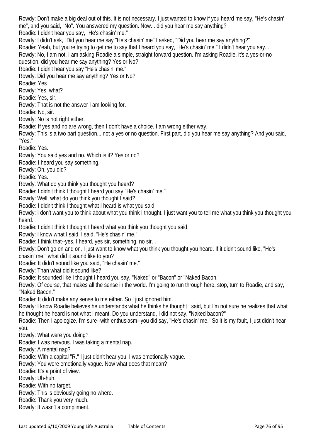Rowdy: Don't make a big deal out of this. It is not necessary. I just wanted to know if you heard me say, "He's chasin' me", and you said, "No". You answered my question. Now... did you hear me say anything? Roadie: I didn't hear you say, "He's chasin' me." Rowdy: I didn't ask, "Did you hear me say "He's chasin' me" I asked, "Did you hear me say anything?" Roadie: Yeah, but you're trying to get me to say that I heard you say, "He's chasin' me." I didn't hear you say... Rowdy: No, I am not. I am asking Roadie a simple, straight forward question. I'm asking Roadie, it's a yes-or-no question, did you hear me say anything? Yes or No? Roadie: I didn't hear you say "He's chasin' me." Rowdy: Did you hear me say anything? Yes or No? Roadie: Yes Rowdy: Yes, what? Roadie: Yes, sir. Rowdy: That is not the answer I am looking for. Roadie: No, sir. Rowdy: No is not right either. Roadie: If yes and no are wrong, then I don't have a choice. I am wrong either way. Rowdy: This is a two part question... not a yes or no question. First part, did you hear me say anything? And you said, "Yes." Roadie: Yes. Rowdy: You said yes and no. Which is it? Yes or no? Roadie: I heard you say something. Rowdy: Oh, you did? Roadie: Yes. Rowdy: What do you think you thought you heard? Roadie: I didn't think I thought I heard you say "He's chasin' me." Rowdy: Well, what do you think you thought I said? Roadie: I didn't think I thought what I heard is what you said. Rowdy: I don't want you to think about what you think I thought. I just want you to tell me what you think you thought you heard. Roadie: I didn't think I thought I heard what you think you thought you said. Rowdy: I know what I said. I said, "He's chasin' me." Roadie: I think that--yes, I heard, yes sir, something, no sir. . . Rowdy: Don't go on and on. I just want to know what you think you thought you heard. If it didn't sound like, "He's chasin' me," what did it sound like to you? Roadie: It didn't sound like you said, "He chasin' me." Rowdy: Than what did it sound like? Roadie: It sounded like I thought I heard you say, "Naked" or "Bacon" or "Naked Bacon." Rowdy: Of course, that makes all the sense in the world. I'm going to run through here, stop, turn to Roadie, and say, "Naked Bacon." Roadie: It didn't make any sense to me either. So I just ignored him. Rowdy: I know Roadie believes he understands what he thinks he thought I said, but I'm not sure he realizes that what he thought he heard is not what I meant. Do you understand, I did not say, "Naked bacon?" Roadie: Then I apologize. I'm sure--with enthusiasm--you did say, "He's chasin' me." So it is my fault, I just didn't hear you. Rowdy: What were you doing? Roadie: I was nervous. I was taking a mental nap. Rowdy: A mental nap? Roadie: With a capital "R." I just didn't hear you. I was emotionally vague. Rowdy: You were emotionally vague. Now what does that mean? Roadie: It's a point of view. Rowdy: Uh-huh. Roadie: With no target. Rowdy: This is obviously going no where. Roadie: Thank you very much. Rowdy: It wasn't a compliment.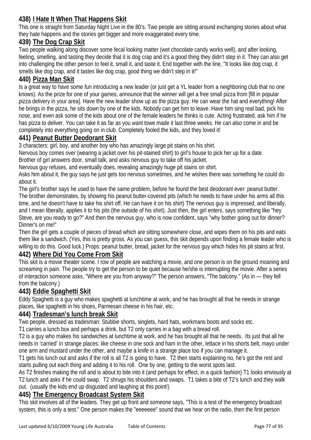# **438) I Hate It When That Happens Skit**

This one is straight from Saturday Night Live in the 80's. Two people are sitting around exchanging stories about what they hate happens and the stories get bigger and more exaggerated every time.

# **439) The Dog Crap Skit**

Two people walking along discover some fecal looking matter (wet chocolate candy works well), and after looking, feeling, smelling, and tasting they decide that it is dog crap and it's a good thing they didn't step in it. They can also get into challenging the other person to feel it, small it, and taste it. End together with the line, "It looks like dog crap, it smells like dog crap, and it tastes like dog crap, good thing we didn't step in it!"

# **440) Pizza Man Skit**

Is a great way to have some fun introducing a new leader (or just get a YL leader from a neighboring club that no one knows). As the prize for one of your games, announce that the winner will get a free small pizza from [fill in popular pizza delivery in your area]. Have the new leader show up as the pizza guy. He can wear the hat and everything! After he brings in the pizza, he sits down by one of the kids. Nobody can get him to leave. Have him sing real bad, pick his nose, and even ask some of the kids about one of the female leaders he thinks is cute. Acting frustrated, ask him if he has pizza to deliver. You can take it as far as you want towe made it last three weeks. He can also come in and be completely into everything going on in club. Completely fooled the kids, and they loved it!

# **441) Peanut Butter Deodorant Skit**

3 characters: girl, boy, and another boy who has amazingly large pit stains on his shirt.

Nervous boy comes over (wearing a jacket over his pit-stained shirt) to girl's house to pick her up for a date.

Brother of girl answers door, small talk, and asks nervous guy to take off his jacket.

Nervous guy refuses, and eventually does, revealing amazingly huge pit stains on shirt.

Asks him about it, the guy says he just gets too nervous sometimes, and he wishes there was something he could do about it.

The girl's brother says he used to have the same problem, before he found the best deodorant ever: peanut butter. The brother demonstrates, by showing his peanut butter-covered pits (which he needs to have under his arms all this time, and he doesn't have to take his shirt off. He can have it on his shirt) The nervous guy is impressed, and liberally, and I mean liberally, applies it to his pits (the outside of his shirt). Just then, the girl enters, says something like "hey Steve, are you ready to go?" And then the nervous guy, who is now confident, says "why bother going out for dinner? Dinner's on me!"

Then the girl gets a couple of pieces of bread which are sitting somewhere close, and wipes them on his pits and eats them like a sandwich. (Yes, this is pretty gross. As you can guess, this skit depends upon finding a female leader who is willing to do this. Good luck.) Props: peanut butter, bread, jacket for the nervous guy which hides his pit stains at first.

# **442) Where Did You Come From Skit**

This skit is a movie theater scene. I row of people are watching a movie, and one person is on the ground moaning and screaming in pain. The people try to get the person to be quiet because he/she is interrupting the movie. After a series of interaction someone asks, "Where are you from anyway?" The person answers, "The balcony." (As in — they fell from the balcony.)

# **443) Eddie Spaghetti Skit**

Eddy Spaghetti is a guy who makes spaghetti at lunchtime at work, and he has brought all that he needs in strange places, like spaghetti in his shoes, Parmesan cheese in his hair, etc.

# **444) Tradesman's lunch break Skit**

Two people, dressed as tradesman: Stubbie shorts, singlets, hard hats, workmans boots and socks etc.

T1 carries a lunch box and perhaps a drink, but T2 only carries in a bag with a bread roll.

T2 is a guy who makes his sandwiches at lunchtime at work, and he has brought all that he needs. Its just that all he needs in 'carried' in strange places: like cheese in one sock and ham in the other, lettace in his shorts belt, mayo under one arm and mustard under the other, and maybe a knife in a strange place too if you can manage it.

T1 gets his lunch out and asks if the roll is all T2 is going to have. T2 then starts explaining no, he's got the rest and starts pulling out each thing and adding it to his roll. One by one, getting to the worst spots last.

As T2 finishes making the roll and is about to bite into it (and perhaps for effect, in a quick fashion) T1 looks enviously at T2 lunch and asks if he could swap. T2 shrugs his shoulders and swaps. T1 takes a bite of T2's lunch and they walk out. (usually the kids end up disgusted and laughing at this point!)

# **445) The Emergency Broadcast System Skit**

This skit involves all of the leaders. They get up front and someone says, "This is a test of the emergency broadcast system, this is only a test." One person makes the "eeeeeee" sound that we hear on the radio, then the first person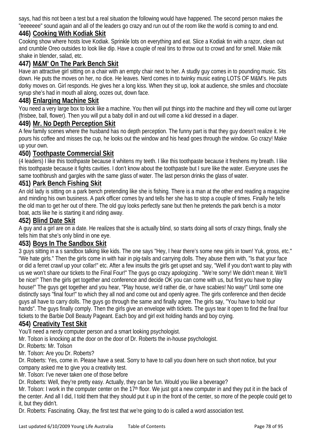says, had this not been a test but a real situation the following would have happened. The second person makes the "eeeeeee" sound again and all of the leaders go crazy and run out of the room like the world is coming to and end.

### **446) Cooking With Kodiak Skit**

Cooking show where hosts love Kodiak. Sprinkle lots on everything and eat. Slice a Kodiak tin with a razor, clean out and crumble Oreo outsides to look like dip. Have a couple of real tins to throw out to crowd and for smell. Make milk shake in blender, salad, etc.

### **447) M&M' On The Park Bench Skit**

Have an attractive girl sitting on a chair with an empty chair next to her. A studly guy comes in to pounding music. Sits down. He puts the moves on her, no dice. He leaves. Nerd comes in to twinky music eating LOTS OF M&M's. He puts dorky moves on. Girl responds. He gives her a long kiss. When they sit up, look at audience, she smiles and chocolate syrup she's had in mouth all along, oozes out, down face.

### **448) Enlarging Machine Skit**

You need a very large box to look like a machine. You then will put things into the machine and they will come out larger (frisbee, ball, flower). Then you will put a baby doll in and out will come a kid dressed in a diaper.

### **449) Mr. No Depth Perception Skit**

A few family scenes where the husband has no depth perception. The funny part is that they guy doesn't realize it. He pours his coffee and misses the cup, he looks out the window and his head goes through the window. Go crazy! Make up your own.

### **450) Toothpaste Commercial Skit**

(4 leaders) I like this toothpaste because it whitens my teeth. I like this toothpaste because it freshens my breath. I like this toothpaste because it fights cavities. I don't know about the toothpaste but I sure like the water. Everyone uses the same toothbrush and gargles with the same glass of water. The last person drinks the glass of water.

### **451) Park Bench Fishing Skit**

An old lady is sitting on a park bench pretending like she is fishing. There is a man at the other end reading a magazine and minding his own business. A park officer comes by and tells her she has to stop a couple of times. Finally he tells the old man to get her out of there. The old guy looks perfectly sane but then he pretends the park bench is a motor boat, acts like he is starting it and riding away.

### **452) Blind Date Skit**

A guy and a girl are on a date. He realizes that she is actually blind, so starts doing all sorts of crazy things, finally she tells him that she's only blind in one eye.

### **453) Boys In The Sandbox Skit**

3 guys sitting in a s sandbox talking like kids. The one says "Hey, I hear there's some new girls in town! Yuk, gross, etc." "We hate girls." Then the girls come in with hair in pig-tails and carrying dolls. They abuse them with, "Is that your face or did a ferret crawl up your collar!" etc. After a few insults the girls get upset and say, "Well if you don't want to play with us we won't share our tickets to the Final Four!" The guys go crazy apologizing . "We're sorry! We didn't mean it. We'll be nice!" Then the girls get together and conference and decide OK you can come with us, but first you have to play house!" The guys get together and you hear, "Play house, we'd rather die, or have scabies! No way!" Until some one distinctly says "final four!" to which they all nod and come out and openly agree. The girls conference and then decide guys all have to carry dolls. The guys go through the same and finally agree. The girls say, "You have to hold our hands". The guys finally comply. Then the girls give an envelope with tickets. The guys tear it open to find the final four tickets to the Barbie Doll Beauty Pageant. Each boy and girl exit holding hands and boy crying.

### **454) Creativity Test Skit**

You'll need a nerdy computer person and a smart looking psychologist.

Mr. Tolson is knocking at the door on the door of Dr. Roberts the in-house psychologist.

- Dr. Roberts: Mr. Tolson
- Mr. Tolson: Are you Dr. Roberts?

Dr. Roberts: Yes, come in. Please have a seat. Sorry to have to call you down here on such short notice, but your company asked me to give you a creativity test.

Mr. Tolson: I've never taken one of those before

Dr. Roberts: Well, they're pretty easy. Actually, they can be fun. Would you like a beverage?

Mr. Tolson: I work in the computer center on the 17<sup>th</sup> floor. We just got a new computer in and they put it in the back of the center. And all I did, I told them that they should put it up in the front of the center, so more of the people could get to it, but they didn't.

Dr. Roberts: Fascinating. Okay, the first test that we're going to do is called a word association test.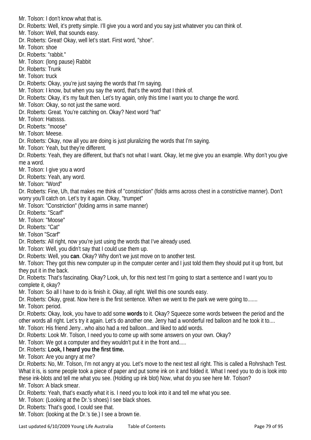- Mr. Tolson: I don't know what that is.
- Dr. Roberts: Well, it's pretty simple. I'll give you a word and you say just whatever you can think of.
- Mr. Tolson: Well, that sounds easy.
- Dr. Roberts: Great! Okay, well let's start. First word, "shoe".
- Mr. Tolson: shoe
- Dr. Roberts: "rabbit."
- Mr. Tolson: (long pause) Rabbit
- Dr. Roberts: Trunk
- Mr. Tolson: truck
- Dr. Roberts: Okay, you're just saying the words that I'm saying.
- Mr. Tolson: I know, but when you say the word, that's the word that I think of.
- Dr. Roberts: Okay, it's my fault then. Let's try again, only this time I want you to change the word.
- Mr. Tolson: Okay, so not just the same word.
- Dr. Roberts: Great. You're catching on. Okay? Next word "hat"
- Mr. Tolson: Hatssss.
- Dr. Roberts: "moose"
- Mr. Tolson: Meese.
- Dr. Roberts: Okay, now all you are doing is just pluralizing the words that I'm saying.
- Mr. Tolson: Yeah, but they're different.
- Dr. Roberts: Yeah, they are different, but that's not what I want. Okay, let me give you an example. Why don't you give me a word.
- Mr. Tolson: I give you a word
- Dr. Roberts: Yeah, any word.
- Mr. Tolson: "Word"
- Dr. Roberts: Fine, Uh, that makes me think of "constriction" (folds arms across chest in a constrictive manner). Don't worry you'll catch on. Let's try it again. Okay, "trumpet"
- Mr. Tolson: "Constriction" (folding arms in same manner)
- Dr. Roberts: "Scarf"
- Mr. Tolson: "Moose"
- Dr. Roberts: "Cat"
- Mr. Tolson "Scarf"
- Dr. Roberts: All right, now you're just using the words that I've already used.
- Mr. Tolson: Well, you didn't say that I could use them up.
- Dr. Roberts: Well, you **can**. Okay? Why don't we just move on to another test.
- Mr. Tolson: They got this new computer up in the computer center and I just told them they should put it up front, but they put it in the back.
- Dr. Roberts: That's fascinating. Okay? Look, uh, for this next test I'm going to start a sentence and I want you to complete it, okay?
- Mr. Tolson: So all I have to do is finish it. Okay, all right. Well this one sounds easy.
- Dr. Roberts: Okay, great. Now here is the first sentence. When we went to the park we were going to.......
- Mr. Tolson: period.
- Dr. Roberts: Okay, look, you have to add some **words** to it. Okay? Squeeze some words between the period and the other words all right. Let's try it again. Let's do another one. Jerry had a wonderful red balloon and he took it to....
- Mr. Tolson: His friend Jerry...who also had a red balloon...and liked to add words.
- Dr. Roberts: Look Mr. Tolson, I need you to come up with some answers on your own. Okay?
- Mr. Tolson: We got a computer and they wouldn't put it in the front and.....

### Dr. Roberts: **Look, I heard you the first time.**

- Mr. Tolson: Are you angry at me?
- Dr. Roberts: No, Mr. Tolson, I'm not angry at you. Let's move to the next test all right. This is called a Rohrshach Test. What it is, is some people took a piece of paper and put some ink on it and folded it. What I need you to do is look into these ink-blots and tell me what you see. (Holding up ink blot) Now, what do you see here Mr. Tolson?
- Mr. Tolson: A black smear.
- Dr. Roberts: Yeah, that's exactly what it is. I need you to look into it and tell me what you see.
- Mr. Tolson: (Looking at the Dr.'s shoes) I see black shoes.
- Dr. Roberts: That's good, I could see that.
- Mr. Tolson: (looking at the Dr.'s tie.) I see a brown tie.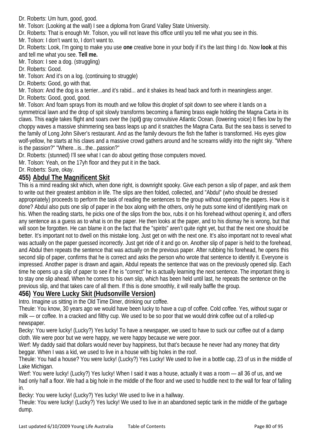Dr. Roberts: Um hum, good, good.

Mr. Tolson: (Looking at the wall) I see a diploma from Grand Valley State University.

Dr. Roberts: That is enough Mr. Tolson, you will not leave this office until you tell me what you see in this.

Mr. Tolson: I don't want to, I don't want to.

Dr. Roberts: Look, I'm going to make you use **one** creative bone in your body if it's the last thing I do. Now **look** at this and tell me what you see. **Tell me.**

Mr. Tolson: I see a dog. (struggling)

Dr. Roberts: Good.

Mr. Tolson: And it's on a log. (continuing to struggle)

Dr. Roberts: Good, go with that.

Mr. Tolson: And the dog is a terrier...and it's rabid... and it shakes its head back and forth in meaningless anger.

Dr. Roberts: Good, good, good.

Mr. Tolson: And foam sprays from its mouth and we follow this droplet of spit down to see where it lands on a symmetrical lawn and the drop of spit slowly transforms becoming a flaming brass eagle holding the Magna Carta in its claws. This eagle takes flight and soars over the (spit**)** gray convulsive Atlantic Ocean. (lowering voice) It flies low by the choppy waves a massive shimmering sea bass leaps up and it snatches the Magna Carta. But the sea bass is served to the family of Long John Silver's restaurant. And as the family devours the fish the father is transformed. His eyes glow wolf-yellow, he starts at his claws and a massive crowd gathers around and he screams wildly into the night sky. "Where is the passion?" "Where...is...the...passion?"

Dr. Roberts: (stunned) I'll see what I can do about getting those computers moved.

Mr. Tolson: Yeah, on the 17yh floor and they put it in the back.

Dr. Roberts: Sure, okay.

# **455) Abdul The Magnificent Skit**

This is a mind reading skit which, when done right, is downright spooky. Give each person a slip of paper, and ask them to write out their greatest ambition in life. The slips are then folded, collected, and "Abdul" (who should be dressed appropriately) proceeds to perform the task of reading the sentences to the group without opening the papers. How is it done? Abdul also puts one slip of paper in the box along with the others, only he puts some kind of identifying mark on his. When the reading starts, he picks one of the slips from the box, rubs it on his forehead without opening it, and offers any sentence as a guess as to what is on the paper. He then looks at the paper, and to his dismay he is wrong, but that will soon be forgotten. He can blame it on the fact that the "spirits" aren't quite right yet, but that the next one should be better. It's important not to dwell on this mistake long. Just get on with the next one. It's also important not to reveal what was actually on the paper guessed incorrectly. Just get ride of it and go on. Another slip of paper is held to the forehead, and Abdul then repeats the sentence that was actually on the previous paper. After rubbing his forehead, he opens this second slip of paper, confirms that he is correct and asks the person who wrote that sentence to identify it. Everyone is impressed. Another paper is drawn and again, Abdul repeats the sentence that was on the previously opened slip. Each time he opens up a slip of paper to see if he is "correct" he is actually learning the next sentence. The important thing is to stay one slip ahead. When he comes to his own slip, which has been held until last, he repeats the sentence on the previous slip, and that takes care of all them. If this is done smoothly, it will really baffle the group.

# **456) You Were Lucky Skit (Hudsonville Version)**

Intro. Imagine us sitting in the Old Time Diner, drinking our coffee.

Theule: You know, 30 years ago we would have been lucky to have a cup of coffee. Cold coffee. Yes, without sugar or milk — or coffee. In a cracked and filthy cup. We used to be so poor that we would drink coffee out of a rolled-up newspaper.

Becky: You were lucky! (Lucky?) Yes lucky! To have a newspaper, we used to have to suck our coffee out of a damp cloth. We were poor but we were happy, we were happy because we were poor.

Werf: My daddy said that dollars would never buy happiness, but that's because he never had any money that dirty beggar. When I was a kid, we used to live in a house with big holes in the roof.

Theule: You had a house? You were lucky! (Lucky?) Yes Lucky! We used to live in a bottle cap, 23 of us in the middle of Lake Michigan.

Werf: You were lucky! (Lucky?) Yes lucky! When I said it was a house, actually it was a room — all 36 of us, and we had only half a floor. We had a big hole in the middle of the floor and we used to huddle next to the wall for fear of falling in.

Becky: You were lucky! (Lucky?) Yes lucky! We used to live in a hallway.

Theule: You were lucky! (Lucky?) Yes lucky! We used to live in an abandoned septic tank in the middle of the garbage dump.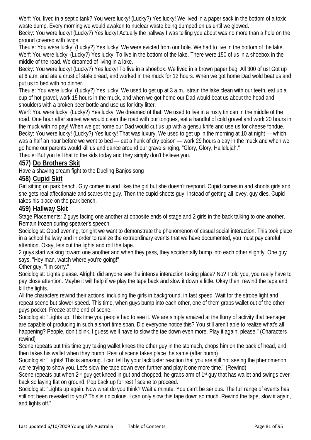Werf: You lived in a septic tank? You were lucky! (Lucky?) Yes lucky! We lived in a paper sack in the bottom of a toxic waste dump. Every morning we would awaken to nuclear waste being dumped on us until we glowed.

Becky: You were lucky! (Lucky?) Yes lucky! Actually the hallway I was telling you about was no more than a hole on the ground covered with twigs.

Theule: You were lucky! (Lucky?) Yes lucky! We were evicted from our hole. We had to live in the bottom of the lake. Werf: You were lucky! (Lucky?) Yes lucky! To live in the bottom of the lake. There were 150 of us in a shoebox in the middle of the road. We dreamed of living in a lake.

Becky: You were lucky! (Lucky?) Yes lucky! To live in a shoebox. We lived in a brown paper bag. All 300 of us! Got up at 6 a.m. and ate a crust of stale bread, and worked in the muck for 12 hours. When we got home Dad wold beat us and put us to bed with no dinner.

Theule: You were lucky! (Lucky?) Yes lucky! We used to get up at 3 a.m., strain the lake clean with our teeth, eat up a cup of hot gravel, work 15 hours in the muck, and when we got home our Dad would beat us about the head and shoulders with a broken beer bottle and use us for kitty litter.

Werf: You were lucky! (Lucky?) Yes lucky! We dreamed of that! We used to live in a rusty tin can in the middle of the road. One hour after sunset we would clean the road with our tongues, eat a handful of cold gravel and work 20 hours in the muck with no pay! When we got home our Dad would cut us up with a gensu knife and use us for cheese fondue. Becky: You were lucky! (Lucky?) Yes lucky! That was luxury. We used to get up in the morning at 10 at night — which was a half an hour before we went to bed — eat a hunk of dry poison — work 29 hours a day in the muck and when we go home our parents would kill us and dance around our grave singing, "Glory, Glory, Hallelujah."

Theule: But you tell that to the kids today and they simply don't believe you.

### **457) Do Brothers Skit**

Have a shaving cream fight to the Dueling Banjos song

### **458) Cupid Skit**

Girl sitting on park bench. Guy comes in and likes the girl but she doesn't respond. Cupid comes in and shoots girls and she gets real affectionate and scares the guy. Then the cupid shoots guy. Instead of getting all lovey, guy dies. Cupid takes his place on the park bench.

### **459) Hallway Skit**

Stage Placements: 2 guys facing one another at opposite ends of stage and 2 girls in the back talking to one another. Remain frozen during speaker's speech.

Sociologist: Good evening, tonight we want to demonstrate the phenomenon of casual social interaction. This took place in a school hallway and in order to realize the extraordinary events that we have documented, you must pay careful attention. Okay, lets cut the lights and roll the tape.

2 guys start walking toward one another and when they pass, they accidentally bump into each other slightly. One guy says, "Hey man, watch where you're going!"

Other guy: "I'm sorry."

Sociologist: Lights please. Alright, did anyone see the intense interaction taking place? No? I told you, you really have to pay close attention. Maybe it will help if we play the tape back and slow it down a little. Okay then, rewind the tape and kill the lights.

All the characters rewind their actions, including the girls in background, in fast speed. Wait for the strobe light and repeat scene but slower speed. This time, when guys bump into each other, one of them grabs wallet out of the other guys pocket. Freeze at the end of scene.

Sociologist: "Lights up. This time you people had to see it. We are simply amazed at the flurry of activity that teenager are capable of producing in such a short time span. Did everyone notice this? You still aren't able to realize what's all happening? People, don't blink. I guess we'll have to slow the tae down even more. Play it again, please." (Characters rewind)

Scene repeats but this time guy taking wallet knees the other guy in the stomach, chops him on the back of head, and then takes his wallet when they bump. Rest of scene takes place the same (after bump)

Sociologist: "Lights! This is amazing. I can tell by your lackluster reaction that you are still not seeing the phenomenon we're trying to show you. Let's slow the tape down even further and play it one more time." (Rewind)

Scene repeats but when 2<sup>nd</sup> guy get kneed in gut and chopped, he grabs arm of 1<sup>st</sup> guy that has wallet and swings over back so laying flat on ground. Pop back up for rest f scene to proceed.

Sociologist: "Lights up again. Now what do you think? Wait a minute. You can't be serious. The full range of events has still not been revealed to you? This is ridiculous. I can only slow this tape down so much. Rewind the tape, slow it again, and lights off."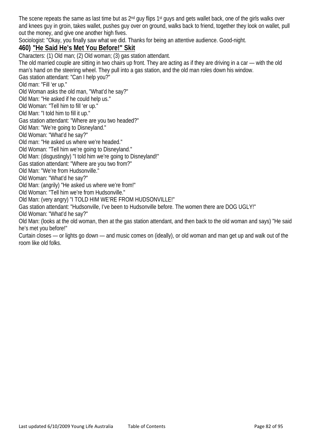The scene repeats the same as last time but as 2<sup>nd</sup> guy flips 1<sup>st</sup> guys and gets wallet back, one of the girls walks over and knees guy in groin, takes wallet, pushes guy over on ground, walks back to friend, together they look on wallet, pull out the money, and give one another high fives.

Sociologist: "Okay, you finally saw what we did. Thanks for being an attentive audience. Good-night.

# **460) "He Said He's Met You Before!" Skit**

Characters: (1) Old man; (2) Old woman; (3) gas station attendant.

The old married couple are sitting in two chairs up front. They are acting as if they are driving in a car — with the old man's hand on the steering wheel. They pull into a gas station, and the old man roles down his window.

Gas station attendant: "Can I help you?"

Old man: "Fill 'er up."

Old Woman asks the old man, "What'd he say?"

Old Man: "He asked if he could help us."

Old Woman: "Tell him to fill 'er up."

Old Man: "I told him to fill it up."

Gas station attendant: "Where are you two headed?"

Old Man: "We're going to Disneyland."

Old Woman: "What'd he say?"

Old man: "He asked us where we're headed."

Old Woman: "Tell him we're going to Disneyland."

Old Man: (disgustingly) "I told him we're going to Disneyland!"

Gas station attendant: "Where are you two from?"

Old Man: "We're from Hudsonville."

Old Woman: "What'd he say?"

Old Man: (angrily) "He asked us where we're from!"

Old Woman: "Tell him we're from Hudsonville."

Old Man: (very angry) "I TOLD HIM WE'RE FROM HUDSONVILLE!"

Gas station attendant: "Hudsonville, I've been to Hudsonville before. The women there are DOG UGLY!"

Old Woman: "What'd he say?"

Old Man: (looks at the old woman, then at the gas station attendant, and then back to the old woman and says) "He said he's met you before!"

Curtain closes — or lights go down — and music comes on (ideally), or old woman and man get up and walk out of the room like old folks.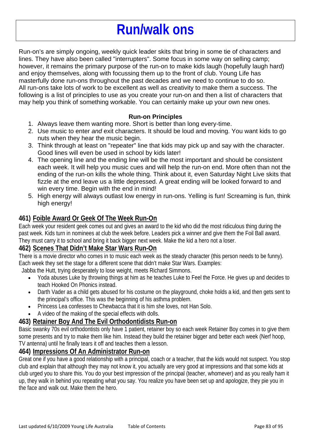# **[Run/walk ons](#page-4-0)**

Run-on's are simply ongoing, weekly quick leader skits that bring in some tie of characters and lines. They have also been called "interrupters". Some focus in some way on selling camp; however, it remains the primary purpose of the run-on to make kids laugh (hopefully laugh hard) and enjoy themselves, along with focussing them up to the front of club. Young Life has masterfully done run-ons throughout the past decades and we need to continue to do so. All run-ons take lots of work to be excellent as well as creativity to make them a success. The following is a list of principles to use as you create your run-on and then a list of characters that may help you think of something workable. You can certainly make up your own new ones.

### **Run-on Principles**

- 1. Always leave them wanting more. Short is better than long every-time.
- 2. Use music to enter *and* exit characters. It should be loud and moving. You want kids to go nuts when they hear the music begin.
- 3. Think through at least on "repeater" line that kids may pick up and say with the character. Good lines will even be used in school by kids later!
- 4. The opening line and the ending line will be the most important and should be consistent each week. It will help you music cues and will help the run-on end. More often than not the ending of the run-on kills the whole thing. Think about it, even Saturday Night Live skits that fizzle at the end leave us a little depressed. A great ending will be looked forward to and win every time. Begin with the end in mind!
- 5. High energy will always outlast low energy in run-ons. Yelling is fun! Screaming is fun, think high energy!

### **461) Foible Award Or Geek Of The Week Run-On**

Each week your resident geek comes out and gives an award to the kid who did the most ridiculous thing during the past week. Kids turn in nominees at club the week before. Leaders pick a winner and give them the Foil Ball award. They must carry it to school and bring it back bigger next week. Make the kid a hero not a loser.

### **462) Scenes That Didn't Make Star Wars Run-On**

There is a movie director who comes in to music each week as the steady character (this person needs to be funny). Each week they set the stage for a different scene that didn't make Star Wars. Examples:

Jabba the Hutt, trying desperately to lose weight, meets Richard Simmons.

- Yoda abuses Luke by throwing things at him as he teaches Luke to Feel the Force. He gives up and decides to teach Hooked On Phonics instead.
- Darth Vader as a child gets abused for his costume on the playground, choke holds a kid, and then gets sent to the principal's office. This was the beginning of his asthma problem.
- Princess Lea confesses to Chewbacca that it is him she loves, not Han Solo.
- A video of the making of the special effects with dolls.

### **463) Retainer Boy And The Evil Orthodontidists Run-on**

Basic swanky 70s evil orthodontists only have 1 patient, retainer boy so each week Retainer Boy comes in to give them some presents and try to make them like him. Instead they build the retainer bigger and better each week (Nerf hoop, TV antenna) until he finally tears it off and teaches them a lesson.

### **464) Impressions Of An Administrator Run-on**

Great one if you have a good relationship with a principal, coach or a teacher, that the kids would not suspect. You stop club and explain that although they may not know it, you actually are very good at impressions and that some kids at club urged you to share this. You do your best impression of the principal (teacher, whomever) and as you really ham it up, they walk in behind you repeating what you say. You realize you have been set up and apologize, they pie you in the face and walk out. Make them the hero.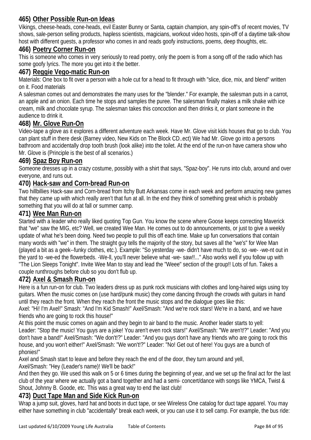# **465) Other Possible Run-on Ideas**

Vikings, cheese-heads, cone-heads, evil Easter Bunny or Santa, captain champion, any spin-off's of recent movies, TV shows, sale-person selling products, hapless scientists, magicians, workout video hosts, spin-off of a daytime talk-show host with different guests, a professor who comes in and reads goofy instructions, poems, deep thoughts, etc.

# **466) Poetry Corner Run-on**

This is someone who comes in very seriously to read poetry, only the poem is from a song off of the radio which has some goofy lyrics. The more you get into it the better.

### **467) Reggie Vego-matic Run-on**

Materials: One box to fit over a person with a hole cut for a head to fit through with "slice, dice, mix, and blend" written on it. Food materials

A salesman comes out and demonstrates the many uses for the "blender." For example, the salesman puts in a carrot, an apple and an onion. Each time he stops and samples the puree. The salesman finally makes a milk shake with ice cream, milk and chocolate syrup. The salesman takes this concoction and then drinks it, or plant someone in the audience to drink it.

# **468) Mr. Glove Run-On**

Video-tape a glove as it explores a different adventure each week. Have Mr. Glove visit kids houses that go to club. You can plant stuff in there desk (Barney video, New Kids on The Block CD..ect) We had Mr. Glove go into a persons bathroom and accidentally drop tooth brush (look alike) into the toilet. At the end of the run-on have camera show who Mr. Glove is (Principle is the best of all scenarios.)

# **469) Spaz Boy Run-on**

Someone dresses up in a crazy costume, possibly with a shirt that says, "Spaz-boy". He runs into club, around and over everyone, and runs out.

### **470) Hack-saw and Corn-bread Run-on**

Two hillbillies Hack-saw and Corn-bread from Itchy Butt Arkansas come in each week and perform amazing new games that they came up with which really aren't that fun at all. In the end they think of something great which is probably something that you will do at fall or summer camp.

### **471) Wee Man Run-on**

Started with a leader who really liked quoting Top Gun. You know the scene where Goose keeps correcting Maverick that "we" saw the MIG, etc? Well, we created Wee Man. He comes out to do announcements, or just to give a weekly update of what he's been doing. Need two people to pull this off each time. Make up fun conversations that contain many words with "we" in them. The straight guy tells the majority of the story, but saves all the "we's" for Wee Man (played a bit as a geek--funky clothes, etc.). Example: "So yesterday -we- didn't have much to do, so -we- -we-nt out in the yard to -we-ed the flowerbeds. -We-ll, you'll never believe what -we- saw!!..." Also works well if you follow up with "The Lion Sleeps Tonight". Invite Wee Man to stay and lead the "Weee" section of the group!! Lots of fun. Takes a couple runthroughs before club so you don't flub up.

# **472) Axel & Smash Run-on**

Here is a fun run-on for club. Two leaders dress up as punk rock musicians with clothes and long-haired wigs using toy guitars. When the music comes on (use hard/punk music) they come dancing through the crowds with guitars in hand until they reach the front. When they reach the front the music stops and the dialogue goes like this:

Axel: "Hi! I'm Axel!" Smash: "And I'm Kid Smash!" Axel/Smash: "And we're rock stars! We're in a band, and we have friends who are going to rock this house!"

At this point the music comes on again and they begin to air band to the music. Another leader starts to yell: Leader: "Stop the music! You guys are a joke! You aren't even rock stars!" Axel/Smash: "We aren't!?" Leader: "And you don't have a band!" Axel/Smash: "We don't!?" Leader: "And you guys don't have any friends who are going to rock this house, and you won't either!" Axel/Smash: "We won't!?" Leader: "No! Get out of here! You guys are a bunch of phonies!"

Axel and Smash start to leave and before they reach the end of the door, they turn around and yell, Axel/Smash: "Hey (Leader's name)! We'll be back!"

And then they go. We used this walk on 5 or 6 times during the beginning of year, and we set up the final act for the last club of the year where we actually got a band together and had a semi- concert/dance with songs like YMCA, Twist & Shout, Johnny B. Goode, etc. This was a great way to end the last club!

# **473) Duct Tape Man and Side Kick Run-on**

Wrap a jump suit, gloves, hard hat and boots in duct tape, or see Wireless One catalog for duct tape apparel. You may either have something in club "accidentally" break each week, or you can use it to sell camp. For example, the bus ride: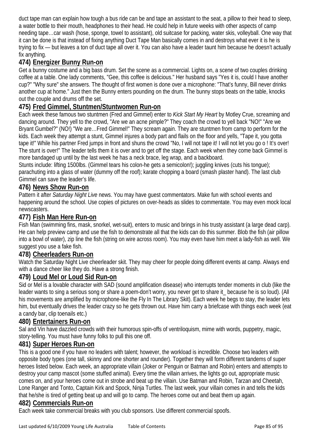duct tape man can explain how tough a bus ride can be and tape an assistant to the seat, a pillow to their head to sleep, a water bottle to their mouth, headphones to their head. He could help in future weeks with other aspects of camp needing tape…car wash (hose, sponge, towel to assistant), old suitcase for packing, water skis, volleyball. One way that it can be done is that instead of fixing anything Duct Tape Man basically comes in and destroys what ever it is he is trying to fix — but leaves a ton of duct tape all over it. You can also have a leader taunt him because he doesn't actually fix anything.

# **474) Energizer Bunny Run-on**

Get a bunny costume and a big bass drum. Set the scene as a commercial. Lights on, a scene of two couples drinking coffee at a table. One lady comments, "Gee, this coffee is delicious." Her husband says "Yes it is, could I have another cup?" "Why sure" she answers. The thought of first women is done over a microphone: "That's funny, Bill never drinks another cup at home." Just then the Bunny enters pounding on the drum. The bunny stops beats on the table, knocks out the couple and drums off the set.

### **475) Fred Gimmel, Stuntmen/Stuntwomen Run-on**

Each week these famous two stuntmen (Fred and Gimmel) enter to *Kick Start My Heart* by Motley Crue, screaming and dancing around. They yell to the crowd, "Are we an acne pimple?" They coach the crowd to yell back "NO!" "Are we Bryant Gumbel?" (NO!) "We are…Fred Gimmel!" They scream again. They are stuntmen from camp to perform for the kids. Each week they attempt a stunt, Gimmel injures a body part and flails on the floor and yells, "Tape it, you gotta tape it!" While his partner Fred jumps in front and shuns the crowd "No, I will not tape it! I will not let you go o ! It's over! The stunt is over!" The leader tells them it is over and to get off the stage. Each week when they come back Gimmel is more bandaged up until by the last week he has a neck brace, leg wrap, and a backboard.

Stunts include: lifting 1500lbs. (Gimmel tears his colon-he gets a semicolon!); juggling knives (cuts his tongue); parachuting into a glass of water (dummy off the roof); karate chopping a board (smash plaster hand). The last club Gimmel can save the leader's life.

# **476) News Show Run-on**

Pattern it after *Saturday Night Live* news. You may have guest commentators. Make fun with school events and happening around the school. Use copies of pictures on over-heads as slides to commentate. You may even mock local newscasters.

# **477) Fish Man Here Run-on**

Fish Man (swimming fins, mask, snorkel, wet-suit), enters to music and brings in his trusty assistant (a large dead carp). He can help preview camp and use the fish to demonstrate all that the kids can do this summer. Blob the fish (air pillow into a bowl of water), zip line the fish (string on wire across room). You may even have him meet a lady-fish as well. We suggest you use a fake fish.

### **478) Cheerleaders Run-on**

Watch the Saturday Night Live cheerleader skit. They may cheer for people doing different events at camp. Always end with a dance cheer like they do. Have a strong finish.

# **479) Loud Mel or Loud Sid Run-on**

Sid or Mel is a lovable character with SAD (sound amplification disease) who interrupts tender moments in club (like the leader wants to sing a serious song or share a poem-don't worry, you never get to share it\_ because he is so loud). (All his movements are amplified by microphone-like the Fly In The Library Skit). Each week he begs to stay, the leader lets him, but eventually drives the leader crazy so he gets thrown out. Have him carry a briefcase with things each week (eat a candy bar, clip toenails etc.)

### **480) Entertainers Run-on**

Sal and Vin have dazzled crowds with their humorous spin-offs of ventriloquism, mime with words, puppetry, magic, story-telling. You must have funny folks to pull this one off.

### **481) Super Heroes Run-on**

This is a good one if you have no leaders with talent; however, the workload is incredible. Choose two leaders with opposite body types (one tall, skinny and one shorter and rounder). Together they will form different tandems of super heroes listed below. Each week, an appropriate villain (Joker or Penguin or Batman and Robin) enters and attempts to destroy your camp mascot (some stuffed animal). Every time the villain arrives, the lights go out, appropriate music comes on, and your heroes come out in strobe and beat up the villain. Use Batman and Robin, Tarzan and Cheetah, Lone Ranger and Tonto, Captain Kirk and Spock, Ninja Turtles. The last week, your villain comes in and tells the kids that he/she is tired of getting beat up and will go to camp. The heroes come out and beat them up again.

### **482) Commercials Run-on**

Each week take commercial breaks with you club sponsors. Use different commercial spoofs.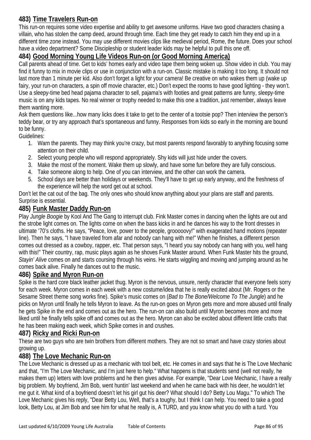# **483) Time Travelers Run-on**

This run-on requires some video expertise and ability to get awesome uniforms. Have two good characters chasing a villain, who has stolen the camp deed, around through time. Each time they get ready to catch him they end up in a different time zone instead. You may use different movies clips like medieval period, Rome, the future. Does your school have a video department? Some Discipleship or student leader kids may be helpful to pull this one off.

# **484) Good Morning Young Life Videos Run-on (or Good Morning America)**

Call parents ahead of time. Get to kids' homes early and video tape them being woken up. Show video in club. You may find it funny to mix in movie clips or use in conjunction with a run-on. Classic mistake is making it too long. It should not last more than 1 minute per kid. Also don't forget a light for your camera! Be creative on who wakes them up (wake up fairy, your run-on characters, a spin off movie character, etc.) Don't expect the rooms to have good lighting - they won't. Use a sleepy-time bed head pajama character to sell, pajama's with footies and great patterns are funny, sleepy-time music is on any kids tapes. No real winner or trophy needed to make this one a tradition, just remember, always leave them wanting more.

Ask them questions like...how many licks does it take to get to the center of a tootsie pop? Then interview the person's teddy bear, or try any approach that's spontaneous and funny. Responses from kids so early in the morning are bound to be funny.

Guidelines:

- 1. Warn the parents. They may think you're crazy, but most parents respond favorably to anything focusing some attention on their child.
- 2. Select young people who will respond appropriately. Shy kids will just hide under the covers.
- 3. Make the most of the moment. Wake them up slowly, and have some fun before they are fully conscious.
- 4. Take someone along to help. One of you can interview, and the other can work the camera.
- 5. School days are better than holidays or weekends. They'll have to get up early anyway, and the freshness of the experience will help the word get out at school.

Don't let the cat out of the bag. The only ones who should know anything about your plans are staff and parents. Surprise is essential.

# **485) Funk Master Daddy Run-on**

Play *Jungle Boogie* by Kool And The Gang to interrupt club. Fink Master comes in dancing when the lights are out and the strobe light comes on. The lights come on when the bass kicks in and he dances his way to the front dresses in ultimate '70's cloths. He says, "Peace, love, power to the people, grooooovy!" with exagerated hand motions (repeater line). Then he says, "I have traveled from afar and nobody can hang with me!" When he finishes, a different person comes out dressed as a cowboy, rapper, etc. That person says, "I heard you say nobody can hang with you, well hang with this!" Their country, rap, music plays again as he shoves Funk Master around. When Funk Master hits the ground, *Stayin' Alive* comes on and starts coursing through his veins. He starts wiggling and moving and jumping around as he comes back alive. Finally he dances out to the music.

# **486) Spike and Myron Run-on**

Spike is the hard core black leather jacket thug. Myron is the nervous, unsure, nerdy character that everyone feels sorry for each week. Myron comes in each week with a new costume/idea that he is really excited about (Mr. Rogers or the Sesame Street theme song works fine). Spike's music comes on (*Bad to The Bone/Welcome To The Jungle*) and he picks on Myron until finally he tells Myron to leave. As the run-on goes on Myron gets more and more abused until finally he gets Spike in the end and comes out as the hero. The run-on can also build until Myron becomes more and more liked until he finally tells spike off and comes out as the hero. Myron can also be excited about different little crafts that he has been making each week, which Spike comes in and crushes.

# **487) Ricky and Ricki Run-on**

These are two guys who are twin brothers from different mothers. They are not so smart and have crazy stories about growing up.

# **488) The Love Mechanic Run-on**

The Love Mechanic is dressed up as a mechanic with tool belt, etc. He comes in and says that he is The Love Mechanic and that, "I'm The Love Mechanic, and I'm just here to help." What happens is that students send (well not really, he makes them up) letters with love problems and he then gives advise. For example, "Dear Love Mechanic, I have a really big problem. My boyfriend, Jim Bob, went huntin' last weekend and when he came back with his deer, he wouldn't let me gut it. What kind of a boyfriend doesn't let his girl gut his deer? What should I do? Betty Lou Magu." To which The Love Mechanic gives his reply, "Dear Betty Lou, Well, that's a toughy, but I think I can help. You need to take a good look, Betty Lou, at Jim Bob and see him for what he really is, A TURD, and you know what you do with a turd. You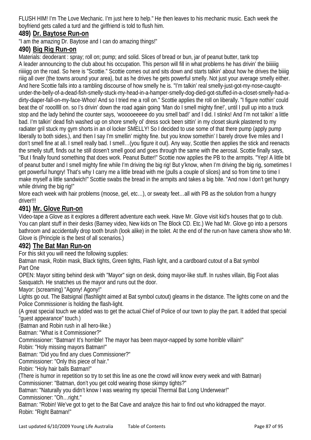FLUSH HIM! I'm The Love Mechanic. I'm just here to help." He then leaves to his mechanic music. Each week the boyfriend gets called a turd and the girlfriend is told to flush him.

# **489) Dr. Baytose Run-on**

"I am the amazing Dr. Baytose and I can do amazing things!"

### **490) Big Rig Run-on**

Materials: deoderant : spray; roll on; pump; and solid. Slices of bread or bun, jar of peanut butter, tank top A leader announcing to the club about his occupation. This person will fill in what problems he has drivin' the biiiiiig riiiiigg on the road. So here is "Scottie." Scottie comes out and sits down and starts talkin' about how he drives the biiiig riiig all over (the towns around your area), but as he drives he gets powerful smelly. Not just your average smelly either. And here Scottie falls into a rambling discourse of how smelly he is. "I'm talkin' real smelly-just-got-my-nose-caughtunder-the-belly-of-a-dead-fish-smelly-stuck-my-head-in-a-hamper-smelly-dog-died-got-stuffed-in-a-closet-smelly-had-adirty-diaper-fall-on-my-face-Whoo! And so I tried me a roll on." Scottie applies the roll on liberally. "I figure nothin' could beat the ol' rooolllll on. so I's drivin' down the road again going 'Man do I smell mighty fine!', until I pull up into a truck stop and the lady behind the counter says, 'wooooeeeee do you smell bad!' and I did. I stinks! And I'm not talkin' a little bad. I'm talkin' dead fish washed up on shore smelly ol' dress sock been sittin' in my closet skunk plastered to my radiater gril stuck my gym shorts in an ol locker SMELLY! So I decided to use some of that there pump (apply pump liberally to both sides.), and then I say I'm smellin' mighty fine. but you know somethin' I barely drove five miles and I don't smell fine at all. I smell really bad. I smell…(you figure it out). Any way, Scottie then applies the stick and reenacts the smelly stuff, finds out he still dosen't smell good and goes through the same with the aerosal. Scottie finally says, "But I finally found something that does work. Peanut Butter!" Scottie now applies the PB to the armpits. "Yep! A little bit of peanut butter and I smell mighty fine while I'm driving the big rig! But y'know, when I'm driving the big rig, sometimes I get powerful hungry! That's why I carry me a little bread with me (pulls a couple of slices) and so from time to time I make myself a little sandwich!" Scottie swabs the bread in the armpits and takes a big bite. "And now I don't get hungry while driving the big rig!"

More each week with hair problems (moose, gel, etc…), or sweaty feet…all with PB as the solution from a hungry driver!!!

### **491) Mr. Glove Run-on**

Video-tape a Glove as it explores a different adventure each week. Have Mr. Glove visit kid's houses that go to club. You can plant stuff in their desks (Barney video, New kids on The Block CD. Etc.) We had Mr. Glove go into a persons bathroom and accidentally drop tooth brush (look alike) in the toilet. At the end of the run-on have camera show who Mr. Glove is (Principle is the best of all scenarios.)

### **492) The Bat Man Run-on**

For this skit you will need the following supplies:

Batman mask, Robin mask, Black tights, Green tights, Flash light, and a cardboard cutout of a Bat symbol Part One

OPEN: Mayor sitting behind desk with "Mayor" sign on desk, doing mayor-like stuff. In rushes villain, Big Foot alias Sasquatch. He snatches us the mayor and runs out the door.

Mayor: (screaming) "Agony! Agony!"

Lights go out. The Batsignal (flashlight aimed at Bat symbol cutout) gleams in the distance. The lights come on and the Police Commissioner is holding the flash-light.

(A great special touch we added was to get the actual Chief of Police of our town to play the part. It added that special "guest appearance" touch.)

(Batman and Robin rush in all hero-like.)

Batman: "What is it Commissioner?"

Commissioner: "Batman! It's horrible! The mayor has been mayor-napped by some horrible villain!"

Robin: "Holy missing mayors Batman!"

Batman: "Did you find any clues Commissioner?"

Commissioner: "Only this piece of hair."

Robin: "Holy hair balls Batman!"

(There is humor in repetition so try to set this line as one the crowd will know every week and with Batman) Commissioner: "Batman, don't you get cold wearing those skimpy tights?"

Batman: "Naturally you didn't know I was wearing my special Thermal Bat Long Underwear!" Commissioner: "Oh…right."

Batman: "Robin! We've got to get to the Bat Cave and analyze this hair to find out who kidnapped the mayor. Robin: "Right Batman!"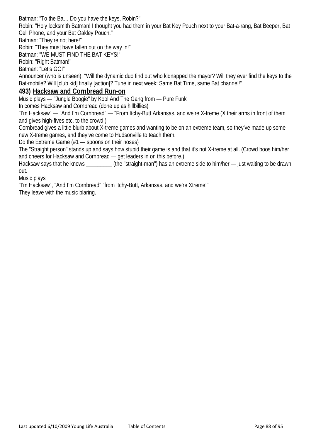Batman: "To the Ba… Do you have the keys, Robin?" Robin: "Holy locksmith Batman! I thought you had them in your Bat Key Pouch next to your Bat-a-rang, Bat Beeper, Bat Cell Phone, and your Bat Oakley Pouch."

Batman: "They're not here!"

Robin: "They must have fallen out on the way in!"

Batman: "WE MUST FIND THE BAT KEYS!"

Robin: "Right Batman!"

Batman: "Let's GO!"

Announcer (who is unseen): "Will the dynamic duo find out who kidnapped the mayor? Will they ever find the keys to the Bat-mobile? Will [club kid] finally [action]? Tune in next week: Same Bat Time, same Bat channel!"

# **493) Hacksaw and Cornbread Run-on**

Music plays — "Jungle Boogie" by Kool And The Gang from — Pure Funk

In comes Hacksaw and Cornbread (done up as hillbillies)

"I'm Hacksaw" — "And I'm Cornbread" — "From Itchy-Butt Arkansas, and we're X-treme (X their arms in front of them and gives high-fives etc. to the crowd.)

Cornbread gives a little blurb about X-treme games and wanting to be on an extreme team, so they've made up some new X-treme games, and they've come to Hudsonville to teach them.

Do the Extreme Game (#1 — spoons on their noses)

The "Straight person" stands up and says how stupid their game is and that it's not X-treme at all. (Crowd boos him/her and cheers for Hacksaw and Cornbread — get leaders in on this before.)

Hacksaw says that he knows (the "straight-man") has an extreme side to him/her — just waiting to be drawn out.

Music plays

"I'm Hacksaw", "And I'm Cornbread" "from Itchy-Butt, Arkansas, and we're Xtreme!"

They leave with the music blaring.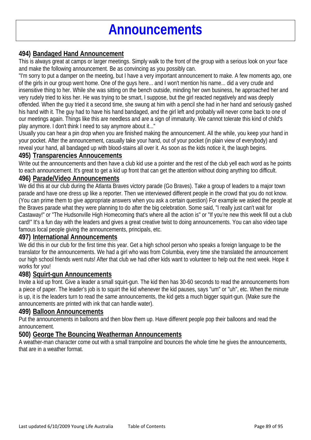# **[Announcements](#page-4-0)**

# **494) Bandaged Hand Announcement**

This is always great at camps or larger meetings. Simply walk to the front of the group with a serious look on your face and make the following announcement. Be as convincing as you possibly can.

"I'm sorry to put a damper on the meeting, but I have a very important announcement to make. A few moments ago, one of the girls in our group went home. One of the guys here... and I won't mention his name... did a very crude and insensitive thing to her. While she was sitting on the bench outside, minding her own business, he approached her and very rudely tried to kiss her. He was trying to be smart, I suppose, but the girl reacted negatively and was deeply offended. When the guy tried it a second time, she swung at him with a pencil she had in her hand and seriously gashed his hand with it. The guy had to have his hand bandaged, and the girl left and probably will never come back to one of our meetings again. Things like this are needless and are a sign of immaturity. We cannot tolerate this kind of child's play anymore. I don't think I need to say anymore about it..."

Usually you can hear a pin drop when you are finished making the announcement. All the while, you keep your hand in your pocket. After the announcement, casually take your hand, out of your pocket (in plain view of everybody) and reveal your hand, all bandaged up with blood-stains all over it. As soon as the kids notice it, the laugh begins.

### **495) Transparencies Annoucements**

Write out the announcements and then have a club kid use a pointer and the rest of the club yell each word as he points to each announcement. It's great to get a kid up front that can get the attention without doing anything too difficult.

# **496) Parade/Video Announcements**

We did this at our club during the Atlanta Braves victory parade (Go Braves). Take a group of leaders to a major town parade and have one dress up like a reporter. Then we interviewed different people in the crowd that you do not know. (You can prime them to give appropriate answers when you ask a certain question) For example we asked the people at the Braves parade what they were planning to do after the big celebration. Some said, "I really just can't wait for Castaway!" or "The Hudsonville High Homecoming that's where all the action is" or "If you're new this week fill out a club card!" It's a fun day with the leaders and gives a great creative twist to doing announcements. You can also video tape famous local people giving the announcements, principals, etc.

### **497) International Announcements**

We did this in our club for the first time this year. Get a high school person who speaks a foreign language to be the translator for the announcements. We had a girl who was from Columbia, every time she translated the announcement our high school friends went nuts! After that club we had other kids want to volunteer to help out the next week. Hope it works for you!

### **498) Squirt-gun Announcements**

Invite a kid up front. Give a leader a small squirt-gun. The kid then has 30-60 seconds to read the announcements from a piece of paper. The leader's job is to squirt the kid whenever the kid pauses, says "um" or "uh", etc. When the minute is up, it is the leaders turn to read the same announcements, the kid gets a much bigger squirt-gun. (Make sure the announcements are printed with ink that can handle water).

### **499) Balloon Announcements**

Put the announcements in balloons and then blow them up. Have different people pop their balloons and read the announcement.

### **500) George The Bouncing Weatherman Announcements**

A weather-man character come out with a small trampoline and bounces the whole time he gives the announcements, that are in a weather format.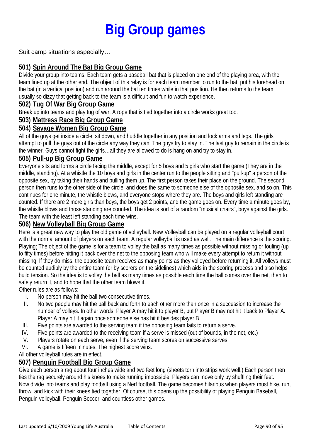# **[Big Group games](#page-4-0)**

Suit camp situations especially…

### **501) Spin Around The Bat Big Group Game**

Divide your group into teams. Each team gets a baseball bat that is placed on one end of the playing area, with the team lined up at the other end. The object of this relay is for each team member to run to the bat, put his forehead on the bat (in a vertical position) and run around the bat ten times while in that position. He then returns to the team, usually so dizzy that getting back to the team is a difficult and fun to watch experience.

### **502) Tug Of War Big Group Game**

Break up into teams and play tug of war. A rope that is tied together into a circle works great too.

### **503) Mattress Race Big Group Game**

### **504) Savage Women Big Group Game**

All of the guys get inside a circle, sit down, and huddle together in any position and lock arms and legs. The girls attempt to pull the guys out of the circle any way they can. The guys try to stay in. The last guy to remain in the circle is the winner. Guys cannot fight the girls…all they are allowed to do is hang on and try to stay in.

### **505) Pull-up Big Group Game**

Everyone sits and forms a circle facing the middle, except for 5 boys and 5 girls who start the game (They are in the middle, standing). At a whistle the 10 boys and girls in the center run to the people sitting and "pull-up" a person of the opposite sex, by taking their hands and pulling them up. The first person takes their place on the ground. The second person then runs to the other side of the circle, and does the same to someone else of the opposite sex, and so on. This continues for one minute, the whistle blows, and everyone stops where they are. The boys and girls left standing are counted. If there are 2 more girls than boys, the boys get 2 points, and the game goes on. Every time a minute goes by, the whistle blows and those standing are counted. The idea is sort of a random "musical chairs", boys against the girls. The team with the least left standing each time wins.

### **506) New Volleyball Big Group Game**

Here is a great new way to play the old game of volleyball. New Volleyball can be played on a regular volleyball court with the normal amount of players on each team. A regular volleyball is used as well. The main difference is the scoring. Playing: The object of the game is for a team to volley the ball as many times as possible without missing or fouling (up to fifty times) before hitting it back over the net to the opposing team who will make every attempt to return it without missing. If they do miss, the opposite team receives as many points as they volleyed before returning it. All volleys must be counted audibly by the entire team (or by scorers on the sidelines) which aids in the scoring process and also helps build tension. So the idea is to volley the ball as many times as possible each time the ball comes over the net, then to safely return it, and to hope that the other team blows it.

Other rules are as follows:

- I. No person may hit the ball two consecutive times.
- II. No two people may hit the ball back and forth to each other more than once in a succession to increase the number of volleys. In other words, Player A may hit it to player B, but Player B may not hit it back to Player A. Player A may hit it again once someone else has hit it besides player B
- III. Five points are awarded to the serving team if the opposing team fails to return a serve.
- IV. Five points are awarded to the receiving team if a serve is missed (out of bounds, in the net, etc.)
- V. Players rotate on each serve, even if the serving team scores on successive serves.
- VI. A game is fifteen minutes. The highest score wins.

All other volleyball rules are in effect.

### **507) Penguin Football Big Group Game**

Give each person a rag about four inches wide and two feet long (sheets torn into strips work well.) Each person then ties the rag securely around his knees to make running impossible. Players can move only by shuffling their feet. Now divide into teams and play football using a Nerf football. The game becomes hilarious when players must hike, run, throw, and kick with their knees tied together. Of course, this opens up the possibility of playing Penguin Baseball, Penguin volleyball, Penguin Soccer, and countless other games.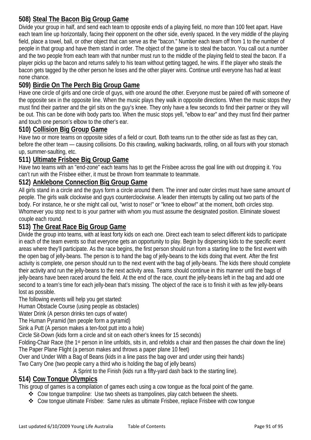# **508) Steal The Bacon Big Group Game**

Divide your group in half, and send each team to opposite ends of a playing field, no more than 100 feet apart. Have each team line up horizontally, facing their opponent on the other side, evenly spaced. In the very middle of the playing field, place a towel, ball, or other object that can serve as the "bacon." Number each team off from 1 to the number of people in that group and have them stand in order. The object of the game is to steal the bacon. You call out a number and the two people from each team with that number must run to the middle of the playing field to steal the bacon. If a player picks up the bacon and returns safely to his team without getting tagged, he wins. If the player who steals the bacon gets tagged by the other person he loses and the other player wins. Continue until everyone has had at least none chance.

# **509) Birdie On The Perch Big Group Game**

Have one circle of girls and one circle of guys, with one around the other. Everyone must be paired off with someone of the opposite sex in the opposite line. When the music plays they walk in opposite directions. When the music stops they must find their partner and the girl sits on the guy's knee. They only have a few seconds to find their partner or they will be out. This can be done with body parts too. When the music stops yell, "elbow to ear" and they must find their partner and touch one person's elbow to the other's ear.

# **510) Collision Big Group Game**

Have two or more teams on opposite sides of a field or court. Both teams run to the other side as fast as they can, before the other team — causing collisions. Do this crawling, walking backwards, rolling, on all fours with your stomach up, summer-saulting, etc.

# **511) Ultimate Frisbee Big Group Game**

Have two teams with an "end-zone" each teams has to get the Frisbee across the goal line with out dropping it. You can't run with the Frisbee either, it must be thrown from teammate to teammate.

# **512) Anklebone Connection Big Group Game**

All girls stand in a circle and the guys form a circle around them. The inner and outer circles must have same amount of people. The girls walk clockwise and guys counterclockwise. A leader then interrupts by calling out two parts of the body. For instance, he or she might call out, "wrist to nose!" or "knee to elbow!" at the moment, both circles stop. Whomever you stop next to is your partner with whom you must assume the designated position. Eliminate slowest couple each round.

# **513) The Great Race Big Group Game**

Divide the group into teams, with at least forty kids on each one. Direct each team to select different kids to participate in each of the team events so that everyone gets an opportunity to play. Begin by dispersing kids to the specific event areas where they'll participate. As the race begins, the first person should run from a starting line to the first event with the open bag of jelly-beans. The person is to hand the bag of jelly-beans to the kids doing that event. After the first activity is complete, one person should run to the next event with the bag of jelly-beans. The kids there should complete their activity and run the jelly-beans to the next activity area. Teams should continue in this manner until the bags of jelly-beans have been raced around the field. At the end of the race, count the jelly-beans left in the bag and add one second to a team's time for each jelly-bean that's missing. The object of the race is to finish it with as few jelly-beans lost as possible.

The following events will help you get started:

Human Obstacle Course (using people as obstacles)

Water Drink (A person drinks ten cups of water)

The Human Pyramid (ten people form a pyramid)

Sink a Putt (A person makes a ten-foot putt into a hole)

Circle Sit-Down (kids form a circle and sit on each other's knees for 15 seconds)

Folding-Chair Race (the 1st person in line unfolds, sits in, and refolds a chair and then passes the chair down the line) The Paper Plane Flight (a person makes and throws a paper plane 10 feet)

Over and Under With a Bag of Beans (kids in a line pass the bag over and under using their hands)

Two Carry One (two people carry a third who is holding the bag of jelly beans)

A Sprint to the Finish (kids run a fifty-yard dash back to the starting line).

# **514) Cow Tongue Olympics**

This group of games is a compilation of games each using a cow tongue as the focal point of the game.

- $\triangleleft$  Cow tongue trampoline: Use two sheets as trampolines, play catch between the sheets.
- Cow tongue ultimate Frisbee: Same rules as ultimate Frisbee, replace Frisbee with cow tongue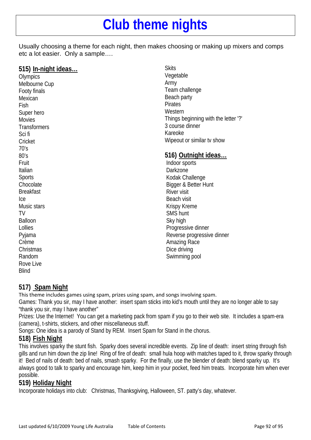# **[Club theme nights](#page-4-0)**

Usually choosing a theme for each night, then makes choosing or making up mixers and comps etc a lot easier. Only a sample….

### **515) In-night ideas…**

**Olympics** Melbourne Cup Footy finals Mexican Fish Super hero Movies **Transformers** Sci fi Cricket 70's  $80's$ Fruit Italian **Sports** Chocolate Breakfast Ice Music stars TV Balloon Lollies Pyjama Crème Christmas Random Rove Live Blind

### **Skits** Vegetable Army Team challenge Beach party Pirates **Western** Things beginning with the letter '?' 3 course dinner Kareoke Wipeout or similar tv show

### **516) Outnight ideas…**

 Indoor sports Darkzone Kodak Challenge Bigger & Better Hunt River visit Beach visit Krispy Kreme SMS hunt Sky high Progressive dinner Reverse progressive dinner Amazing Race Dice driving Swimming pool

# **517) Spam Night**

This theme includes games using spam, prizes using spam, and songs involving spam.

Games: Thank you sir, may I have another: insert spam sticks into kid's mouth until they are no longer able to say "thank you sir, may I have another"

Prizes: Use the Internet! You can get a marketing pack from spam if you go to their web site. It includes a spam-era (camera), t-shirts, stickers, and other miscellaneous stuff.

Songs: One idea is a parody of Stand by REM. Insert Spam for Stand in the chorus.

# **518) Fish Night**

This involves sparky the stunt fish. Sparky does several incredible events. Zip line of death: insert string through fish gills and run him down the zip line! Ring of fire of death: small hula hoop with matches taped to it, throw sparky through it! Bed of nails of death: bed of nails, smash sparky. For the finally, use the blender of death: blend sparky up. It's always good to talk to sparky and encourage him, keep him in your pocket, feed him treats. Incorporate him when ever possible.

# **519) Holiday Night**

Incorporate holidays into club: Christmas, Thanksgiving, Halloween, ST. patty's day, whatever.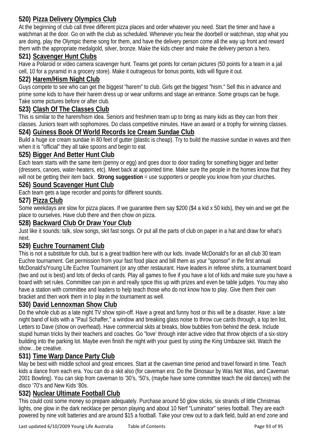# **520) Pizza Delivery Olympics Club**

At the beginning of club call three different pizza places and order whatever you need. Start the timer and have a watchman at the door. Go on with the club as scheduled. Whenever you hear the doorbell or watchman, stop what you are doing, play the Olympic theme song for them, and have the delivery person come all the way up front and reward them with the appropriate medalgold, silver, bronze. Make the kids cheer and make the delivery person a hero.

# **521) Scavenger Hunt Clubs**

Have a Polaroid or video camera scavenger hunt. Teams get points for certain pictures (50 points for a team in a jail cell, 10 for a pyramid in a grocery store). Make it outrageous for bonus points, kids will figure it out.

# **522) Harem/Hism Night Club**

Guys compete to see who can get the biggest "harem" to club. Girls get the biggest "hism." Sell this in advance and prime some kids to have their harem dress up or wear uniforms and stage an entrance. Some groups can be huge. Take some pictures before or after club.

# **523) Clash Of The Classes Club**

This is similar to the harem/hism idea. Seniors and freshmen team up to bring as many kids as they can from their classes. Juniors team with sophomores. Do class competitive minutes. Have an award or a trophy for winning classes.

# **524) Guiness Book Of World Records Ice Cream Sundae Club**

Build a huge ice cream sundae in 80 feet of gutter (plastic is cheap). Try to build the massive sundae in waves and then when it is "official" they all take spoons and begin to eat.

# **525) Bigger And Better Hunt Club**

Each team starts with the same item (penny or egg) and goes door to door trading for something bigger and better (dressers, canoes, water-heaters, etc). Meet back at appointed time. Make sure the people in the homes know that they will not be getting their item back. **Strong suggestion** = use supporters or people you know from your churches.

# **526) Sound Scavenger Hunt Club**

Each team gets a tape recorder and points for different sounds.

### **527) Pizza Club**

Some weekdays are slow for pizza places. If we guarantee them say \$200 (\$4 a kid x 50 kids), they win and we get the place to ourselves. Have club there and then chow on pizza.

# **528) Backward Club Or Draw Your Club**

Just like it sounds: talk, slow songs, skit fast songs. Or put all the parts of club on paper in a hat and draw for what's next.

# **529) Euchre Tournament Club**

This is not a substitute for club, but is a great tradition here with our kids. Invade McDonald's for an all club 30 team Euchre tournament. Get permission from your fast food place and bill them as your "sponsor" in the first annual McDonald's/Young Life Euchre Tournament (or any other restaurant. Have leaders in referee shirts, a tournament board (two and out is best) and lots of decks of cards. Play all games to five if you have a lot of kids and make sure you have a board with set rules. Committee can join in and really spice this up with prizes and even be table judges. You may also have a station with committee and leaders to help teach those who do not know how to play. Give them their own bracket and then work them in to play in the tournament as well.

# **530) David Lennoxman Show Club**

Do the whole club as a late night TV show spin-off. Have a great and funny host or this will be a disaster. Have: a late night band of kids with a "Paul Schaffer," a window and breaking glass noise to throw cue cards through, a top ten list, Letters to Dave (show on overhead). Have commercial skits at breaks, blow bubbles from behind the desk. Include stupid human tricks by their teachers and coaches. Go "love' through inter active video that throw objects of a six-story building into the parking lot. Maybe even finish the night with your guest by using the King Umbazee skit. Watch the show…be creative.

# **531) Time Warp Dance Party Club**

May be best with middle school and great emcees. Start at the caveman time period and travel forward in time. Teach kids a dance from each era. You can do a skit also (for caveman era: Do the Dinosaur by Was Not Was, and Caveman 2001 Bowling). You can skip from caveman to '30's, '50's, (maybe have some committee teach the old dances) with the disco '70's and New Kids '80s.

# **532) Nuclear Ultimate Football Club**

This could cost some money so prepare adequately. Purchase around 50 glow sticks, six strands of little Christmas lights, one glow in the dark necklace per person playing and about 10 Nerf "Luminator" series football. They are each powered by nine volt batteries and are around \$15 a football. Take your crew out to a dark field, build an end zone and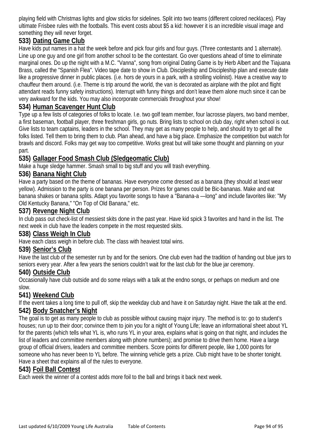playing field with Christmas lights and glow sticks for sidelines. Split into two teams (different colored necklaces). Play ultimate Frisbee rules with the footballs. This event costs about \$5 a kid: however it is an incredible visual image and something they will never forget.

# **533) Dating Game Club**

Have kids put names in a hat the week before and pick four girls and four guys. (Three contestants and 1 alternate). Line up one guy and one girl from another school to be the contestant. Go over questions ahead of time to eliminate marginal ones. Do up the night with a M.C. "Vanna", song from original Dating Game is by Herb Albert and the Tiajuana Brass, called the "Spanish Flea". Video tape date to show in Club. Discipleship and Discipleship plan and execute date like a progressive dinner in public places. (i.e. hors de yours in a park, with a strolling violinist). Have a creative way to chauffeur them around. (i.e. Theme is trip around the world, the van is decorated as airplane with the pilot and flight attendant reads funny safety instructions). Interrupt with funny things and don't leave them alone much since it can be very awkward for the kids. You may also incorporate commercials throughout your show!

# **534) Human Scavenger Hunt Club**

Type up a few lists of categories of folks to locate. I.e. two golf team member, four lacrosse players, two band member, a first baseman, football player, three freshman girls, go nuts. Bring lists to school on club day, right when school is out. Give lists to team captains, leaders in the school. They may get as many people to help, and should try to get all the folks listed. Tell them to bring them to club. Plan ahead, and have a big place. Emphasize the competition but watch for brawls and discord. Folks may get way too competitive. Works great but will take some thought and planning on your part.

# **535) Gallager Food Smash Club (Sledgeomatic Club)**

Make a huge sledge hammer. Smash small to big stuff and you will trash everything.

### **536) Banana Night Club**

Have a party based on the theme of bananas. Have everyone come dressed as a banana (they should at least wear yellow). Admission to the party is one banana per person. Prizes for games could be Bic-bananas. Make and eat banana shakes or banana splits. Adapt you favorite songs to have a "Banana-a —long" and include favorites like: "My Old Kentucky Banana," "On Top of Old Banana," etc.

### **537) Revenge Night Club**

In club pass out check-list of messiest skits done in the past year. Have kid spick 3 favorites and hand in the list. The next week in club have the leaders compete in the most requested skits.

### **538) Class Weigh In Club**

Have each class weigh in before club. The class with heaviest total wins.

### **539) Senior's Club**

Have the last club of the semester run by and for the seniors. One club even had the tradition of handing out blue jars to seniors every year. After a few years the seniors couldn't wait for the last club for the blue jar ceremony.

### **540) Outside Club**

Occasionally have club outside and do some relays with a talk at the endno songs, or perhaps on medium and one slow.

# **541) Weekend Club**

If the event takes a long time to pull off, skip the weekday club and have it on Saturday night. Have the talk at the end. **542) Body Snatcher's Night** 

# The goal is to get as many people to club as possible without causing major injury. The method is to: go to student's houses; run up to their door; convince them to join you for a night of Young Life; leave an informational sheet about YL for the parents (which tells what YL is, who runs YL in your area, explains what is going on that night, and includes the list of leaders and committee members along with phone numbers); and promise to drive them home. Have a large group of official drivers, leaders and committee members. Score points for different people, like 1,000 points for someone who has never been to YL before. The winning vehicle gets a prize. Club might have to be shorter tonight.

#### Have a sheet that explains all of the rules to everyone. **543) Foil Ball Contest**

Each week the winner of a contest adds more foil to the ball and brings it back next week.